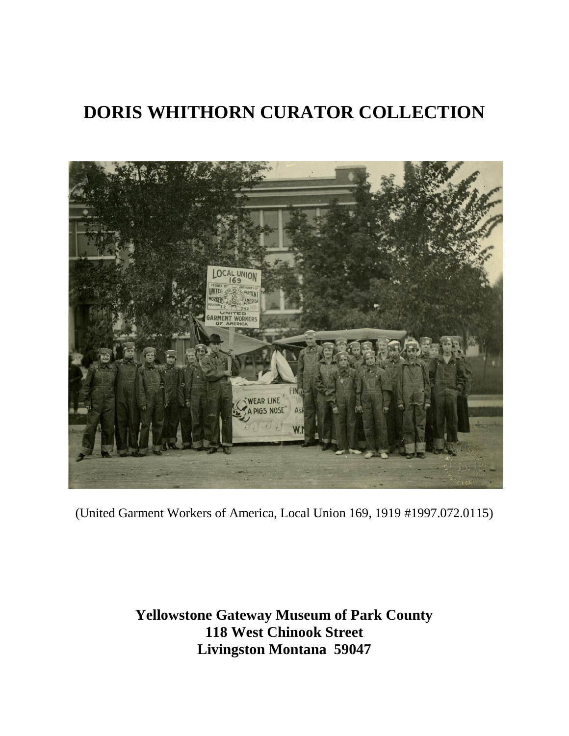

(United Garment Workers of America, Local Union 169, 1919 #1997.072.0115)

**Yellowstone Gateway Museum of Park County 118 West Chinook Street Livingston Montana 59047**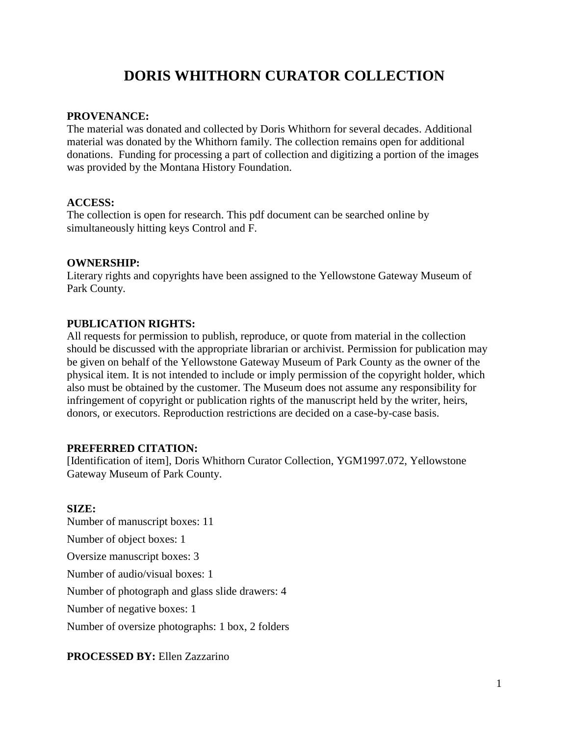#### **PROVENANCE:**

The material was donated and collected by Doris Whithorn for several decades. Additional material was donated by the Whithorn family. The collection remains open for additional donations. Funding for processing a part of collection and digitizing a portion of the images was provided by the Montana History Foundation.

#### **ACCESS:**

The collection is open for research. This pdf document can be searched online by simultaneously hitting keys Control and F.

#### **OWNERSHIP:**

Literary rights and copyrights have been assigned to the Yellowstone Gateway Museum of Park County.

#### **PUBLICATION RIGHTS:**

All requests for permission to publish, reproduce, or quote from material in the collection should be discussed with the appropriate librarian or archivist. Permission for publication may be given on behalf of the Yellowstone Gateway Museum of Park County as the owner of the physical item. It is not intended to include or imply permission of the copyright holder, which also must be obtained by the customer. The Museum does not assume any responsibility for infringement of copyright or publication rights of the manuscript held by the writer, heirs, donors, or executors. Reproduction restrictions are decided on a case-by-case basis.

#### **PREFERRED CITATION:**

[Identification of item], Doris Whithorn Curator Collection, YGM1997.072, Yellowstone Gateway Museum of Park County.

#### **SIZE:**

Number of manuscript boxes: 11 Number of object boxes: 1 Oversize manuscript boxes: 3 Number of audio/visual boxes: 1 Number of photograph and glass slide drawers: 4 Number of negative boxes: 1 Number of oversize photographs: 1 box, 2 folders

#### **PROCESSED BY:** Ellen Zazzarino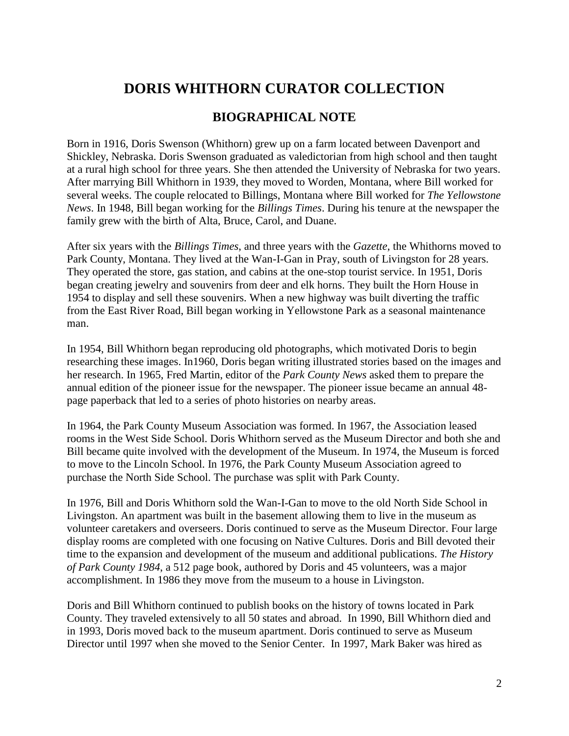## **BIOGRAPHICAL NOTE**

Born in 1916, Doris Swenson (Whithorn) grew up on a farm located between Davenport and Shickley, Nebraska. Doris Swenson graduated as valedictorian from high school and then taught at a rural high school for three years. She then attended the University of Nebraska for two years. After marrying Bill Whithorn in 1939, they moved to Worden, Montana, where Bill worked for several weeks. The couple relocated to Billings, Montana where Bill worked for *The Yellowstone News*. In 1948, Bill began working for the *Billings Times*. During his tenure at the newspaper the family grew with the birth of Alta, Bruce, Carol, and Duane.

After six years with the *Billings Times*, and three years with the *Gazette*, the Whithorns moved to Park County, Montana. They lived at the Wan-I-Gan in Pray, south of Livingston for 28 years. They operated the store, gas station, and cabins at the one-stop tourist service. In 1951, Doris began creating jewelry and souvenirs from deer and elk horns. They built the Horn House in 1954 to display and sell these souvenirs. When a new highway was built diverting the traffic from the East River Road, Bill began working in Yellowstone Park as a seasonal maintenance man.

In 1954, Bill Whithorn began reproducing old photographs, which motivated Doris to begin researching these images. In1960, Doris began writing illustrated stories based on the images and her research. In 1965, Fred Martin, editor of the *Park County News* asked them to prepare the annual edition of the pioneer issue for the newspaper. The pioneer issue became an annual 48 page paperback that led to a series of photo histories on nearby areas.

In 1964, the Park County Museum Association was formed. In 1967, the Association leased rooms in the West Side School. Doris Whithorn served as the Museum Director and both she and Bill became quite involved with the development of the Museum. In 1974, the Museum is forced to move to the Lincoln School. In 1976, the Park County Museum Association agreed to purchase the North Side School. The purchase was split with Park County.

In 1976, Bill and Doris Whithorn sold the Wan-I-Gan to move to the old North Side School in Livingston. An apartment was built in the basement allowing them to live in the museum as volunteer caretakers and overseers. Doris continued to serve as the Museum Director. Four large display rooms are completed with one focusing on Native Cultures. Doris and Bill devoted their time to the expansion and development of the museum and additional publications. *The History of Park County 1984*, a 512 page book, authored by Doris and 45 volunteers, was a major accomplishment. In 1986 they move from the museum to a house in Livingston.

Doris and Bill Whithorn continued to publish books on the history of towns located in Park County. They traveled extensively to all 50 states and abroad. In 1990, Bill Whithorn died and in 1993, Doris moved back to the museum apartment. Doris continued to serve as Museum Director until 1997 when she moved to the Senior Center. In 1997, Mark Baker was hired as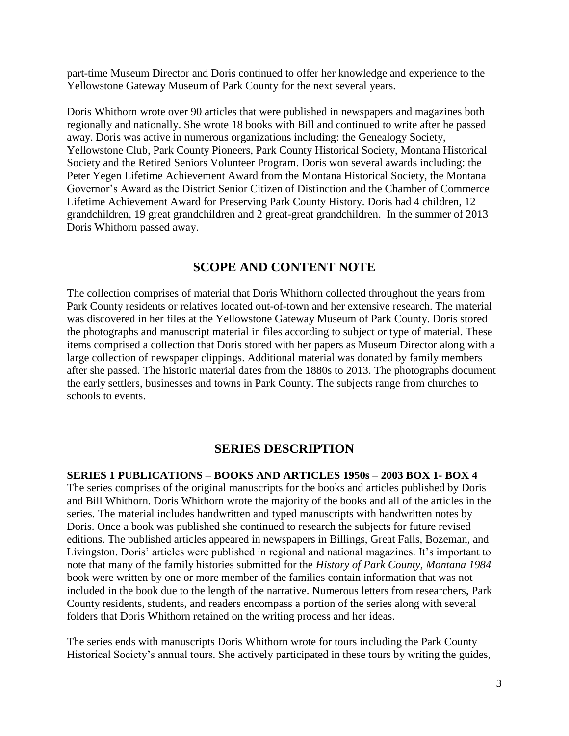part-time Museum Director and Doris continued to offer her knowledge and experience to the Yellowstone Gateway Museum of Park County for the next several years.

Doris Whithorn wrote over 90 articles that were published in newspapers and magazines both regionally and nationally. She wrote 18 books with Bill and continued to write after he passed away. Doris was active in numerous organizations including: the Genealogy Society, Yellowstone Club, Park County Pioneers, Park County Historical Society, Montana Historical Society and the Retired Seniors Volunteer Program. Doris won several awards including: the Peter Yegen Lifetime Achievement Award from the Montana Historical Society, the Montana Governor's Award as the District Senior Citizen of Distinction and the Chamber of Commerce Lifetime Achievement Award for Preserving Park County History. Doris had 4 children, 12 grandchildren, 19 great grandchildren and 2 great-great grandchildren. In the summer of 2013 Doris Whithorn passed away.

### **SCOPE AND CONTENT NOTE**

The collection comprises of material that Doris Whithorn collected throughout the years from Park County residents or relatives located out-of-town and her extensive research. The material was discovered in her files at the Yellowstone Gateway Museum of Park County. Doris stored the photographs and manuscript material in files according to subject or type of material. These items comprised a collection that Doris stored with her papers as Museum Director along with a large collection of newspaper clippings. Additional material was donated by family members after she passed. The historic material dates from the 1880s to 2013. The photographs document the early settlers, businesses and towns in Park County. The subjects range from churches to schools to events.

## **SERIES DESCRIPTION**

**SERIES 1 PUBLICATIONS – BOOKS AND ARTICLES 1950s – 2003 BOX 1- BOX 4**

The series comprises of the original manuscripts for the books and articles published by Doris and Bill Whithorn. Doris Whithorn wrote the majority of the books and all of the articles in the series. The material includes handwritten and typed manuscripts with handwritten notes by Doris. Once a book was published she continued to research the subjects for future revised editions. The published articles appeared in newspapers in Billings, Great Falls, Bozeman, and Livingston. Doris' articles were published in regional and national magazines. It's important to note that many of the family histories submitted for the *History of Park County, Montana 1984* book were written by one or more member of the families contain information that was not included in the book due to the length of the narrative. Numerous letters from researchers, Park County residents, students, and readers encompass a portion of the series along with several folders that Doris Whithorn retained on the writing process and her ideas.

The series ends with manuscripts Doris Whithorn wrote for tours including the Park County Historical Society's annual tours. She actively participated in these tours by writing the guides,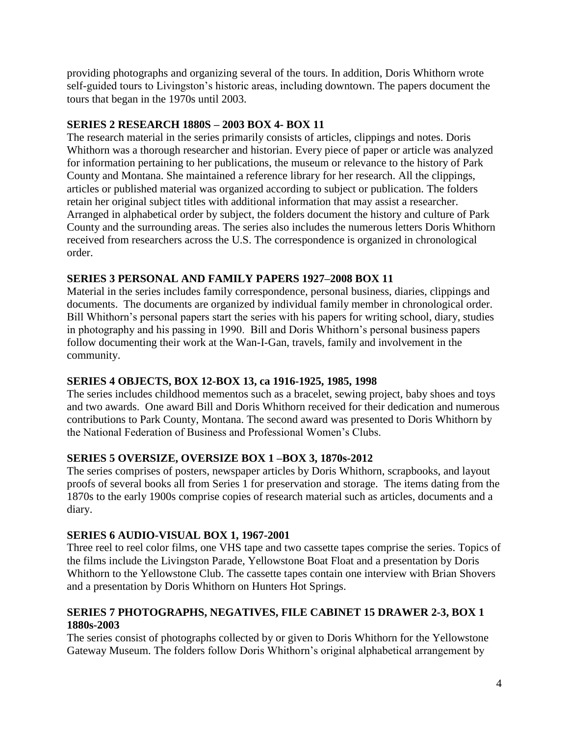providing photographs and organizing several of the tours. In addition, Doris Whithorn wrote self-guided tours to Livingston's historic areas, including downtown. The papers document the tours that began in the 1970s until 2003.

#### **SERIES 2 RESEARCH 1880S – 2003 BOX 4- BOX 11**

The research material in the series primarily consists of articles, clippings and notes. Doris Whithorn was a thorough researcher and historian. Every piece of paper or article was analyzed for information pertaining to her publications, the museum or relevance to the history of Park County and Montana. She maintained a reference library for her research. All the clippings, articles or published material was organized according to subject or publication. The folders retain her original subject titles with additional information that may assist a researcher. Arranged in alphabetical order by subject, the folders document the history and culture of Park County and the surrounding areas. The series also includes the numerous letters Doris Whithorn received from researchers across the U.S. The correspondence is organized in chronological order.

### **SERIES 3 PERSONAL AND FAMILY PAPERS 1927–2008 BOX 11**

Material in the series includes family correspondence, personal business, diaries, clippings and documents. The documents are organized by individual family member in chronological order. Bill Whithorn's personal papers start the series with his papers for writing school, diary, studies in photography and his passing in 1990. Bill and Doris Whithorn's personal business papers follow documenting their work at the Wan-I-Gan, travels, family and involvement in the community.

#### **SERIES 4 OBJECTS, BOX 12-BOX 13, ca 1916-1925, 1985, 1998**

The series includes childhood mementos such as a bracelet, sewing project, baby shoes and toys and two awards. One award Bill and Doris Whithorn received for their dedication and numerous contributions to Park County, Montana. The second award was presented to Doris Whithorn by the National Federation of Business and Professional Women's Clubs.

#### **SERIES 5 OVERSIZE, OVERSIZE BOX 1 –BOX 3, 1870s-2012**

The series comprises of posters, newspaper articles by Doris Whithorn, scrapbooks, and layout proofs of several books all from Series 1 for preservation and storage. The items dating from the 1870s to the early 1900s comprise copies of research material such as articles, documents and a diary.

#### **SERIES 6 AUDIO-VISUAL BOX 1, 1967-2001**

Three reel to reel color films, one VHS tape and two cassette tapes comprise the series. Topics of the films include the Livingston Parade, Yellowstone Boat Float and a presentation by Doris Whithorn to the Yellowstone Club. The cassette tapes contain one interview with Brian Shovers and a presentation by Doris Whithorn on Hunters Hot Springs.

#### **SERIES 7 PHOTOGRAPHS, NEGATIVES, FILE CABINET 15 DRAWER 2-3, BOX 1 1880s-2003**

The series consist of photographs collected by or given to Doris Whithorn for the Yellowstone Gateway Museum. The folders follow Doris Whithorn's original alphabetical arrangement by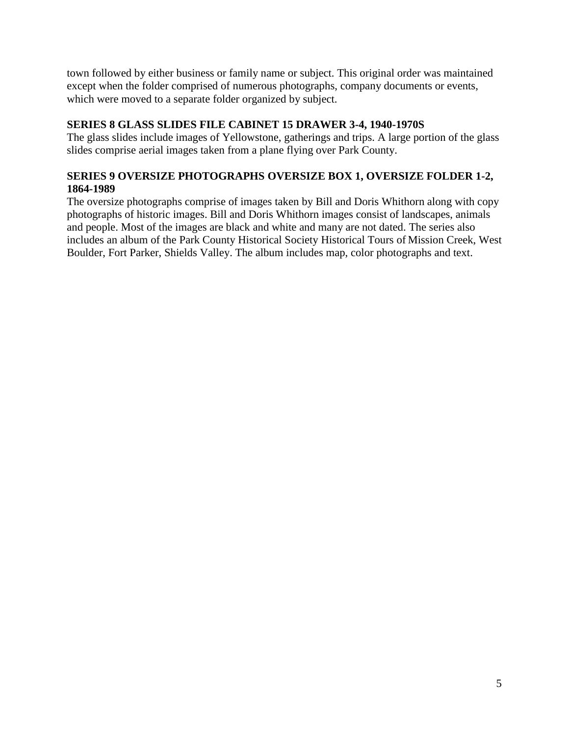town followed by either business or family name or subject. This original order was maintained except when the folder comprised of numerous photographs, company documents or events, which were moved to a separate folder organized by subject.

### **SERIES 8 GLASS SLIDES FILE CABINET 15 DRAWER 3-4, 1940-1970S**

The glass slides include images of Yellowstone, gatherings and trips. A large portion of the glass slides comprise aerial images taken from a plane flying over Park County.

### **SERIES 9 OVERSIZE PHOTOGRAPHS OVERSIZE BOX 1, OVERSIZE FOLDER 1-2, 1864-1989**

The oversize photographs comprise of images taken by Bill and Doris Whithorn along with copy photographs of historic images. Bill and Doris Whithorn images consist of landscapes, animals and people. Most of the images are black and white and many are not dated. The series also includes an album of the Park County Historical Society Historical Tours of Mission Creek, West Boulder, Fort Parker, Shields Valley. The album includes map, color photographs and text.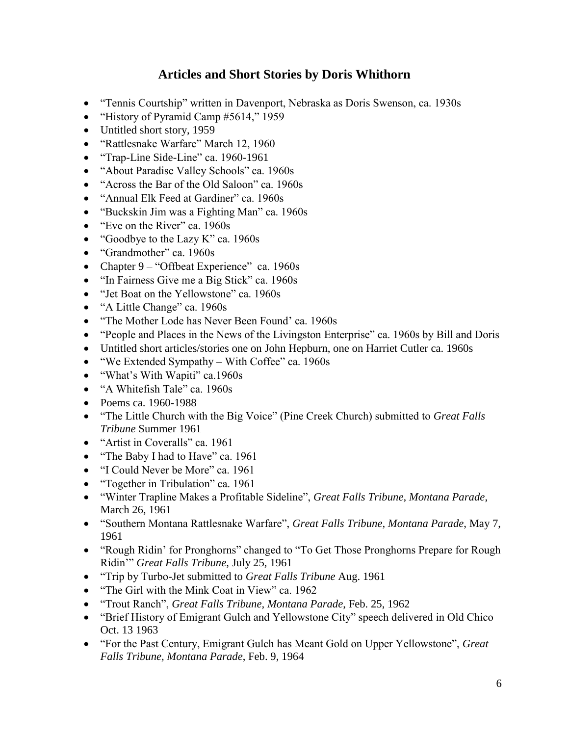## **Articles and Short Stories by Doris Whithorn**

- "Tennis Courtship" written in Davenport, Nebraska as Doris Swenson, ca. 1930s
- "History of Pyramid Camp #5614," 1959
- Untitled short story, 1959
- "Rattlesnake Warfare" March 12, 1960
- "Trap-Line Side-Line" ca. 1960-1961
- "About Paradise Valley Schools" ca. 1960s
- "Across the Bar of the Old Saloon" ca. 1960s
- "Annual Elk Feed at Gardiner" ca. 1960s
- "Buckskin Jim was a Fighting Man" ca. 1960s
- "Eve on the River" ca. 1960s
- "Goodbye to the Lazy K" ca. 1960s
- "Grandmother" ca. 1960s
- Chapter 9 "Offbeat Experience" ca. 1960s
- "In Fairness Give me a Big Stick" ca. 1960s
- "Jet Boat on the Yellowstone" ca. 1960s
- "A Little Change" ca. 1960s
- "The Mother Lode has Never Been Found' ca. 1960s
- "People and Places in the News of the Livingston Enterprise" ca. 1960s by Bill and Doris
- Untitled short articles/stories one on John Hepburn, one on Harriet Cutler ca. 1960s
- "We Extended Sympathy With Coffee" ca. 1960s
- "What's With Wapiti" ca.1960s
- "A Whitefish Tale" ca. 1960s
- Poems ca. 1960-1988
- "The Little Church with the Big Voice" (Pine Creek Church) submitted to *Great Falls Tribune* Summer 1961
- "Artist in Coveralls" ca. 1961
- "The Baby I had to Have" ca. 1961
- "I Could Never be More" ca. 1961
- "Together in Tribulation" ca. 1961
- "Winter Trapline Makes a Profitable Sideline", *Great Falls Tribune, Montana Parade*, March 26, 1961
- "Southern Montana Rattlesnake Warfare", *Great Falls Tribune, Montana Parade*, May 7, 1961
- "Rough Ridin' for Pronghorns" changed to "To Get Those Pronghorns Prepare for Rough Ridin'" *Great Falls Tribune*, July 25, 1961
- "Trip by Turbo-Jet submitted to *Great Falls Tribune* Aug. 1961
- "The Girl with the Mink Coat in View" ca. 1962
- "Trout Ranch", *Great Falls Tribune, Montana Parade*, Feb. 25, 1962
- "Brief History of Emigrant Gulch and Yellowstone City" speech delivered in Old Chico Oct. 13 1963
- "For the Past Century, Emigrant Gulch has Meant Gold on Upper Yellowstone", *Great Falls Tribune, Montana Parade*, Feb. 9, 1964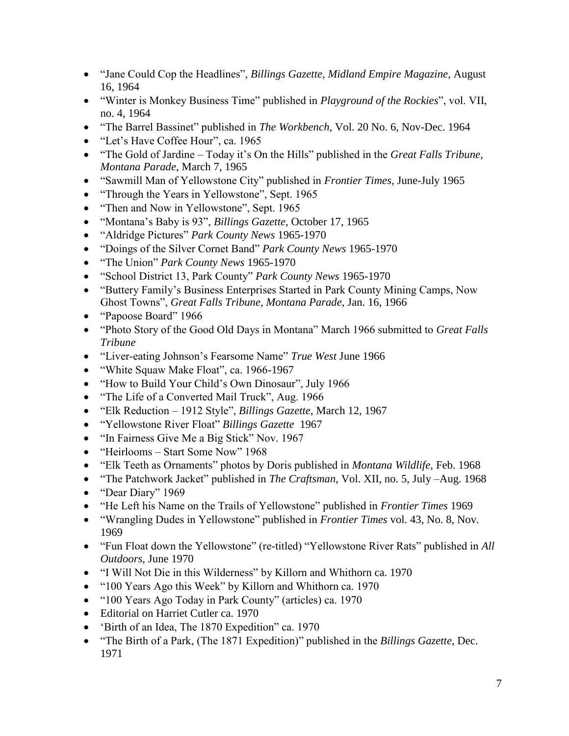- "Jane Could Cop the Headlines", *Billings Gazette, Midland Empire Magazine*, August 16, 1964
- "Winter is Monkey Business Time" published in *Playground of the Rockies*", vol. VII, no. 4, 1964
- "The Barrel Bassinet" published in *The Workbench*, Vol. 20 No. 6, Nov-Dec. 1964
- "Let's Have Coffee Hour", ca. 1965
- "The Gold of Jardine Today it's On the Hills" published in the *Great Falls Tribune*, *Montana Parade*, March 7, 1965
- "Sawmill Man of Yellowstone City" published in *Frontier Times,* June-July 1965
- "Through the Years in Yellowstone", Sept. 1965
- "Then and Now in Yellowstone", Sept. 1965
- "Montana's Baby is 93", *Billings Gazette*, October 17, 1965
- "Aldridge Pictures" *Park County News* 1965-1970
- "Doings of the Silver Cornet Band" *Park County News* 1965-1970
- "The Union" *Park County News* 1965-1970
- "School District 13, Park County" *Park County News* 1965-1970
- "Buttery Family's Business Enterprises Started in Park County Mining Camps, Now Ghost Towns", *Great Falls Tribune, Montana Parade*, Jan. 16, 1966
- "Papoose Board" 1966
- "Photo Story of the Good Old Days in Montana" March 1966 submitted to *Great Falls Tribune*
- "Liver-eating Johnson's Fearsome Name" *True West* June 1966
- "White Squaw Make Float", ca. 1966-1967
- "How to Build Your Child's Own Dinosaur", July 1966
- "The Life of a Converted Mail Truck", Aug. 1966
- "Elk Reduction 1912 Style", *Billings Gazette*, March 12, 1967
- "Yellowstone River Float" *Billings Gazette* 1967
- "In Fairness Give Me a Big Stick" Nov. 1967
- "Heirlooms Start Some Now" 1968
- "Elk Teeth as Ornaments" photos by Doris published in *Montana Wildlife*, Feb. 1968
- "The Patchwork Jacket" published in *The Craftsman*, Vol. XII, no. 5, July –Aug. 1968
- "Dear Diary" 1969
- "He Left his Name on the Trails of Yellowstone" published in *Frontier Times* 1969
- "Wrangling Dudes in Yellowstone" published in *Frontier Times* vol. 43, No. 8, Nov. 1969
- "Fun Float down the Yellowstone" (re-titled) "Yellowstone River Rats" published in *All Outdoors*, June 1970
- "I Will Not Die in this Wilderness" by Killorn and Whithorn ca. 1970
- "100 Years Ago this Week" by Killorn and Whithorn ca. 1970
- "100 Years Ago Today in Park County" (articles) ca. 1970
- Editorial on Harriet Cutler ca. 1970
- 'Birth of an Idea, The 1870 Expedition" ca. 1970
- "The Birth of a Park, (The 1871 Expedition)" published in the *Billings Gazette*, Dec. 1971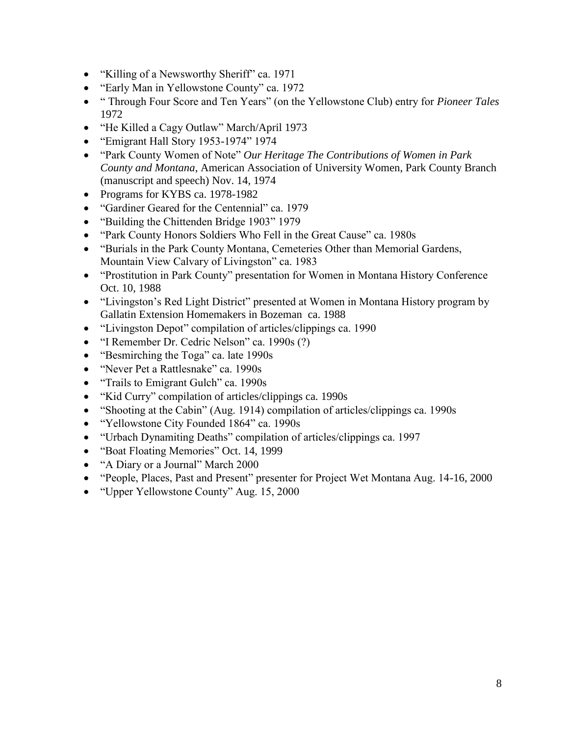- "Killing of a Newsworthy Sheriff" ca. 1971
- "Early Man in Yellowstone County" ca. 1972
- " Through Four Score and Ten Years" (on the Yellowstone Club) entry for *Pioneer Tales* 1972
- "He Killed a Cagy Outlaw" March/April 1973
- "Emigrant Hall Story 1953-1974" 1974
- "Park County Women of Note" *Our Heritage The Contributions of Women in Park County and Montana*, American Association of University Women, Park County Branch (manuscript and speech) Nov. 14, 1974
- Programs for KYBS ca. 1978-1982
- "Gardiner Geared for the Centennial" ca. 1979
- "Building the Chittenden Bridge 1903" 1979
- "Park County Honors Soldiers Who Fell in the Great Cause" ca. 1980s
- "Burials in the Park County Montana, Cemeteries Other than Memorial Gardens, Mountain View Calvary of Livingston" ca. 1983
- "Prostitution in Park County" presentation for Women in Montana History Conference Oct. 10, 1988
- "Livingston's Red Light District" presented at Women in Montana History program by Gallatin Extension Homemakers in Bozeman ca. 1988
- "Livingston Depot" compilation of articles/clippings ca. 1990
- "I Remember Dr. Cedric Nelson" ca. 1990s (?)
- "Besmirching the Toga" ca. late 1990s
- "Never Pet a Rattlesnake" ca. 1990s
- "Trails to Emigrant Gulch" ca. 1990s
- "Kid Curry" compilation of articles/clippings ca. 1990s
- "Shooting at the Cabin" (Aug. 1914) compilation of articles/clippings ca. 1990s
- "Yellowstone City Founded 1864" ca. 1990s
- "Urbach Dynamiting Deaths" compilation of articles/clippings ca. 1997
- "Boat Floating Memories" Oct. 14, 1999
- "A Diary or a Journal" March 2000
- "People, Places, Past and Present" presenter for Project Wet Montana Aug. 14-16, 2000
- "Upper Yellowstone County" Aug. 15, 2000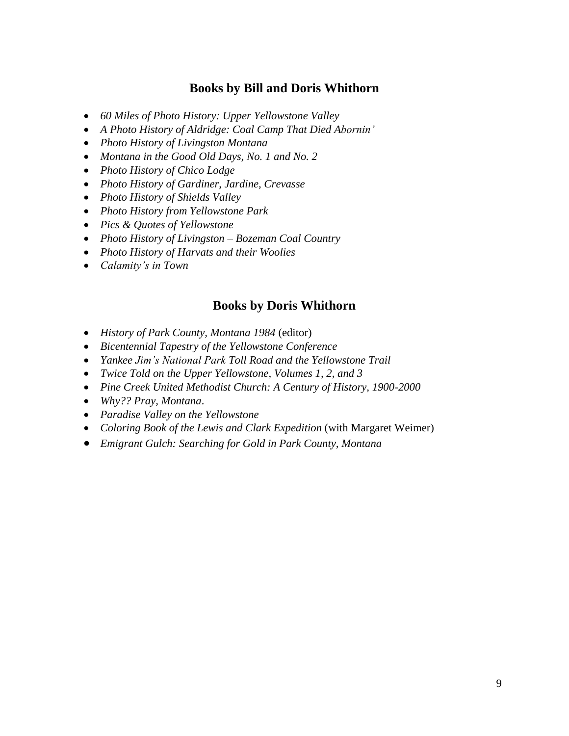## **Books by Bill and Doris Whithorn**

- *60 Miles of Photo History: Upper Yellowstone Valley*
- *A Photo History of Aldridge: Coal Camp That Died Abornin'*
- *Photo History of Livingston Montana*
- *Montana in the Good Old Days, No. 1 and No. 2*
- *Photo History of Chico Lodge*
- *Photo History of Gardiner, Jardine, Crevasse*
- *Photo History of Shields Valley*
- *Photo History from Yellowstone Park*
- *Pics & Quotes of Yellowstone*
- *Photo History of Livingston – Bozeman Coal Country*
- *Photo History of Harvats and their Woolies*
- *Calamity's in Town*

### **Books by Doris Whithorn**

- *History of Park County, Montana 1984* (editor)
- *Bicentennial Tapestry of the Yellowstone Conference*
- *Yankee Jim's National Park Toll Road and the Yellowstone Trail*
- *Twice Told on the Upper Yellowstone, Volumes 1, 2, and 3*
- *Pine Creek United Methodist Church: A Century of History, 1900-2000*
- *Why?? Pray, Montana*.
- *Paradise Valley on the Yellowstone*
- *Coloring Book of the Lewis and Clark Expedition* (with Margaret Weimer)
- *Emigrant Gulch: Searching for Gold in Park County, Montana*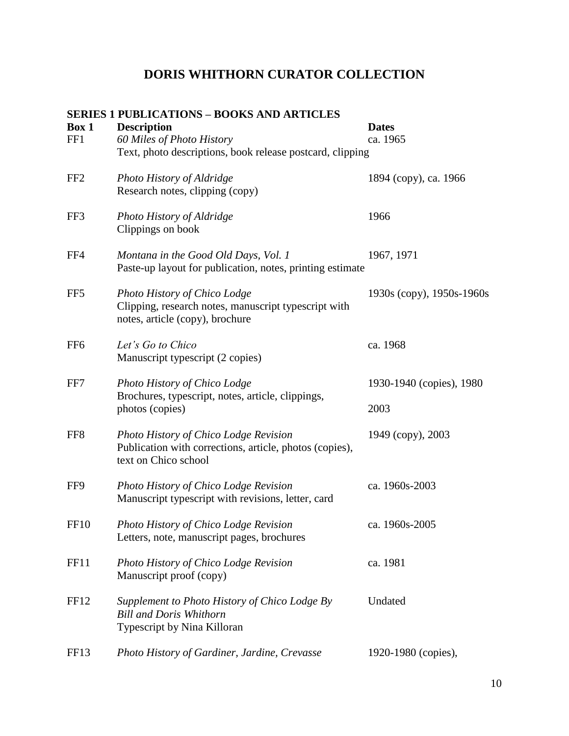## **SERIES 1 PUBLICATIONS – BOOKS AND ARTICLES Box 1 Description Dates** FF1 *60 Miles of Photo History* ca. 1965 Text, photo descriptions, book release postcard, clipping FF2 *Photo History of Aldridge* 1894 (copy), ca. 1966 Research notes, clipping (copy) FF3 *Photo History of Aldridge* 1966 Clippings on book FF4 *Montana in the Good Old Days, Vol. 1* 1967, 1971 Paste-up layout for publication, notes, printing estimate FF5 *Photo History of Chico Lodge* 1930s (copy), 1950s-1960s Clipping, research notes, manuscript typescript with notes, article (copy), brochure FF6 *Let's Go to Chico* ca. 1968 Manuscript typescript (2 copies) FF7 *Photo History of Chico Lodge* 1930-1940 (copies), 1980 Brochures, typescript, notes, article, clippings, photos (copies) 2003 FF8 *Photo History of Chico Lodge Revision* 1949 (copy), 2003 Publication with corrections, article, photos (copies), text on Chico school FF9 *Photo History of Chico Lodge Revision* ca. 1960s-2003 Manuscript typescript with revisions, letter, card FF10 *Photo History of Chico Lodge Revision* ca. 1960s-2005 Letters, note, manuscript pages, brochures FF11 *Photo History of Chico Lodge Revision* ca. 1981 Manuscript proof (copy) FF12 *Supplement to Photo History of Chico Lodge By* Undated *Bill and Doris Whithorn* Typescript by Nina Killoran FF13 *Photo History of Gardiner, Jardine, Crevasse* 1920-1980 (copies),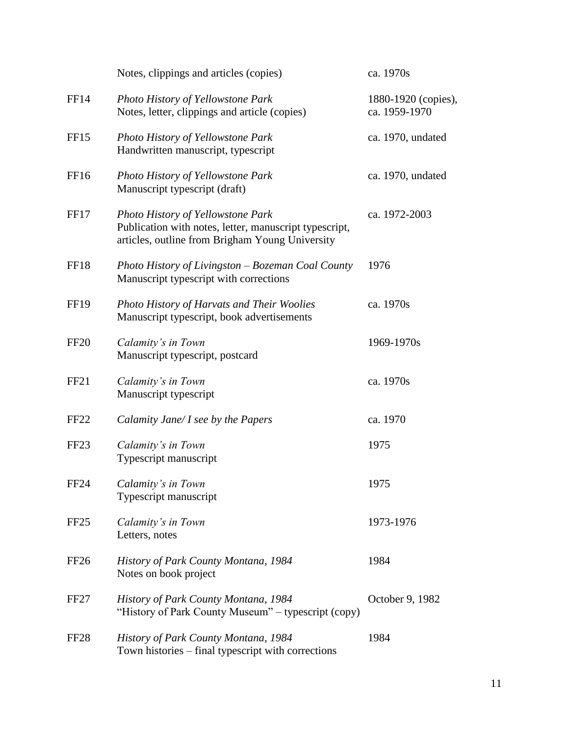|                  | Notes, clippings and articles (copies)                                                                                                         | ca. 1970s                            |
|------------------|------------------------------------------------------------------------------------------------------------------------------------------------|--------------------------------------|
| FF14             | <b>Photo History of Yellowstone Park</b><br>Notes, letter, clippings and article (copies)                                                      | 1880-1920 (copies),<br>ca. 1959-1970 |
| FF15             | Photo History of Yellowstone Park<br>Handwritten manuscript, typescript                                                                        | ca. 1970, undated                    |
| FF16             | <b>Photo History of Yellowstone Park</b><br>Manuscript typescript (draft)                                                                      | ca. 1970, undated                    |
| FF17             | Photo History of Yellowstone Park<br>Publication with notes, letter, manuscript typescript,<br>articles, outline from Brigham Young University | ca. 1972-2003                        |
| FF18             | Photo History of Livingston – Bozeman Coal County<br>Manuscript typescript with corrections                                                    | 1976                                 |
| <b>FF19</b>      | Photo History of Harvats and Their Woolies<br>Manuscript typescript, book advertisements                                                       | ca. 1970s                            |
| <b>FF20</b>      | Calamity's in Town<br>Manuscript typescript, postcard                                                                                          | 1969-1970s                           |
| FF <sub>21</sub> | Calamity's in Town<br>Manuscript typescript                                                                                                    | ca. 1970s                            |
| FF <sub>22</sub> | Calamity Jane/ I see by the Papers                                                                                                             | ca. 1970                             |
| FF <sub>23</sub> | Calamity's in Town<br>Typescript manuscript                                                                                                    | 1975                                 |
| FF <sub>24</sub> | Calamity's in Town<br>Typescript manuscript                                                                                                    | 1975                                 |
| FF <sub>25</sub> | Calamity's in Town<br>Letters, notes                                                                                                           | 1973-1976                            |
| FF <sub>26</sub> | <b>History of Park County Montana, 1984</b><br>Notes on book project                                                                           | 1984                                 |
| <b>FF27</b>      | History of Park County Montana, 1984<br>"History of Park County Museum" – typescript (copy)                                                    | October 9, 1982                      |
| FF <sub>28</sub> | History of Park County Montana, 1984<br>Town histories - final typescript with corrections                                                     | 1984                                 |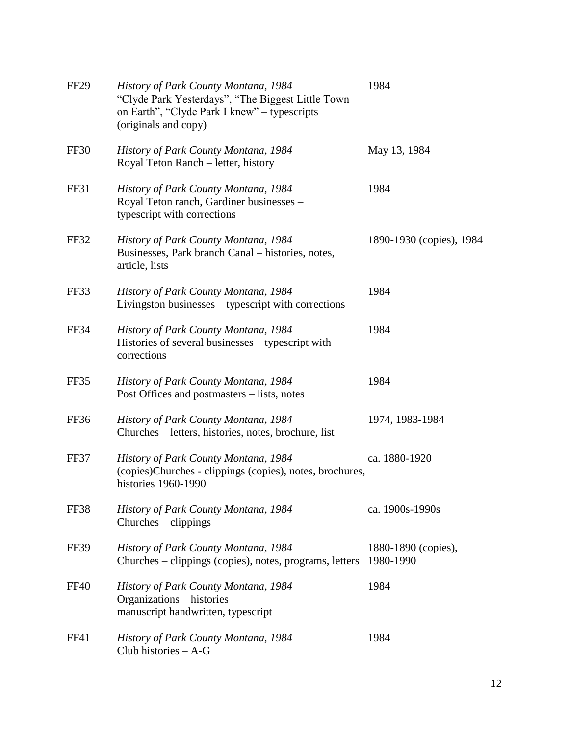| <b>FF29</b> | History of Park County Montana, 1984<br>"Clyde Park Yesterdays", "The Biggest Little Town<br>on Earth", "Clyde Park I knew" - typescripts<br>(originals and copy) | 1984                             |
|-------------|-------------------------------------------------------------------------------------------------------------------------------------------------------------------|----------------------------------|
| FF30        | History of Park County Montana, 1984<br>Royal Teton Ranch – letter, history                                                                                       | May 13, 1984                     |
| FF31        | History of Park County Montana, 1984<br>Royal Teton ranch, Gardiner businesses -<br>typescript with corrections                                                   | 1984                             |
| FF32        | History of Park County Montana, 1984<br>Businesses, Park branch Canal – histories, notes,<br>article, lists                                                       | 1890-1930 (copies), 1984         |
| FF33        | History of Park County Montana, 1984<br>Livingston businesses - typescript with corrections                                                                       | 1984                             |
| FF34        | History of Park County Montana, 1984<br>Histories of several businesses—typescript with<br>corrections                                                            | 1984                             |
| FF35        | History of Park County Montana, 1984<br>Post Offices and postmasters – lists, notes                                                                               | 1984                             |
| FF36        | History of Park County Montana, 1984<br>Churches – letters, histories, notes, brochure, list                                                                      | 1974, 1983-1984                  |
| FF37        | History of Park County Montana, 1984<br>(copies)Churches - clippings (copies), notes, brochures,<br>histories 1960-1990                                           | ca. 1880-1920                    |
| FF38        | <b>History of Park County Montana, 1984</b><br>$Churches - clippings$                                                                                             | ca. 1900s-1990s                  |
| <b>FF39</b> | History of Park County Montana, 1984<br>Churches – clippings (copies), notes, programs, letters                                                                   | 1880-1890 (copies),<br>1980-1990 |
| <b>FF40</b> | History of Park County Montana, 1984<br>Organizations - histories<br>manuscript handwritten, typescript                                                           | 1984                             |
| FF41        | History of Park County Montana, 1984<br>Club histories $- A - G$                                                                                                  | 1984                             |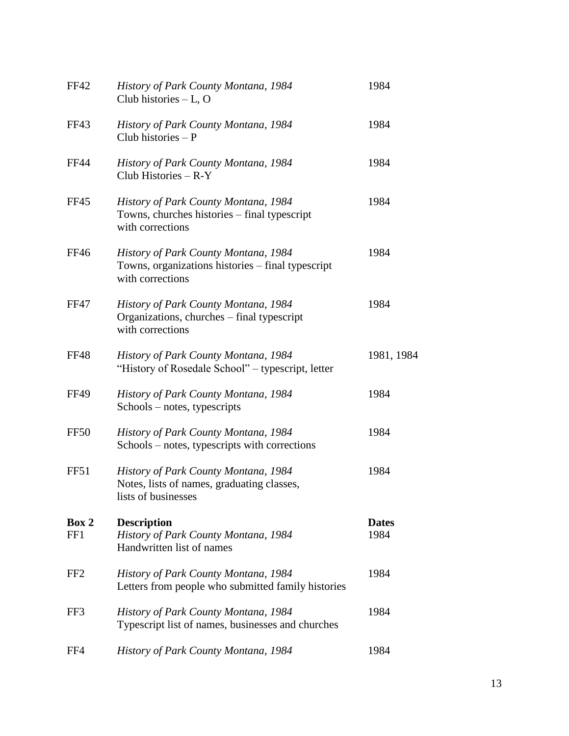| <b>FF42</b>     | History of Park County Montana, 1984<br>Club histories - L, O                                                 | 1984                 |
|-----------------|---------------------------------------------------------------------------------------------------------------|----------------------|
| FF43            | History of Park County Montana, 1984<br>Club histories $-P$                                                   | 1984                 |
| <b>FF44</b>     | History of Park County Montana, 1984<br>Club Histories $-R-Y$                                                 | 1984                 |
| <b>FF45</b>     | History of Park County Montana, 1984<br>Towns, churches histories – final typescript<br>with corrections      | 1984                 |
| <b>FF46</b>     | History of Park County Montana, 1984<br>Towns, organizations histories - final typescript<br>with corrections | 1984                 |
| <b>FF47</b>     | History of Park County Montana, 1984<br>Organizations, churches - final typescript<br>with corrections        | 1984                 |
| <b>FF48</b>     | History of Park County Montana, 1984<br>"History of Rosedale School" – typescript, letter                     | 1981, 1984           |
| <b>FF49</b>     | History of Park County Montana, 1984<br>Schools – notes, typescripts                                          | 1984                 |
| FF50            | History of Park County Montana, 1984<br>Schools – notes, typescripts with corrections                         | 1984                 |
| FF51            | History of Park County Montana, 1984<br>Notes, lists of names, graduating classes,<br>lists of businesses     | 1984                 |
| Box 2<br>FF1    | <b>Description</b><br>History of Park County Montana, 1984<br>Handwritten list of names                       | <b>Dates</b><br>1984 |
| FF <sub>2</sub> | <b>History of Park County Montana, 1984</b><br>Letters from people who submitted family histories             | 1984                 |
| FF3             | History of Park County Montana, 1984<br>Typescript list of names, businesses and churches                     | 1984                 |
| FF4             | History of Park County Montana, 1984                                                                          | 1984                 |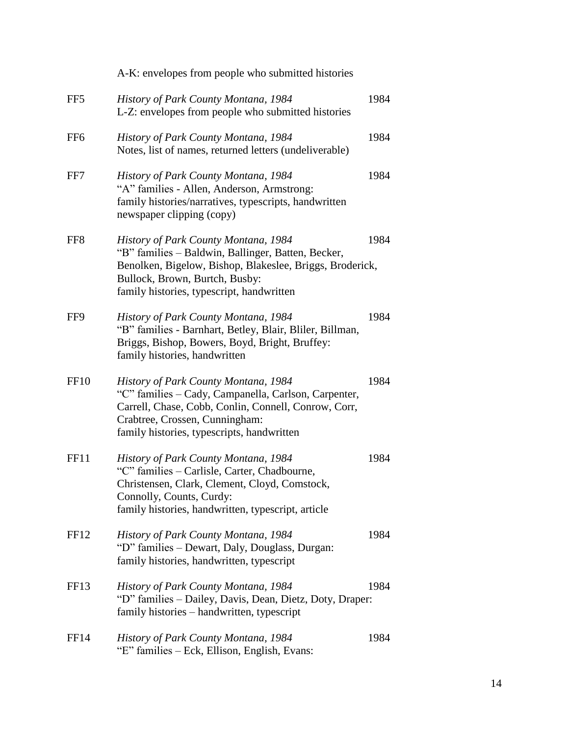|                  | A-K: envelopes from people who submitted histories                                                                                                                                                                                    |      |
|------------------|---------------------------------------------------------------------------------------------------------------------------------------------------------------------------------------------------------------------------------------|------|
| FF <sub>5</sub>  | History of Park County Montana, 1984<br>L-Z: envelopes from people who submitted histories                                                                                                                                            | 1984 |
| FF <sub>6</sub>  | History of Park County Montana, 1984<br>Notes, list of names, returned letters (undeliverable)                                                                                                                                        | 1984 |
| FF7              | History of Park County Montana, 1984<br>"A" families - Allen, Anderson, Armstrong:<br>family histories/narratives, typescripts, handwritten<br>newspaper clipping (copy)                                                              | 1984 |
| FF <sub>8</sub>  | History of Park County Montana, 1984<br>"B" families - Baldwin, Ballinger, Batten, Becker,<br>Benolken, Bigelow, Bishop, Blakeslee, Briggs, Broderick,<br>Bullock, Brown, Burtch, Busby:<br>family histories, typescript, handwritten | 1984 |
| FF9              | History of Park County Montana, 1984<br>"B" families - Barnhart, Betley, Blair, Bliler, Billman,<br>Briggs, Bishop, Bowers, Boyd, Bright, Bruffey:<br>family histories, handwritten                                                   | 1984 |
| FF <sub>10</sub> | History of Park County Montana, 1984<br>"C" families - Cady, Campanella, Carlson, Carpenter,<br>Carrell, Chase, Cobb, Conlin, Connell, Conrow, Corr,<br>Crabtree, Crossen, Cunningham:<br>family histories, typescripts, handwritten  | 1984 |
| FF11             | History of Park County Montana, 1984<br>"C" families - Carlisle, Carter, Chadbourne,<br>Christensen, Clark, Clement, Cloyd, Comstock,<br>Connolly, Counts, Curdy:<br>family histories, handwritten, typescript, article               | 1984 |
| FF <sub>12</sub> | History of Park County Montana, 1984<br>"D" families – Dewart, Daly, Douglass, Durgan:<br>family histories, handwritten, typescript                                                                                                   | 1984 |
| FF <sub>13</sub> | History of Park County Montana, 1984<br>"D" families - Dailey, Davis, Dean, Dietz, Doty, Draper:<br>family histories - handwritten, typescript                                                                                        | 1984 |
| FF <sub>14</sub> | History of Park County Montana, 1984<br>"E" families – Eck, Ellison, English, Evans:                                                                                                                                                  | 1984 |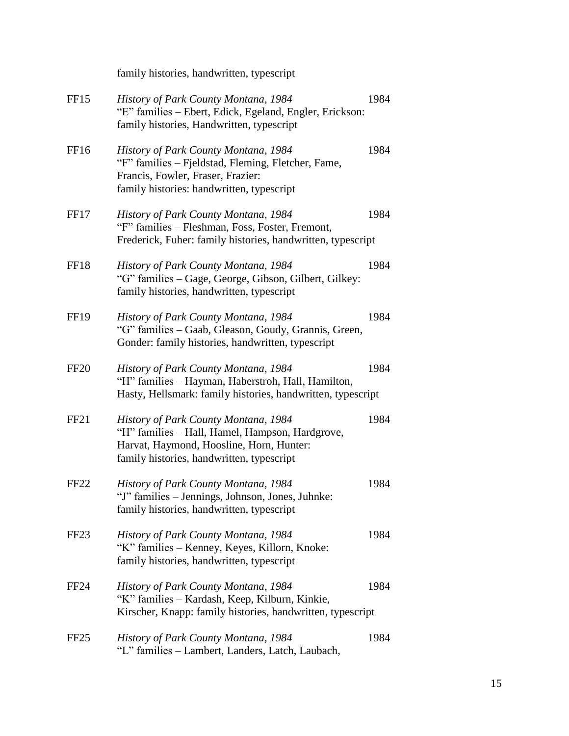|                  | family histories, handwritten, typescript                                                                                                                                        |      |
|------------------|----------------------------------------------------------------------------------------------------------------------------------------------------------------------------------|------|
| FF <sub>15</sub> | History of Park County Montana, 1984<br>"E" families – Ebert, Edick, Egeland, Engler, Erickson:<br>family histories, Handwritten, typescript                                     | 1984 |
| FF <sub>16</sub> | History of Park County Montana, 1984<br>"F" families - Fjeldstad, Fleming, Fletcher, Fame,<br>Francis, Fowler, Fraser, Frazier:<br>family histories: handwritten, typescript     | 1984 |
| FF17             | History of Park County Montana, 1984<br>"F" families - Fleshman, Foss, Foster, Fremont,<br>Frederick, Fuher: family histories, handwritten, typescript                           | 1984 |
| FF18             | History of Park County Montana, 1984<br>"G" families - Gage, George, Gibson, Gilbert, Gilkey:<br>family histories, handwritten, typescript                                       | 1984 |
| <b>FF19</b>      | History of Park County Montana, 1984<br>"G" families - Gaab, Gleason, Goudy, Grannis, Green,<br>Gonder: family histories, handwritten, typescript                                | 1984 |
| <b>FF20</b>      | History of Park County Montana, 1984<br>"H" families - Hayman, Haberstroh, Hall, Hamilton,<br>Hasty, Hellsmark: family histories, handwritten, typescript                        | 1984 |
| FF <sub>21</sub> | History of Park County Montana, 1984<br>"H" families - Hall, Hamel, Hampson, Hardgrove,<br>Harvat, Haymond, Hoosline, Horn, Hunter:<br>family histories, handwritten, typescript | 1984 |
| FF <sub>22</sub> | History of Park County Montana, 1984<br>"J" families – Jennings, Johnson, Jones, Juhnke:<br>family histories, handwritten, typescript                                            | 1984 |
| FF <sub>23</sub> | <b>History of Park County Montana, 1984</b><br>"K" families – Kenney, Keyes, Killorn, Knoke:<br>family histories, handwritten, typescript                                        | 1984 |
| FF <sub>24</sub> | History of Park County Montana, 1984<br>"K" families - Kardash, Keep, Kilburn, Kinkie,<br>Kirscher, Knapp: family histories, handwritten, typescript                             | 1984 |
| FF <sub>25</sub> | <b>History of Park County Montana, 1984</b><br>"L" families – Lambert, Landers, Latch, Laubach,                                                                                  | 1984 |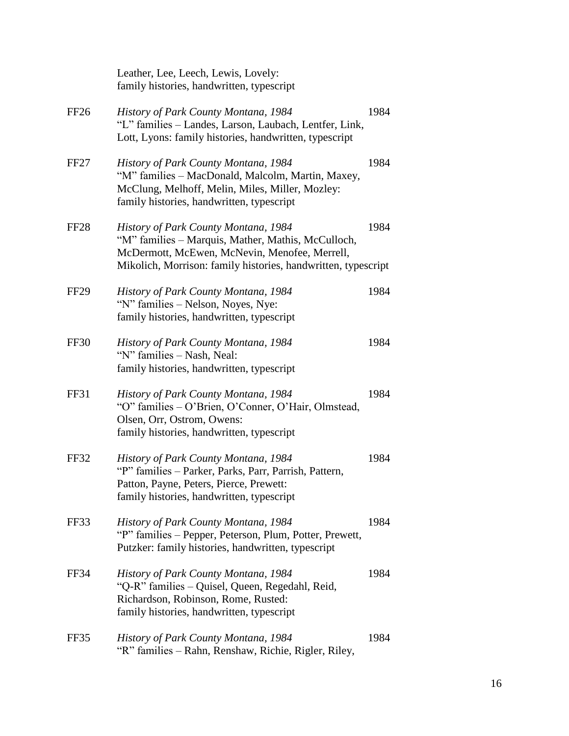|                  | Leather, Lee, Leech, Lewis, Lovely:<br>family histories, handwritten, typescript                                                                                                                             |      |
|------------------|--------------------------------------------------------------------------------------------------------------------------------------------------------------------------------------------------------------|------|
| FF26             | History of Park County Montana, 1984<br>"L" families - Landes, Larson, Laubach, Lentfer, Link,<br>Lott, Lyons: family histories, handwritten, typescript                                                     | 1984 |
| FF <sub>27</sub> | History of Park County Montana, 1984<br>"M" families - MacDonald, Malcolm, Martin, Maxey,<br>McClung, Melhoff, Melin, Miles, Miller, Mozley:<br>family histories, handwritten, typescript                    | 1984 |
| FF <sub>28</sub> | History of Park County Montana, 1984<br>"M" families - Marquis, Mather, Mathis, McCulloch,<br>McDermott, McEwen, McNevin, Menofee, Merrell,<br>Mikolich, Morrison: family histories, handwritten, typescript | 1984 |
| <b>FF29</b>      | History of Park County Montana, 1984<br>"N" families - Nelson, Noyes, Nye:<br>family histories, handwritten, typescript                                                                                      | 1984 |
| FF30             | History of Park County Montana, 1984<br>"N" families - Nash, Neal:<br>family histories, handwritten, typescript                                                                                              | 1984 |
| FF31             | History of Park County Montana, 1984<br>"O" families - O'Brien, O'Conner, O'Hair, Olmstead,<br>Olsen, Orr, Ostrom, Owens:<br>family histories, handwritten, typescript                                       | 1984 |
| FF32             | History of Park County Montana, 1984<br>"P" families – Parker, Parks, Parr, Parrish, Pattern,<br>Patton, Payne, Peters, Pierce, Prewett:<br>family histories, handwritten, typescript                        | 1984 |
| FF33             | History of Park County Montana, 1984<br>"P" families – Pepper, Peterson, Plum, Potter, Prewett,<br>Putzker: family histories, handwritten, typescript                                                        | 1984 |
| FF34             | History of Park County Montana, 1984<br>"Q-R" families - Quisel, Queen, Regedahl, Reid,<br>Richardson, Robinson, Rome, Rusted:<br>family histories, handwritten, typescript                                  | 1984 |
| FF35             | History of Park County Montana, 1984<br>"R" families - Rahn, Renshaw, Richie, Rigler, Riley,                                                                                                                 | 1984 |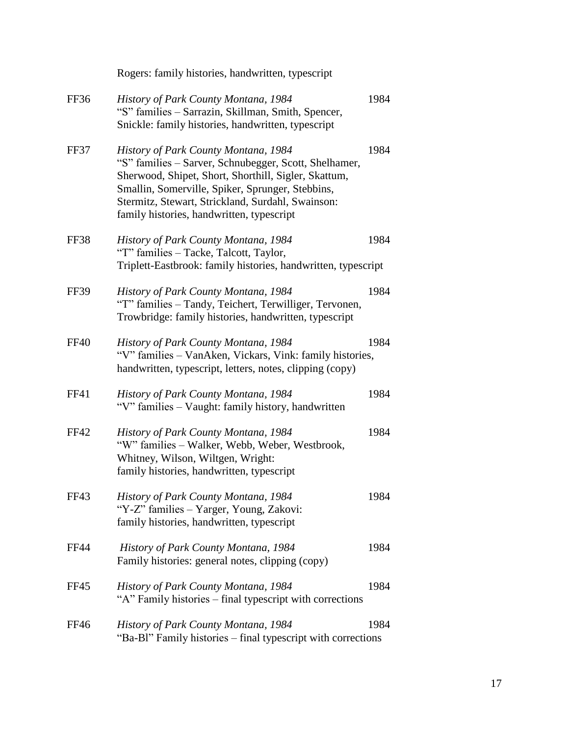|             | Rogers: family histories, handwritten, typescript                                                                                                                                                                                                                                                           |      |
|-------------|-------------------------------------------------------------------------------------------------------------------------------------------------------------------------------------------------------------------------------------------------------------------------------------------------------------|------|
| FF36        | History of Park County Montana, 1984<br>"S" families - Sarrazin, Skillman, Smith, Spencer,<br>Snickle: family histories, handwritten, typescript                                                                                                                                                            | 1984 |
| FF37        | History of Park County Montana, 1984<br>"S" families - Sarver, Schnubegger, Scott, Shelhamer,<br>Sherwood, Shipet, Short, Shorthill, Sigler, Skattum,<br>Smallin, Somerville, Spiker, Sprunger, Stebbins,<br>Stermitz, Stewart, Strickland, Surdahl, Swainson:<br>family histories, handwritten, typescript | 1984 |
| <b>FF38</b> | History of Park County Montana, 1984<br>"T" families - Tacke, Talcott, Taylor,<br>Triplett-Eastbrook: family histories, handwritten, typescript                                                                                                                                                             | 1984 |
| FF39        | History of Park County Montana, 1984<br>"T" families - Tandy, Teichert, Terwilliger, Tervonen,<br>Trowbridge: family histories, handwritten, typescript                                                                                                                                                     | 1984 |
| <b>FF40</b> | History of Park County Montana, 1984<br>"V" families - VanAken, Vickars, Vink: family histories,<br>handwritten, typescript, letters, notes, clipping (copy)                                                                                                                                                | 1984 |
| FF41        | History of Park County Montana, 1984<br>"V" families - Vaught: family history, handwritten                                                                                                                                                                                                                  | 1984 |
| <b>FF42</b> | History of Park County Montana, 1984<br>"W" families - Walker, Webb, Weber, Westbrook,<br>Whitney, Wilson, Wiltgen, Wright:<br>family histories, handwritten, typescript                                                                                                                                    | 1984 |
| FF43        | History of Park County Montana, 1984<br>"Y-Z" families – Yarger, Young, Zakovi:<br>family histories, handwritten, typescript                                                                                                                                                                                | 1984 |
| <b>FF44</b> | History of Park County Montana, 1984<br>Family histories: general notes, clipping (copy)                                                                                                                                                                                                                    | 1984 |
| <b>FF45</b> | History of Park County Montana, 1984<br>"A" Family histories - final typescript with corrections                                                                                                                                                                                                            | 1984 |
| <b>FF46</b> | History of Park County Montana, 1984<br>"Ba-Bl" Family histories - final typescript with corrections                                                                                                                                                                                                        | 1984 |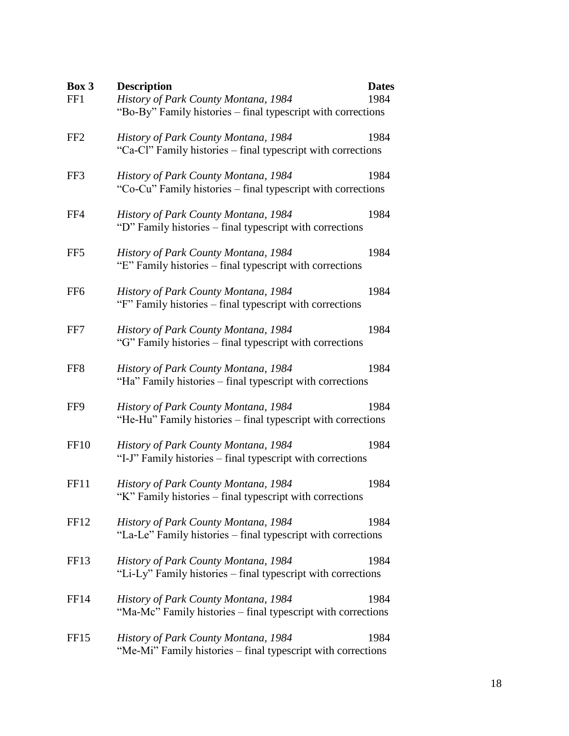| Box 3            | <b>Description</b>                                                                                   | <b>Dates</b> |
|------------------|------------------------------------------------------------------------------------------------------|--------------|
| FF1              | History of Park County Montana, 1984<br>"Bo-By" Family histories – final typescript with corrections | 1984         |
| FF <sub>2</sub>  | History of Park County Montana, 1984<br>"Ca-Cl" Family histories – final typescript with corrections | 1984         |
| FF3              | History of Park County Montana, 1984<br>"Co-Cu" Family histories – final typescript with corrections | 1984         |
| FF4              | History of Park County Montana, 1984<br>"D" Family histories – final typescript with corrections     | 1984         |
| FF5              | History of Park County Montana, 1984<br>"E" Family histories – final typescript with corrections     | 1984         |
| FF <sub>6</sub>  | History of Park County Montana, 1984<br>"F" Family histories – final typescript with corrections     | 1984         |
| FF7              | History of Park County Montana, 1984<br>"G" Family histories - final typescript with corrections     | 1984         |
| FF8              | History of Park County Montana, 1984<br>"Ha" Family histories – final typescript with corrections    | 1984         |
| FF9              | History of Park County Montana, 1984<br>"He-Hu" Family histories – final typescript with corrections | 1984         |
| <b>FF10</b>      | History of Park County Montana, 1984<br>"I-J" Family histories – final typescript with corrections   | 1984         |
| FF11             | History of Park County Montana, 1984<br>"K" Family histories - final typescript with corrections     | 1984         |
| FF <sub>12</sub> | History of Park County Montana, 1984<br>"La-Le" Family histories - final typescript with corrections | 1984         |
| FF13             | History of Park County Montana, 1984<br>"Li-Ly" Family histories – final typescript with corrections | 1984         |
| <b>FF14</b>      | History of Park County Montana, 1984<br>"Ma-Mc" Family histories - final typescript with corrections | 1984         |
| FF <sub>15</sub> | History of Park County Montana, 1984<br>"Me-Mi" Family histories - final typescript with corrections | 1984         |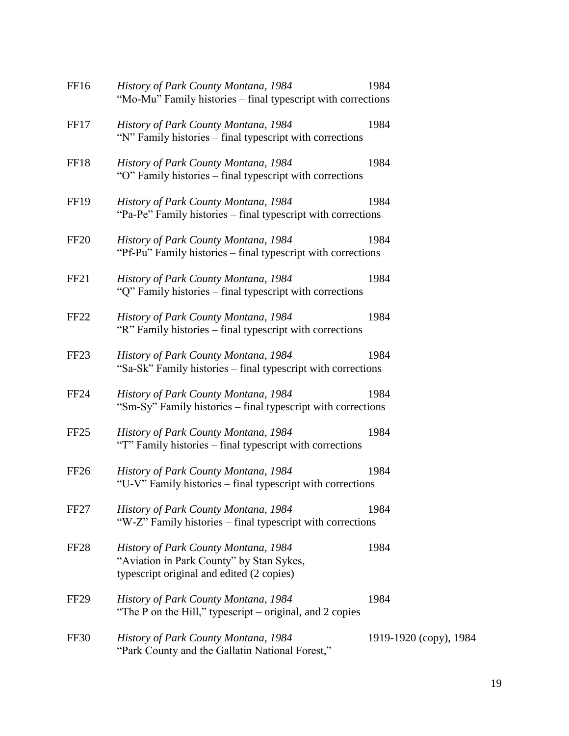| FF16             | History of Park County Montana, 1984<br>"Mo-Mu" Family histories – final typescript with corrections                          | 1984                   |
|------------------|-------------------------------------------------------------------------------------------------------------------------------|------------------------|
| FF17             | History of Park County Montana, 1984<br>"N" Family histories – final typescript with corrections                              | 1984                   |
| FF <sub>18</sub> | History of Park County Montana, 1984<br>"O" Family histories – final typescript with corrections                              | 1984                   |
| <b>FF19</b>      | History of Park County Montana, 1984<br>"Pa-Pe" Family histories – final typescript with corrections                          | 1984                   |
| FF <sub>20</sub> | History of Park County Montana, 1984<br>"Pf-Pu" Family histories – final typescript with corrections                          | 1984                   |
| FF <sub>21</sub> | History of Park County Montana, 1984<br>"Q" Family histories – final typescript with corrections                              | 1984                   |
| FF <sub>22</sub> | History of Park County Montana, 1984<br>"R" Family histories - final typescript with corrections                              | 1984                   |
| FF <sub>23</sub> | History of Park County Montana, 1984<br>"Sa-Sk" Family histories – final typescript with corrections                          | 1984                   |
| <b>FF24</b>      | History of Park County Montana, 1984<br>"Sm-Sy" Family histories – final typescript with corrections                          | 1984                   |
| FF <sub>25</sub> | History of Park County Montana, 1984<br>"T" Family histories – final typescript with corrections                              | 1984                   |
| FF <sub>26</sub> | History of Park County Montana, 1984<br>"U-V" Family histories – final typescript with corrections                            | 1984                   |
| FF <sub>27</sub> | History of Park County Montana, 1984<br>"W-Z" Family histories – final typescript with corrections                            | 1984                   |
| FF <sub>28</sub> | History of Park County Montana, 1984<br>"Aviation in Park County" by Stan Sykes,<br>typescript original and edited (2 copies) | 1984                   |
| <b>FF29</b>      | History of Park County Montana, 1984<br>"The P on the Hill," typescript – original, and 2 copies                              | 1984                   |
| FF30             | History of Park County Montana, 1984<br>"Park County and the Gallatin National Forest,"                                       | 1919-1920 (copy), 1984 |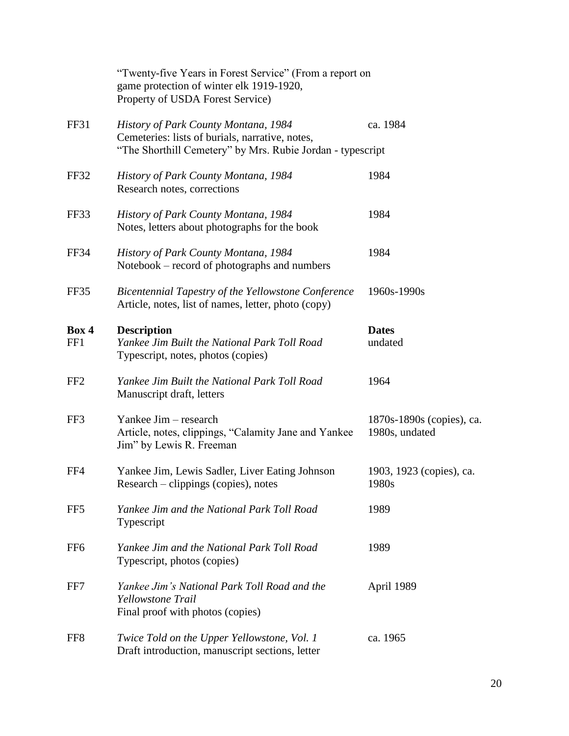|                 | "Twenty-five Years in Forest Service" (From a report on<br>game protection of winter elk 1919-1920,<br>Property of USDA Forest Service)               |                                             |
|-----------------|-------------------------------------------------------------------------------------------------------------------------------------------------------|---------------------------------------------|
| FF31            | History of Park County Montana, 1984<br>Cemeteries: lists of burials, narrative, notes,<br>"The Shorthill Cemetery" by Mrs. Rubie Jordan - typescript | ca. 1984                                    |
| FF32            | History of Park County Montana, 1984<br>Research notes, corrections                                                                                   | 1984                                        |
| FF33            | History of Park County Montana, 1984<br>Notes, letters about photographs for the book                                                                 | 1984                                        |
| FF34            | History of Park County Montana, 1984<br>Notebook – record of photographs and numbers                                                                  | 1984                                        |
| FF35            | Bicentennial Tapestry of the Yellowstone Conference<br>Article, notes, list of names, letter, photo (copy)                                            | 1960s-1990s                                 |
| Box 4<br>FF1    | <b>Description</b><br>Yankee Jim Built the National Park Toll Road<br>Typescript, notes, photos (copies)                                              | <b>Dates</b><br>undated                     |
| FF <sub>2</sub> | Yankee Jim Built the National Park Toll Road<br>Manuscript draft, letters                                                                             | 1964                                        |
| FF3             | Yankee Jim – research<br>Article, notes, clippings, "Calamity Jane and Yankee<br>Jim" by Lewis R. Freeman                                             | 1870s-1890s (copies), ca.<br>1980s, undated |
| FF4             | Yankee Jim, Lewis Sadler, Liver Eating Johnson<br>Research – clippings (copies), notes                                                                | 1903, 1923 (copies), ca.<br>1980s           |
| FF <sub>5</sub> | Yankee Jim and the National Park Toll Road<br>Typescript                                                                                              | 1989                                        |
| FF <sub>6</sub> | Yankee Jim and the National Park Toll Road<br>Typescript, photos (copies)                                                                             | 1989                                        |
| FF7             | Yankee Jim's National Park Toll Road and the<br>Yellowstone Trail<br>Final proof with photos (copies)                                                 | April 1989                                  |
| FF <sub>8</sub> | Twice Told on the Upper Yellowstone, Vol. 1<br>Draft introduction, manuscript sections, letter                                                        | ca. 1965                                    |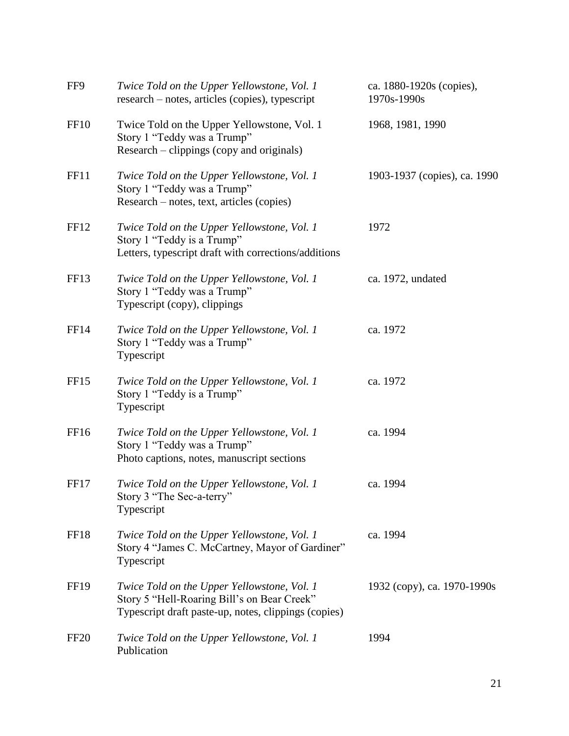| FF9              | Twice Told on the Upper Yellowstone, Vol. 1<br>research – notes, articles (copies), typescript                                                     | ca. 1880-1920s (copies),<br>1970s-1990s |
|------------------|----------------------------------------------------------------------------------------------------------------------------------------------------|-----------------------------------------|
| FF <sub>10</sub> | Twice Told on the Upper Yellowstone, Vol. 1<br>Story 1 "Teddy was a Trump"<br>Research – clippings (copy and originals)                            | 1968, 1981, 1990                        |
| FF11             | Twice Told on the Upper Yellowstone, Vol. 1<br>Story 1 "Teddy was a Trump"<br>Research - notes, text, articles (copies)                            | 1903-1937 (copies), ca. 1990            |
| FF <sub>12</sub> | Twice Told on the Upper Yellowstone, Vol. 1<br>Story 1 "Teddy is a Trump"<br>Letters, typescript draft with corrections/additions                  | 1972                                    |
| FF <sub>13</sub> | Twice Told on the Upper Yellowstone, Vol. 1<br>Story 1 "Teddy was a Trump"<br>Typescript (copy), clippings                                         | ca. 1972, undated                       |
| FF14             | Twice Told on the Upper Yellowstone, Vol. 1<br>Story 1 "Teddy was a Trump"<br>Typescript                                                           | ca. 1972                                |
| FF <sub>15</sub> | Twice Told on the Upper Yellowstone, Vol. 1<br>Story 1 "Teddy is a Trump"<br>Typescript                                                            | ca. 1972                                |
| FF <sub>16</sub> | Twice Told on the Upper Yellowstone, Vol. 1<br>Story 1 "Teddy was a Trump"<br>Photo captions, notes, manuscript sections                           | ca. 1994                                |
| FF <sub>17</sub> | Twice Told on the Upper Yellowstone, Vol. 1<br>Story 3 "The Sec-a-terry"<br>Typescript                                                             | ca. 1994                                |
| FF18             | Twice Told on the Upper Yellowstone, Vol. 1<br>Story 4 "James C. McCartney, Mayor of Gardiner"<br>Typescript                                       | ca. 1994                                |
| <b>FF19</b>      | Twice Told on the Upper Yellowstone, Vol. 1<br>Story 5 "Hell-Roaring Bill's on Bear Creek"<br>Typescript draft paste-up, notes, clippings (copies) | 1932 (copy), ca. 1970-1990s             |
| FF <sub>20</sub> | Twice Told on the Upper Yellowstone, Vol. 1<br>Publication                                                                                         | 1994                                    |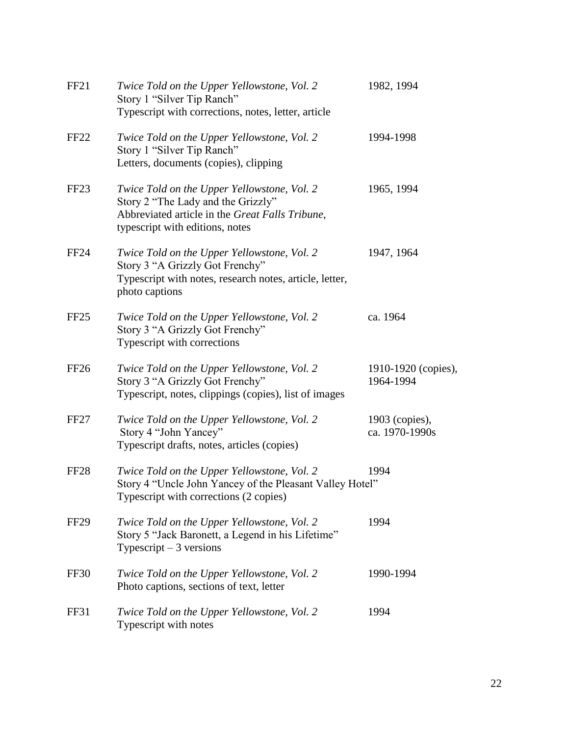| FF <sub>21</sub> | Twice Told on the Upper Yellowstone, Vol. 2<br>Story 1 "Silver Tip Ranch"<br>Typescript with corrections, notes, letter, article                                        | 1982, 1994                       |
|------------------|-------------------------------------------------------------------------------------------------------------------------------------------------------------------------|----------------------------------|
| FF <sub>22</sub> | Twice Told on the Upper Yellowstone, Vol. 2<br>Story 1 "Silver Tip Ranch"<br>Letters, documents (copies), clipping                                                      | 1994-1998                        |
| FF <sub>23</sub> | Twice Told on the Upper Yellowstone, Vol. 2<br>Story 2 "The Lady and the Grizzly"<br>Abbreviated article in the Great Falls Tribune,<br>typescript with editions, notes | 1965, 1994                       |
| <b>FF24</b>      | Twice Told on the Upper Yellowstone, Vol. 2<br>Story 3 "A Grizzly Got Frenchy"<br>Typescript with notes, research notes, article, letter,<br>photo captions             | 1947, 1964                       |
| FF <sub>25</sub> | Twice Told on the Upper Yellowstone, Vol. 2<br>Story 3 "A Grizzly Got Frenchy"<br>Typescript with corrections                                                           | ca. 1964                         |
| FF <sub>26</sub> | Twice Told on the Upper Yellowstone, Vol. 2<br>Story 3 "A Grizzly Got Frenchy"<br>Typescript, notes, clippings (copies), list of images                                 | 1910-1920 (copies),<br>1964-1994 |
| FF <sub>27</sub> | Twice Told on the Upper Yellowstone, Vol. 2<br>Story 4 "John Yancey"<br>Typescript drafts, notes, articles (copies)                                                     | 1903 (copies),<br>ca. 1970-1990s |
| FF <sub>28</sub> | Twice Told on the Upper Yellowstone, Vol. 2<br>Story 4 "Uncle John Yancey of the Pleasant Valley Hotel"<br>Typescript with corrections (2 copies)                       | 1994                             |
| <b>FF29</b>      | Twice Told on the Upper Yellowstone, Vol. 2<br>Story 5 "Jack Baronett, a Legend in his Lifetime"<br>Typescript $-3$ versions                                            | 1994                             |
| FF30             | Twice Told on the Upper Yellowstone, Vol. 2<br>Photo captions, sections of text, letter                                                                                 | 1990-1994                        |
| <b>FF31</b>      | Twice Told on the Upper Yellowstone, Vol. 2<br>Typescript with notes                                                                                                    | 1994                             |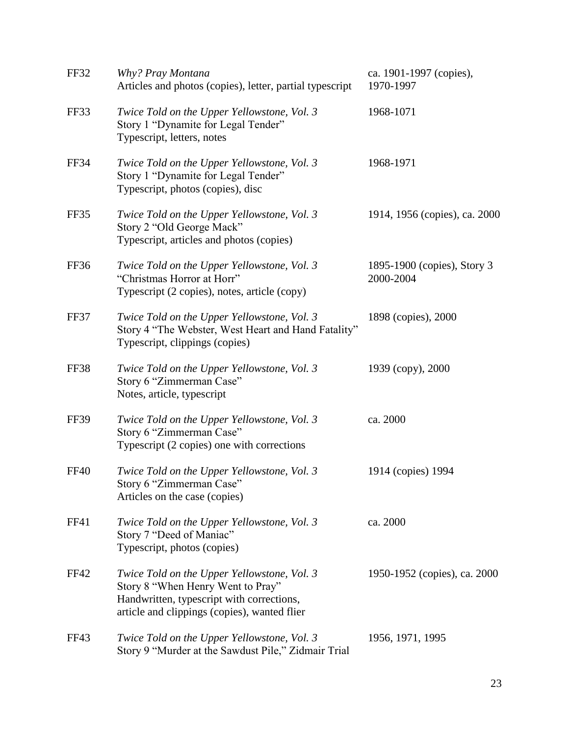| <b>FF32</b> | Why? Pray Montana<br>Articles and photos (copies), letter, partial typescript                                                                                                 | ca. 1901-1997 (copies),<br>1970-1997     |
|-------------|-------------------------------------------------------------------------------------------------------------------------------------------------------------------------------|------------------------------------------|
| FF33        | Twice Told on the Upper Yellowstone, Vol. 3<br>Story 1 "Dynamite for Legal Tender"<br>Typescript, letters, notes                                                              | 1968-1071                                |
| <b>FF34</b> | Twice Told on the Upper Yellowstone, Vol. 3<br>Story 1 "Dynamite for Legal Tender"<br>Typescript, photos (copies), disc                                                       | 1968-1971                                |
| FF35        | Twice Told on the Upper Yellowstone, Vol. 3<br>Story 2 "Old George Mack"<br>Typescript, articles and photos (copies)                                                          | 1914, 1956 (copies), ca. 2000            |
| FF36        | Twice Told on the Upper Yellowstone, Vol. 3<br>"Christmas Horror at Horr"<br>Typescript (2 copies), notes, article (copy)                                                     | 1895-1900 (copies), Story 3<br>2000-2004 |
| FF37        | Twice Told on the Upper Yellowstone, Vol. 3<br>Story 4 "The Webster, West Heart and Hand Fatality"<br>Typescript, clippings (copies)                                          | 1898 (copies), 2000                      |
| FF38        | Twice Told on the Upper Yellowstone, Vol. 3<br>Story 6 "Zimmerman Case"<br>Notes, article, typescript                                                                         | 1939 (copy), 2000                        |
| <b>FF39</b> | Twice Told on the Upper Yellowstone, Vol. 3<br>Story 6 "Zimmerman Case"<br>Typescript (2 copies) one with corrections                                                         | ca. 2000                                 |
| <b>FF40</b> | Twice Told on the Upper Yellowstone, Vol. 3<br>Story 6 "Zimmerman Case"<br>Articles on the case (copies)                                                                      | 1914 (copies) 1994                       |
| <b>FF41</b> | Twice Told on the Upper Yellowstone, Vol. 3<br>Story 7 "Deed of Maniac"<br>Typescript, photos (copies)                                                                        | ca. 2000                                 |
| FF42        | Twice Told on the Upper Yellowstone, Vol. 3<br>Story 8 "When Henry Went to Pray"<br>Handwritten, typescript with corrections,<br>article and clippings (copies), wanted flier | 1950-1952 (copies), ca. 2000             |
| FF43        | Twice Told on the Upper Yellowstone, Vol. 3<br>Story 9 "Murder at the Sawdust Pile," Zidmair Trial                                                                            | 1956, 1971, 1995                         |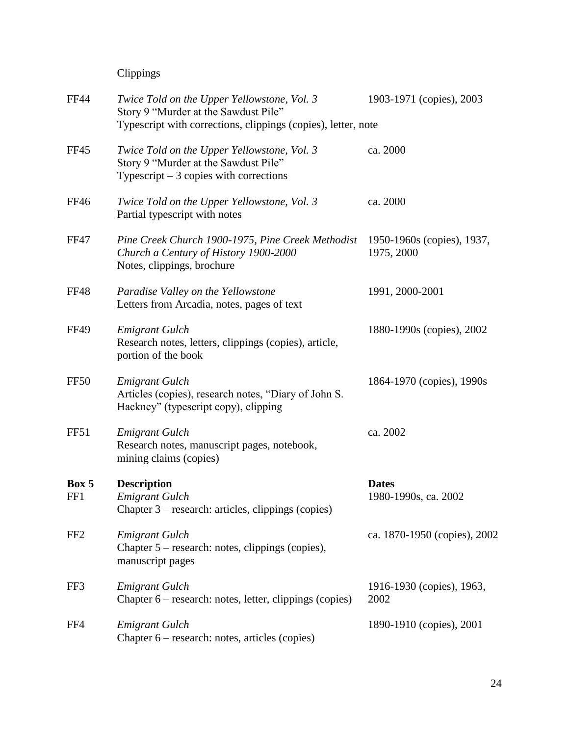Clippings

| <b>FF44</b>     | Twice Told on the Upper Yellowstone, Vol. 3<br>Story 9 "Murder at the Sawdust Pile"<br>Typescript with corrections, clippings (copies), letter, note | 1903-1971 (copies), 2003                 |
|-----------------|------------------------------------------------------------------------------------------------------------------------------------------------------|------------------------------------------|
| <b>FF45</b>     | Twice Told on the Upper Yellowstone, Vol. 3<br>Story 9 "Murder at the Sawdust Pile"<br>Typescript $-3$ copies with corrections                       | ca. 2000                                 |
| <b>FF46</b>     | Twice Told on the Upper Yellowstone, Vol. 3<br>Partial typescript with notes                                                                         | ca. 2000                                 |
| <b>FF47</b>     | Pine Creek Church 1900-1975, Pine Creek Methodist<br>Church a Century of History 1900-2000<br>Notes, clippings, brochure                             | 1950-1960s (copies), 1937,<br>1975, 2000 |
| <b>FF48</b>     | Paradise Valley on the Yellowstone<br>Letters from Arcadia, notes, pages of text                                                                     | 1991, 2000-2001                          |
| <b>FF49</b>     | <b>Emigrant Gulch</b><br>Research notes, letters, clippings (copies), article,<br>portion of the book                                                | 1880-1990s (copies), 2002                |
| FF50            | <b>Emigrant Gulch</b><br>Articles (copies), research notes, "Diary of John S.<br>Hackney" (typescript copy), clipping                                | 1864-1970 (copies), 1990s                |
| FF51            | <b>Emigrant Gulch</b><br>Research notes, manuscript pages, notebook,<br>mining claims (copies)                                                       | ca. 2002                                 |
| Box 5<br>FF1    | <b>Description</b><br><b>Emigrant Gulch</b><br>Chapter 3 – research: articles, clippings (copies)                                                    | <b>Dates</b><br>1980-1990s, ca. 2002     |
| FF <sub>2</sub> | <b>Emigrant Gulch</b><br>Chapter $5$ – research: notes, clippings (copies),<br>manuscript pages                                                      | ca. 1870-1950 (copies), 2002             |
| FF3             | <b>Emigrant Gulch</b><br>Chapter 6 – research: notes, letter, clippings (copies)                                                                     | 1916-1930 (copies), 1963,<br>2002        |
| FF4             | <b>Emigrant Gulch</b><br>Chapter 6 – research: notes, articles (copies)                                                                              | 1890-1910 (copies), 2001                 |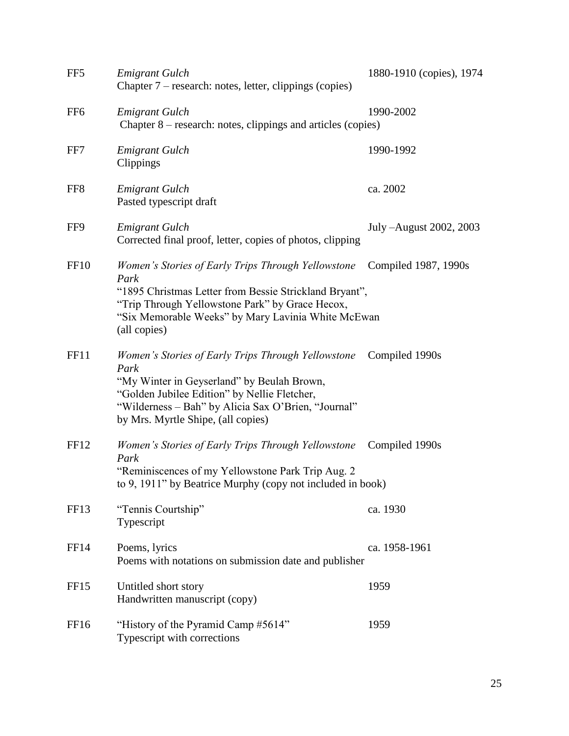| FF <sub>5</sub>  | <b>Emigrant Gulch</b><br>Chapter 7 – research: notes, letter, clippings (copies)                                                                                                                                                                      | 1880-1910 (copies), 1974 |
|------------------|-------------------------------------------------------------------------------------------------------------------------------------------------------------------------------------------------------------------------------------------------------|--------------------------|
| FF <sub>6</sub>  | <b>Emigrant Gulch</b><br>Chapter 8 – research: notes, clippings and articles (copies)                                                                                                                                                                 | 1990-2002                |
| FF7              | <b>Emigrant Gulch</b><br>Clippings                                                                                                                                                                                                                    | 1990-1992                |
| FF <sub>8</sub>  | <b>Emigrant Gulch</b><br>Pasted typescript draft                                                                                                                                                                                                      | ca. 2002                 |
| FF9              | <b>Emigrant Gulch</b><br>Corrected final proof, letter, copies of photos, clipping                                                                                                                                                                    | July -August 2002, 2003  |
| <b>FF10</b>      | Women's Stories of Early Trips Through Yellowstone<br>Park<br>"1895 Christmas Letter from Bessie Strickland Bryant",<br>"Trip Through Yellowstone Park" by Grace Hecox,<br>"Six Memorable Weeks" by Mary Lavinia White McEwan<br>(all copies)         | Compiled 1987, 1990s     |
| FF11             | Women's Stories of Early Trips Through Yellowstone<br>Park<br>"My Winter in Geyserland" by Beulah Brown,<br>"Golden Jubilee Edition" by Nellie Fletcher,<br>"Wilderness - Bah" by Alicia Sax O'Brien, "Journal"<br>by Mrs. Myrtle Shipe, (all copies) | Compiled 1990s           |
| FF12             | Women's Stories of Early Trips Through Yellowstone<br>Park<br>"Reminiscences of my Yellowstone Park Trip Aug. 2<br>to 9, 1911" by Beatrice Murphy (copy not included in book)                                                                         | Compiled 1990s           |
| FF13             | "Tennis Courtship"<br>Typescript                                                                                                                                                                                                                      | ca. 1930                 |
| FF14             | Poems, lyrics<br>Poems with notations on submission date and publisher                                                                                                                                                                                | ca. 1958-1961            |
| FF <sub>15</sub> | Untitled short story<br>Handwritten manuscript (copy)                                                                                                                                                                                                 | 1959                     |
| FF <sub>16</sub> | "History of the Pyramid Camp #5614"<br>Typescript with corrections                                                                                                                                                                                    | 1959                     |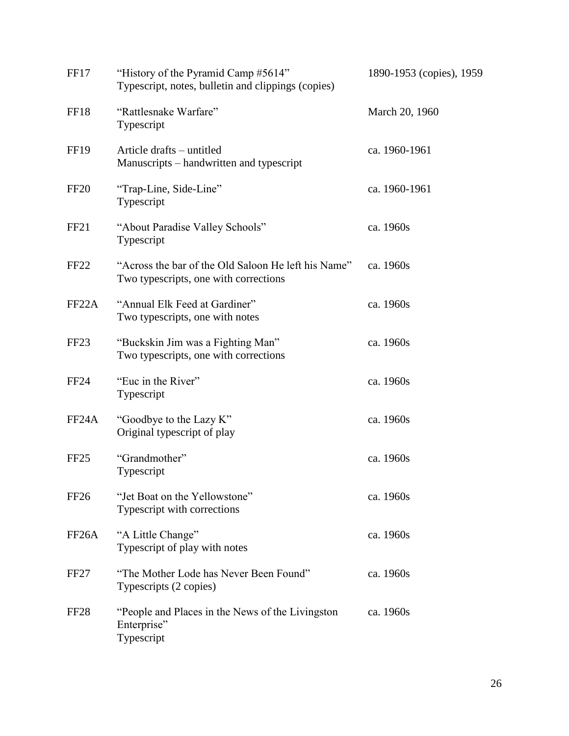| FF17               | "History of the Pyramid Camp #5614"<br>Typescript, notes, bulletin and clippings (copies)    | 1890-1953 (copies), 1959 |
|--------------------|----------------------------------------------------------------------------------------------|--------------------------|
| FF18               | "Rattlesnake Warfare"<br>Typescript                                                          | March 20, 1960           |
| <b>FF19</b>        | Article drafts – untitled<br>Manuscripts – handwritten and typescript                        | ca. 1960-1961            |
| <b>FF20</b>        | "Trap-Line, Side-Line"<br>Typescript                                                         | ca. 1960-1961            |
| FF <sub>21</sub>   | "About Paradise Valley Schools"<br>Typescript                                                | ca. 1960s                |
| FF <sub>22</sub>   | "Across the bar of the Old Saloon He left his Name"<br>Two typescripts, one with corrections | ca. 1960s                |
| FF <sub>22</sub> A | "Annual Elk Feed at Gardiner"<br>Two typescripts, one with notes                             | ca. 1960s                |
| FF <sub>23</sub>   | "Buckskin Jim was a Fighting Man"<br>Two typescripts, one with corrections                   | ca. 1960s                |
| <b>FF24</b>        | "Euc in the River"<br>Typescript                                                             | ca. 1960s                |
| FF <sub>24</sub> A | "Goodbye to the Lazy K"<br>Original typescript of play                                       | ca. 1960s                |
| FF <sub>25</sub>   | "Grandmother"<br>Typescript                                                                  | ca. 1960s                |
| FF <sub>26</sub>   | "Jet Boat on the Yellowstone"<br>Typescript with corrections                                 | ca. 1960s                |
| FF <sub>26</sub> A | "A Little Change"<br>Typescript of play with notes                                           | ca. 1960s                |
| FF <sub>27</sub>   | "The Mother Lode has Never Been Found"<br>Typescripts (2 copies)                             | ca. 1960s                |
| FF <sub>28</sub>   | "People and Places in the News of the Livingston"<br>Enterprise"<br>Typescript               | ca. 1960s                |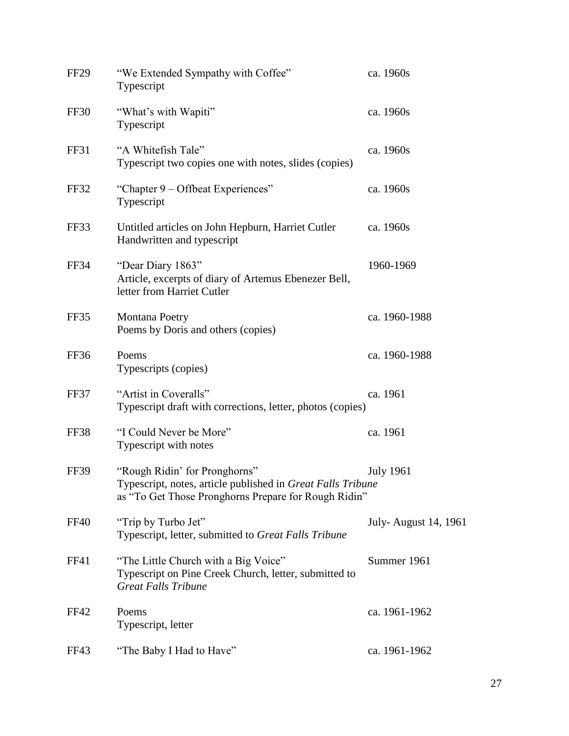| <b>FF29</b> | "We Extended Sympathy with Coffee"<br>Typescript                                                                                                     | ca. 1960s            |
|-------------|------------------------------------------------------------------------------------------------------------------------------------------------------|----------------------|
| <b>FF30</b> | "What's with Wapiti"<br>Typescript                                                                                                                   | ca. 1960s            |
| FF31        | "A Whitefish Tale"<br>Typescript two copies one with notes, slides (copies)                                                                          | ca. 1960s            |
| <b>FF32</b> | "Chapter 9 – Offbeat Experiences"<br>Typescript                                                                                                      | ca. 1960s            |
| FF33        | Untitled articles on John Hepburn, Harriet Cutler<br>Handwritten and typescript                                                                      | ca. 1960s            |
| FF34        | "Dear Diary 1863"<br>Article, excerpts of diary of Artemus Ebenezer Bell,<br>letter from Harriet Cutler                                              | 1960-1969            |
| FF35        | Montana Poetry<br>Poems by Doris and others (copies)                                                                                                 | ca. 1960-1988        |
| FF36        | Poems<br>Typescripts (copies)                                                                                                                        | ca. 1960-1988        |
| FF37        | "Artist in Coveralls"<br>Typescript draft with corrections, letter, photos (copies)                                                                  | ca. 1961             |
| <b>FF38</b> | "I Could Never be More"<br>Typescript with notes                                                                                                     | ca. 1961             |
| FF39        | "Rough Ridin' for Pronghorns"<br>Typescript, notes, article published in Great Falls Tribune<br>as "To Get Those Pronghorns Prepare for Rough Ridin" | <b>July 1961</b>     |
| <b>FF40</b> | "Trip by Turbo Jet"<br>Typescript, letter, submitted to Great Falls Tribune                                                                          | July-August 14, 1961 |
| FF41        | "The Little Church with a Big Voice"<br>Typescript on Pine Creek Church, letter, submitted to<br><b>Great Falls Tribune</b>                          | Summer 1961          |
| FF42        | Poems<br>Typescript, letter                                                                                                                          | ca. 1961-1962        |
| FF43        | "The Baby I Had to Have"                                                                                                                             | ca. 1961-1962        |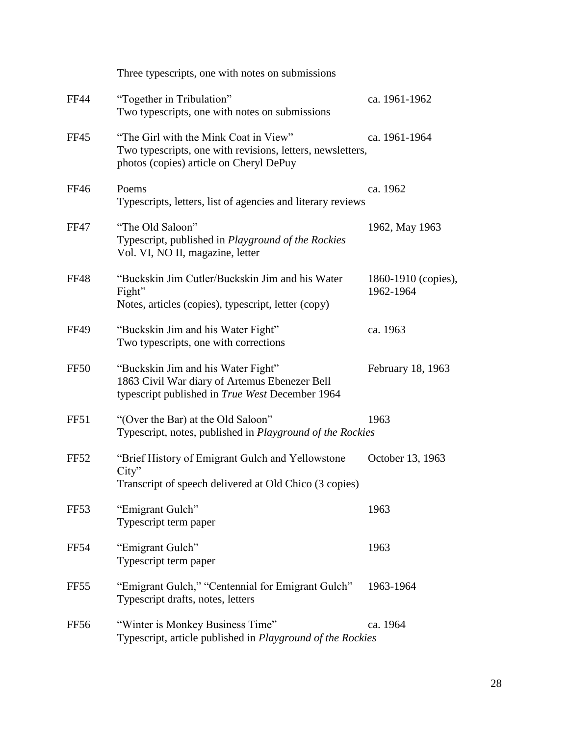|                  | Three typescripts, one with notes on submissions                                                                                               |                                  |
|------------------|------------------------------------------------------------------------------------------------------------------------------------------------|----------------------------------|
| <b>FF44</b>      | "Together in Tribulation"<br>Two typescripts, one with notes on submissions                                                                    | ca. 1961-1962                    |
| <b>FF45</b>      | "The Girl with the Mink Coat in View"<br>Two typescripts, one with revisions, letters, newsletters,<br>photos (copies) article on Cheryl DePuy | ca. 1961-1964                    |
| <b>FF46</b>      | Poems<br>Typescripts, letters, list of agencies and literary reviews                                                                           | ca. 1962                         |
| <b>FF47</b>      | "The Old Saloon"<br>Typescript, published in Playground of the Rockies<br>Vol. VI, NO II, magazine, letter                                     | 1962, May 1963                   |
| <b>FF48</b>      | "Buckskin Jim Cutler/Buckskin Jim and his Water<br>Fight"<br>Notes, articles (copies), typescript, letter (copy)                               | 1860-1910 (copies),<br>1962-1964 |
| <b>FF49</b>      | "Buckskin Jim and his Water Fight"<br>Two typescripts, one with corrections                                                                    | ca. 1963                         |
| FF <sub>50</sub> | "Buckskin Jim and his Water Fight"<br>1863 Civil War diary of Artemus Ebenezer Bell -<br>typescript published in True West December 1964       | February 18, 1963                |
| FF51             | "(Over the Bar) at the Old Saloon"<br>Typescript, notes, published in Playground of the Rockies                                                | 1963                             |
| FF52             | "Brief History of Emigrant Gulch and Yellowstone<br>City"<br>Transcript of speech delivered at Old Chico (3 copies)                            | October 13, 1963                 |
| FF <sub>53</sub> | "Emigrant Gulch"<br>Typescript term paper                                                                                                      | 1963                             |
| FF54             | "Emigrant Gulch"<br>Typescript term paper                                                                                                      | 1963                             |
| FF <sub>55</sub> | "Emigrant Gulch," "Centennial for Emigrant Gulch"<br>Typescript drafts, notes, letters                                                         | 1963-1964                        |
| FF56             | "Winter is Monkey Business Time"<br>Typescript, article published in Playground of the Rockies                                                 | ca. 1964                         |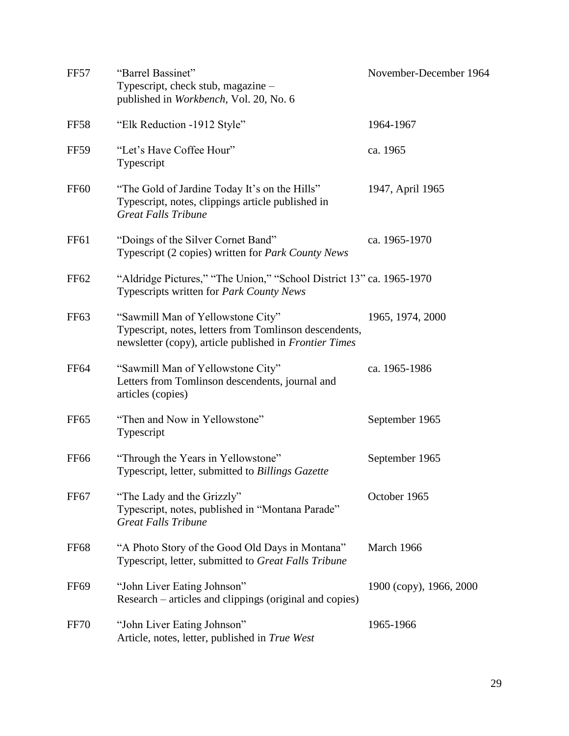| <b>FF57</b>      | "Barrel Bassinet"<br>Typescript, check stub, magazine -<br>published in Workbench, Vol. 20, No. 6                                                     | November-December 1964  |
|------------------|-------------------------------------------------------------------------------------------------------------------------------------------------------|-------------------------|
| <b>FF58</b>      | "Elk Reduction -1912 Style"                                                                                                                           | 1964-1967               |
| <b>FF59</b>      | "Let's Have Coffee Hour"<br>Typescript                                                                                                                | ca. 1965                |
| <b>FF60</b>      | "The Gold of Jardine Today It's on the Hills"<br>Typescript, notes, clippings article published in<br><b>Great Falls Tribune</b>                      | 1947, April 1965        |
| <b>FF61</b>      | "Doings of the Silver Cornet Band"<br>Typescript (2 copies) written for <i>Park County News</i>                                                       | ca. 1965-1970           |
| FF62             | "Aldridge Pictures," "The Union," "School District 13" ca. 1965-1970<br>Typescripts written for Park County News                                      |                         |
| FF <sub>63</sub> | "Sawmill Man of Yellowstone City"<br>Typescript, notes, letters from Tomlinson descendents,<br>newsletter (copy), article published in Frontier Times | 1965, 1974, 2000        |
| <b>FF64</b>      | "Sawmill Man of Yellowstone City"<br>Letters from Tomlinson descendents, journal and<br>articles (copies)                                             | ca. 1965-1986           |
| FF <sub>65</sub> | "Then and Now in Yellowstone"<br>Typescript                                                                                                           | September 1965          |
| <b>FF66</b>      | "Through the Years in Yellowstone"<br>Typescript, letter, submitted to Billings Gazette                                                               | September 1965          |
| FF <sub>67</sub> | "The Lady and the Grizzly"<br>Typescript, notes, published in "Montana Parade"<br><b>Great Falls Tribune</b>                                          | October 1965            |
| <b>FF68</b>      | "A Photo Story of the Good Old Days in Montana"<br>Typescript, letter, submitted to Great Falls Tribune                                               | March 1966              |
| <b>FF69</b>      | "John Liver Eating Johnson"<br>Research – articles and clippings (original and copies)                                                                | 1900 (copy), 1966, 2000 |
| <b>FF70</b>      | "John Liver Eating Johnson"<br>Article, notes, letter, published in True West                                                                         | 1965-1966               |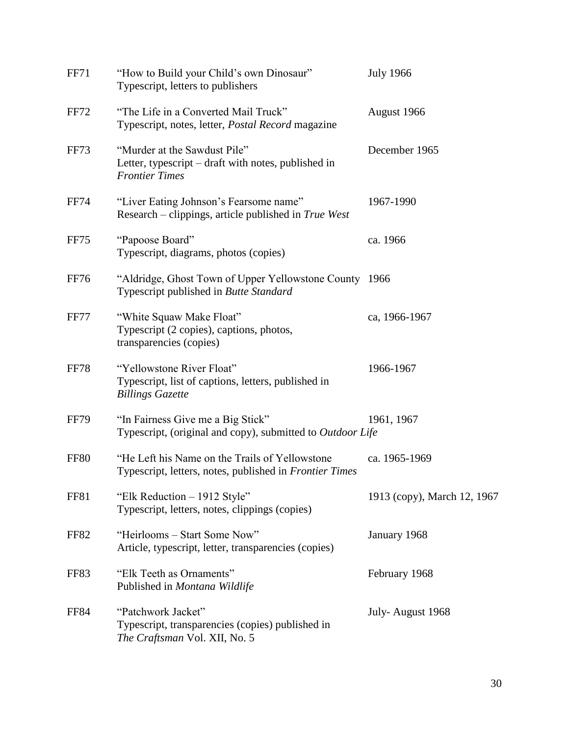| <b>FF71</b> | "How to Build your Child's own Dinosaur"<br>Typescript, letters to publishers                                     | <b>July 1966</b>            |
|-------------|-------------------------------------------------------------------------------------------------------------------|-----------------------------|
| FF72        | "The Life in a Converted Mail Truck"<br>Typescript, notes, letter, Postal Record magazine                         | August 1966                 |
| <b>FF73</b> | "Murder at the Sawdust Pile"<br>Letter, typescript – draft with notes, published in<br><b>Frontier Times</b>      | December 1965               |
| FF74        | "Liver Eating Johnson's Fearsome name"<br>Research – clippings, article published in True West                    | 1967-1990                   |
| FF75        | "Papoose Board"<br>Typescript, diagrams, photos (copies)                                                          | ca. 1966                    |
| FF76        | "Aldridge, Ghost Town of Upper Yellowstone County 1966<br>Typescript published in Butte Standard                  |                             |
| <b>FF77</b> | "White Squaw Make Float"<br>Typescript (2 copies), captions, photos,<br>transparencies (copies)                   | ca, 1966-1967               |
| <b>FF78</b> | "Yellowstone River Float"<br>Typescript, list of captions, letters, published in<br><b>Billings Gazette</b>       | 1966-1967                   |
| <b>FF79</b> | "In Fairness Give me a Big Stick"<br>Typescript, (original and copy), submitted to Outdoor Life                   | 1961, 1967                  |
| <b>FF80</b> | "He Left his Name on the Trails of Yellowstone"<br>Typescript, letters, notes, published in <i>Frontier Times</i> | ca. 1965-1969               |
| <b>FF81</b> | "Elk Reduction - 1912 Style"<br>Typescript, letters, notes, clippings (copies)                                    | 1913 (copy), March 12, 1967 |
| <b>FF82</b> | "Heirlooms – Start Some Now"<br>Article, typescript, letter, transparencies (copies)                              | January 1968                |
| FF83        | "Elk Teeth as Ornaments"<br>Published in Montana Wildlife                                                         | February 1968               |
| <b>FF84</b> | "Patchwork Jacket"<br>Typescript, transparencies (copies) published in<br>The Craftsman Vol. XII, No. 5           | July-August 1968            |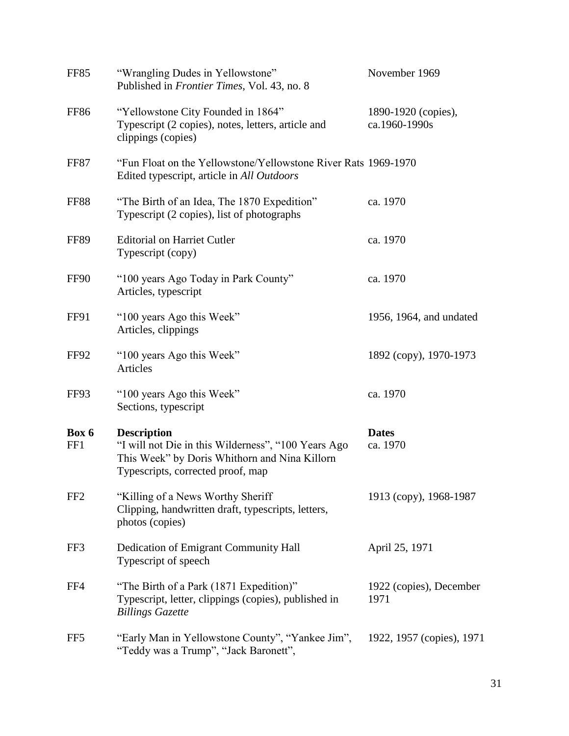| <b>FF85</b>     | "Wrangling Dudes in Yellowstone"<br>Published in Frontier Times, Vol. 43, no. 8                                                                                 | November 1969                        |
|-----------------|-----------------------------------------------------------------------------------------------------------------------------------------------------------------|--------------------------------------|
| <b>FF86</b>     | "Yellowstone City Founded in 1864"<br>Typescript (2 copies), notes, letters, article and<br>clippings (copies)                                                  | 1890-1920 (copies),<br>ca.1960-1990s |
| FF87            | "Fun Float on the Yellowstone/Yellowstone River Rats 1969-1970<br>Edited typescript, article in All Outdoors                                                    |                                      |
| <b>FF88</b>     | "The Birth of an Idea, The 1870 Expedition"<br>Typescript (2 copies), list of photographs                                                                       | ca. 1970                             |
| <b>FF89</b>     | <b>Editorial on Harriet Cutler</b><br>Typescript (copy)                                                                                                         | ca. 1970                             |
| FF90            | "100 years Ago Today in Park County"<br>Articles, typescript                                                                                                    | ca. 1970                             |
| FF91            | "100 years Ago this Week"<br>Articles, clippings                                                                                                                | 1956, 1964, and undated              |
| FF92            | "100 years Ago this Week"<br>Articles                                                                                                                           | 1892 (copy), 1970-1973               |
| FF93            | "100 years Ago this Week"<br>Sections, typescript                                                                                                               | ca. 1970                             |
| Box 6<br>FF1    | <b>Description</b><br>"I will not Die in this Wilderness", "100 Years Ago<br>This Week" by Doris Whithorn and Nina Killorn<br>Typescripts, corrected proof, map | <b>Dates</b><br>ca. 1970             |
| FF <sub>2</sub> | "Killing of a News Worthy Sheriff"<br>Clipping, handwritten draft, typescripts, letters,<br>photos (copies)                                                     | 1913 (copy), 1968-1987               |
| FF3             | Dedication of Emigrant Community Hall<br>Typescript of speech                                                                                                   | April 25, 1971                       |
| FF4             | "The Birth of a Park (1871 Expedition)"<br>Typescript, letter, clippings (copies), published in<br><b>Billings Gazette</b>                                      | 1922 (copies), December<br>1971      |
| FF <sub>5</sub> | "Early Man in Yellowstone County", "Yankee Jim",<br>"Teddy was a Trump", "Jack Baronett",                                                                       | 1922, 1957 (copies), 1971            |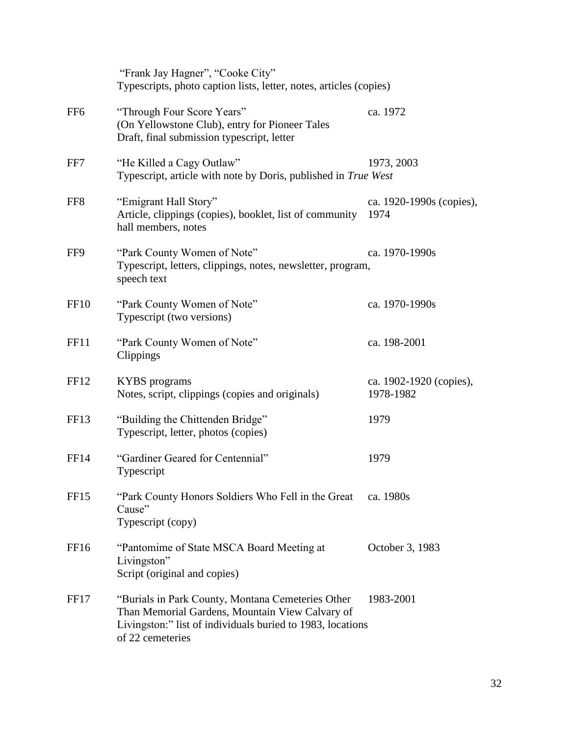|                  | "Frank Jay Hagner", "Cooke City"<br>Typescripts, photo caption lists, letter, notes, articles (copies)                                                                                 |                                      |
|------------------|----------------------------------------------------------------------------------------------------------------------------------------------------------------------------------------|--------------------------------------|
| FF <sub>6</sub>  | "Through Four Score Years"<br>(On Yellowstone Club), entry for Pioneer Tales<br>Draft, final submission typescript, letter                                                             | ca. 1972                             |
| FF7              | "He Killed a Cagy Outlaw"<br>Typescript, article with note by Doris, published in True West                                                                                            | 1973, 2003                           |
| FF <sub>8</sub>  | "Emigrant Hall Story"<br>Article, clippings (copies), booklet, list of community<br>hall members, notes                                                                                | ca. 1920-1990s (copies),<br>1974     |
| FF9              | "Park County Women of Note"<br>Typescript, letters, clippings, notes, newsletter, program,<br>speech text                                                                              | ca. 1970-1990s                       |
| <b>FF10</b>      | "Park County Women of Note"<br>Typescript (two versions)                                                                                                                               | ca. 1970-1990s                       |
| FF11             | "Park County Women of Note"<br>Clippings                                                                                                                                               | ca. 198-2001                         |
| FF <sub>12</sub> | <b>KYBS</b> programs<br>Notes, script, clippings (copies and originals)                                                                                                                | ca. 1902-1920 (copies),<br>1978-1982 |
| FF <sub>13</sub> | "Building the Chittenden Bridge"<br>Typescript, letter, photos (copies)                                                                                                                | 1979                                 |
| <b>FF14</b>      | "Gardiner Geared for Centennial"<br>Typescript                                                                                                                                         | 1979                                 |
| FF <sub>15</sub> | "Park County Honors Soldiers Who Fell in the Great<br>Cause"<br>Typescript (copy)                                                                                                      | ca. 1980s                            |
| FF <sub>16</sub> | "Pantomime of State MSCA Board Meeting at<br>Livingston"<br>Script (original and copies)                                                                                               | October 3, 1983                      |
| FF17             | "Burials in Park County, Montana Cemeteries Other<br>Than Memorial Gardens, Mountain View Calvary of<br>Livingston:" list of individuals buried to 1983, locations<br>of 22 cemeteries | 1983-2001                            |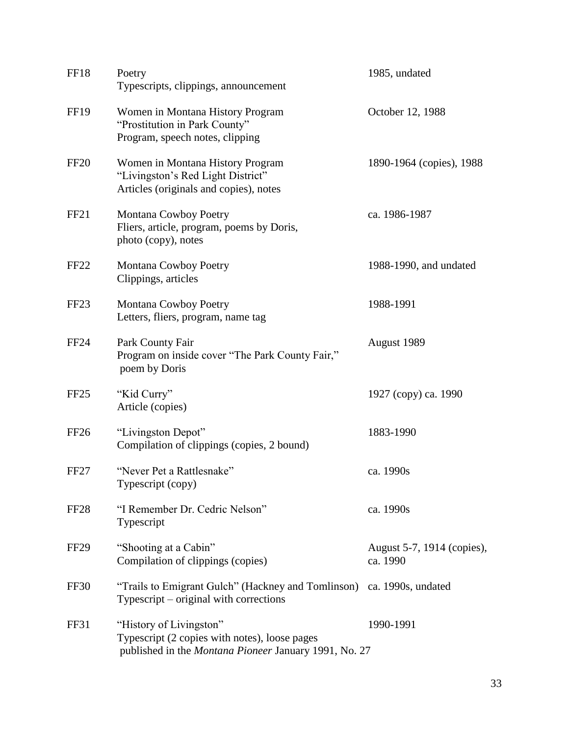| <b>FF18</b>      | Poetry<br>Typescripts, clippings, announcement                                                                                    | 1985, undated                          |
|------------------|-----------------------------------------------------------------------------------------------------------------------------------|----------------------------------------|
| <b>FF19</b>      | Women in Montana History Program<br>"Prostitution in Park County"<br>Program, speech notes, clipping                              | October 12, 1988                       |
| <b>FF20</b>      | Women in Montana History Program<br>"Livingston's Red Light District"<br>Articles (originals and copies), notes                   | 1890-1964 (copies), 1988               |
| FF <sub>21</sub> | Montana Cowboy Poetry<br>Fliers, article, program, poems by Doris,<br>photo (copy), notes                                         | ca. 1986-1987                          |
| FF <sub>22</sub> | Montana Cowboy Poetry<br>Clippings, articles                                                                                      | 1988-1990, and undated                 |
| FF <sub>23</sub> | Montana Cowboy Poetry<br>Letters, fliers, program, name tag                                                                       | 1988-1991                              |
| <b>FF24</b>      | Park County Fair<br>Program on inside cover "The Park County Fair,"<br>poem by Doris                                              | August 1989                            |
| FF <sub>25</sub> | "Kid Curry"<br>Article (copies)                                                                                                   | 1927 (copy) ca. 1990                   |
| FF <sub>26</sub> | "Livingston Depot"<br>Compilation of clippings (copies, 2 bound)                                                                  | 1883-1990                              |
| FF <sub>27</sub> | "Never Pet a Rattlesnake"<br>Typescript (copy)                                                                                    | ca. 1990s                              |
| FF <sub>28</sub> | "I Remember Dr. Cedric Nelson"<br>Typescript                                                                                      | ca. 1990s                              |
| FF <sub>29</sub> | "Shooting at a Cabin"<br>Compilation of clippings (copies)                                                                        | August 5-7, 1914 (copies),<br>ca. 1990 |
| FF30             | "Trails to Emigrant Gulch" (Hackney and Tomlinson) ca. 1990s, undated<br>Typescript – original with corrections                   |                                        |
| FF31             | "History of Livingston"<br>Typescript (2 copies with notes), loose pages<br>published in the Montana Pioneer January 1991, No. 27 | 1990-1991                              |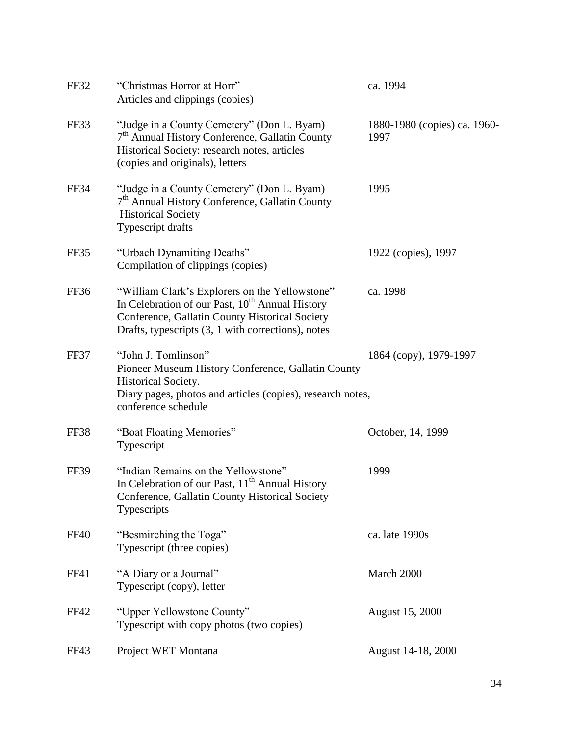| FF32        | "Christmas Horror at Horr"<br>Articles and clippings (copies)                                                                                                                                                         | ca. 1994                             |
|-------------|-----------------------------------------------------------------------------------------------------------------------------------------------------------------------------------------------------------------------|--------------------------------------|
| FF33        | "Judge in a County Cemetery" (Don L. Byam)<br>7 <sup>th</sup> Annual History Conference, Gallatin County<br>Historical Society: research notes, articles<br>(copies and originals), letters                           | 1880-1980 (copies) ca. 1960-<br>1997 |
| <b>FF34</b> | "Judge in a County Cemetery" (Don L. Byam)<br>7 <sup>th</sup> Annual History Conference, Gallatin County<br><b>Historical Society</b><br>Typescript drafts                                                            | 1995                                 |
| FF35        | "Urbach Dynamiting Deaths"<br>Compilation of clippings (copies)                                                                                                                                                       | 1922 (copies), 1997                  |
| FF36        | "William Clark's Explorers on the Yellowstone"<br>In Celebration of our Past, 10 <sup>th</sup> Annual History<br>Conference, Gallatin County Historical Society<br>Drafts, typescripts (3, 1 with corrections), notes | ca. 1998                             |
| FF37        | "John J. Tomlinson"<br>Pioneer Museum History Conference, Gallatin County<br>Historical Society.<br>Diary pages, photos and articles (copies), research notes,<br>conference schedule                                 | 1864 (copy), 1979-1997               |
| FF38        | "Boat Floating Memories"<br>Typescript                                                                                                                                                                                | October, 14, 1999                    |
| <b>FF39</b> | "Indian Remains on the Yellowstone"<br>In Celebration of our Past, 11 <sup>th</sup> Annual History<br>Conference, Gallatin County Historical Society<br>Typescripts                                                   | 1999                                 |
| <b>FF40</b> | "Besmirching the Toga"<br>Typescript (three copies)                                                                                                                                                                   | ca. late 1990s                       |
| FF41        | "A Diary or a Journal"<br>Typescript (copy), letter                                                                                                                                                                   | March 2000                           |
| <b>FF42</b> | "Upper Yellowstone County"<br>Typescript with copy photos (two copies)                                                                                                                                                | August 15, 2000                      |
| FF43        | Project WET Montana                                                                                                                                                                                                   | August 14-18, 2000                   |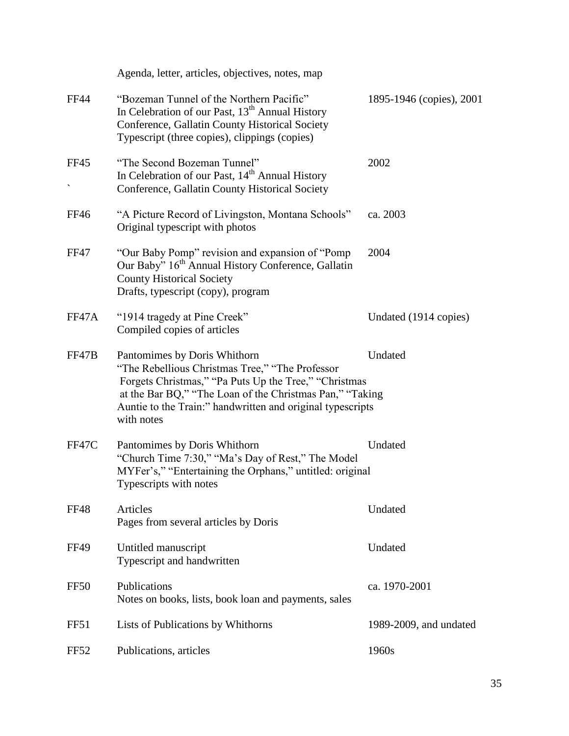|             | Agenda, letter, articles, objectives, notes, map                                                                                                                                                                                                                                 |                          |
|-------------|----------------------------------------------------------------------------------------------------------------------------------------------------------------------------------------------------------------------------------------------------------------------------------|--------------------------|
| <b>FF44</b> | "Bozeman Tunnel of the Northern Pacific"<br>In Celebration of our Past, 13 <sup>th</sup> Annual History<br>Conference, Gallatin County Historical Society<br>Typescript (three copies), clippings (copies)                                                                       | 1895-1946 (copies), 2001 |
| <b>FF45</b> | "The Second Bozeman Tunnel"<br>In Celebration of our Past, 14 <sup>th</sup> Annual History<br>Conference, Gallatin County Historical Society                                                                                                                                     | 2002                     |
| <b>FF46</b> | "A Picture Record of Livingston, Montana Schools"<br>Original typescript with photos                                                                                                                                                                                             | ca. 2003                 |
| <b>FF47</b> | "Our Baby Pomp" revision and expansion of "Pomp"<br>Our Baby" 16 <sup>th</sup> Annual History Conference, Gallatin<br><b>County Historical Society</b><br>Drafts, typescript (copy), program                                                                                     | 2004                     |
| FF47A       | "1914 tragedy at Pine Creek"<br>Compiled copies of articles                                                                                                                                                                                                                      | Undated (1914 copies)    |
| FF47B       | Pantomimes by Doris Whithorn<br>"The Rebellious Christmas Tree," "The Professor<br>Forgets Christmas," "Pa Puts Up the Tree," "Christmas<br>at the Bar BQ," "The Loan of the Christmas Pan," "Taking<br>Auntie to the Train:" handwritten and original typescripts<br>with notes | Undated                  |
| FF47C       | Pantomimes by Doris Whithorn<br>"Church Time 7:30," "Ma's Day of Rest," The Model<br>MYFer's," "Entertaining the Orphans," untitled: original<br>Typescripts with notes                                                                                                          | Undated                  |
| <b>FF48</b> | Articles<br>Pages from several articles by Doris                                                                                                                                                                                                                                 | Undated                  |
| <b>FF49</b> | Untitled manuscript<br>Typescript and handwritten                                                                                                                                                                                                                                | Undated                  |
| <b>FF50</b> | Publications<br>Notes on books, lists, book loan and payments, sales                                                                                                                                                                                                             | ca. 1970-2001            |
| FF51        | Lists of Publications by Whithorns                                                                                                                                                                                                                                               | 1989-2009, and undated   |
| <b>FF52</b> | Publications, articles                                                                                                                                                                                                                                                           | 1960s                    |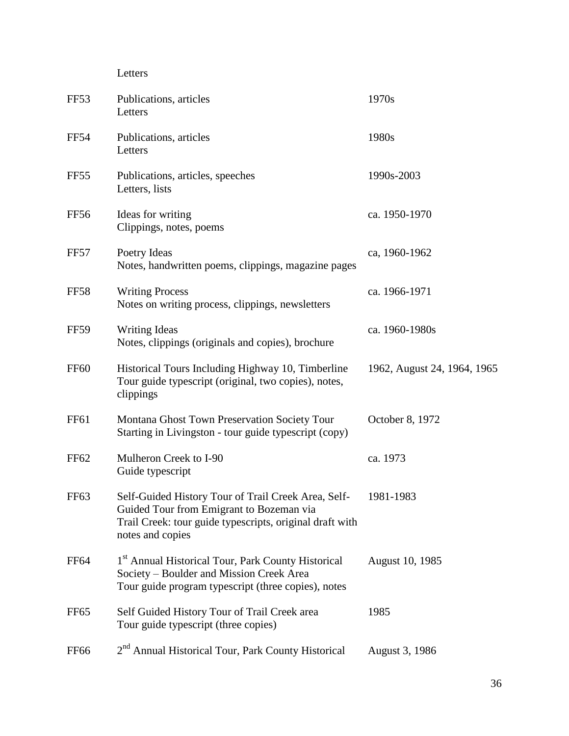Letters

| FF53             | Publications, articles<br>Letters                                                                                                                                               | 1970s                       |
|------------------|---------------------------------------------------------------------------------------------------------------------------------------------------------------------------------|-----------------------------|
| <b>FF54</b>      | Publications, articles<br>Letters                                                                                                                                               | 1980s                       |
| FF <sub>55</sub> | Publications, articles, speeches<br>Letters, lists                                                                                                                              | 1990s-2003                  |
| <b>FF56</b>      | Ideas for writing<br>Clippings, notes, poems                                                                                                                                    | ca. 1950-1970               |
| FF57             | Poetry Ideas<br>Notes, handwritten poems, clippings, magazine pages                                                                                                             | ca, 1960-1962               |
| <b>FF58</b>      | <b>Writing Process</b><br>Notes on writing process, clippings, newsletters                                                                                                      | ca. 1966-1971               |
| <b>FF59</b>      | <b>Writing Ideas</b><br>Notes, clippings (originals and copies), brochure                                                                                                       | ca. 1960-1980s              |
| <b>FF60</b>      | Historical Tours Including Highway 10, Timberline<br>Tour guide typescript (original, two copies), notes,<br>clippings                                                          | 1962, August 24, 1964, 1965 |
| <b>FF61</b>      | Montana Ghost Town Preservation Society Tour<br>Starting in Livingston - tour guide typescript (copy)                                                                           | October 8, 1972             |
| FF62             | Mulheron Creek to I-90<br>Guide typescript                                                                                                                                      | ca. 1973                    |
| FF <sub>63</sub> | Self-Guided History Tour of Trail Creek Area, Self-<br>Guided Tour from Emigrant to Bozeman via<br>Trail Creek: tour guide typescripts, original draft with<br>notes and copies | 1981-1983                   |
| <b>FF64</b>      | 1 <sup>st</sup> Annual Historical Tour, Park County Historical<br>Society – Boulder and Mission Creek Area<br>Tour guide program typescript (three copies), notes               | <b>August 10, 1985</b>      |
| FF <sub>65</sub> | Self Guided History Tour of Trail Creek area<br>Tour guide typescript (three copies)                                                                                            | 1985                        |
| <b>FF66</b>      | 2 <sup>nd</sup> Annual Historical Tour, Park County Historical                                                                                                                  | August 3, 1986              |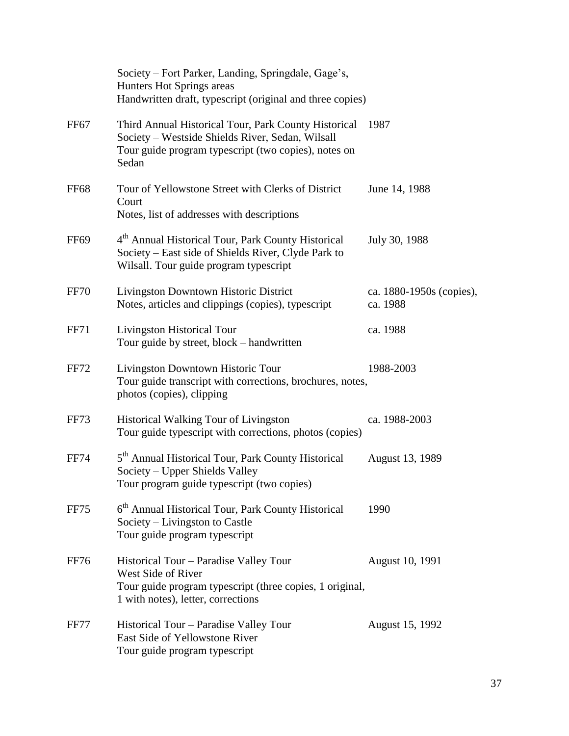|                  | Society – Fort Parker, Landing, Springdale, Gage's,<br>Hunters Hot Springs areas<br>Handwritten draft, typescript (original and three copies)                             |                                      |
|------------------|---------------------------------------------------------------------------------------------------------------------------------------------------------------------------|--------------------------------------|
| FF <sub>67</sub> | Third Annual Historical Tour, Park County Historical<br>Society - Westside Shields River, Sedan, Wilsall<br>Tour guide program typescript (two copies), notes on<br>Sedan | 1987                                 |
| <b>FF68</b>      | Tour of Yellowstone Street with Clerks of District<br>Court<br>Notes, list of addresses with descriptions                                                                 | June 14, 1988                        |
| FF <sub>69</sub> | 4 <sup>th</sup> Annual Historical Tour, Park County Historical<br>Society – East side of Shields River, Clyde Park to<br>Wilsall. Tour guide program typescript           | July 30, 1988                        |
| <b>FF70</b>      | Livingston Downtown Historic District<br>Notes, articles and clippings (copies), typescript                                                                               | ca. 1880-1950s (copies),<br>ca. 1988 |
| <b>FF71</b>      | Livingston Historical Tour<br>Tour guide by street, block – handwritten                                                                                                   | ca. 1988                             |
| FF72             | Livingston Downtown Historic Tour<br>Tour guide transcript with corrections, brochures, notes,<br>photos (copies), clipping                                               | 1988-2003                            |
| FF73             | <b>Historical Walking Tour of Livingston</b><br>Tour guide typescript with corrections, photos (copies)                                                                   | ca. 1988-2003                        |
| <b>FF74</b>      | 5 <sup>th</sup> Annual Historical Tour, Park County Historical<br>Society – Upper Shields Valley<br>Tour program guide typescript (two copies)                            | August 13, 1989                      |
| FF75             | 6 <sup>th</sup> Annual Historical Tour, Park County Historical<br>Society – Livingston to Castle<br>Tour guide program typescript                                         | 1990                                 |
| <b>FF76</b>      | Historical Tour - Paradise Valley Tour<br>West Side of River<br>Tour guide program typescript (three copies, 1 original,<br>1 with notes), letter, corrections            | August 10, 1991                      |
| FF77             | Historical Tour – Paradise Valley Tour<br>East Side of Yellowstone River<br>Tour guide program typescript                                                                 | August 15, 1992                      |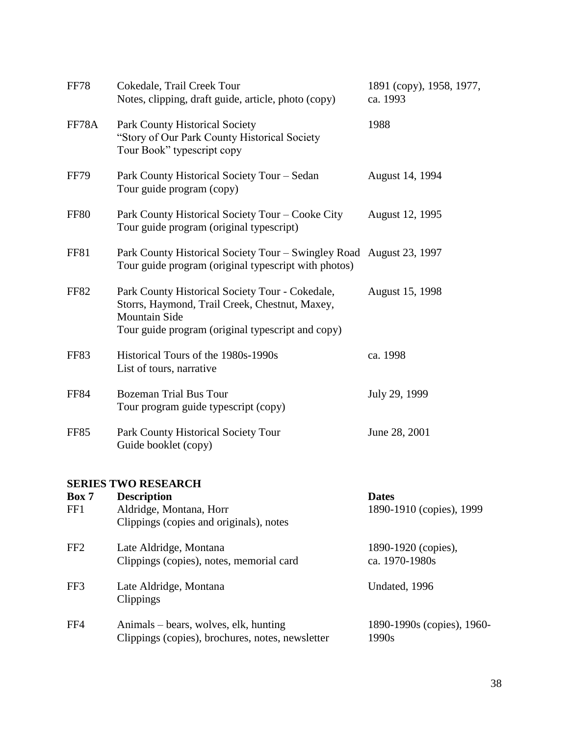| <b>FF78</b>     | Cokedale, Trail Creek Tour<br>Notes, clipping, draft guide, article, photo (copy)                                                                                              | 1891 (copy), 1958, 1977,<br>ca. 1993     |
|-----------------|--------------------------------------------------------------------------------------------------------------------------------------------------------------------------------|------------------------------------------|
| FF78A           | <b>Park County Historical Society</b><br>"Story of Our Park County Historical Society<br>Tour Book" typescript copy                                                            | 1988                                     |
| <b>FF79</b>     | Park County Historical Society Tour - Sedan<br>Tour guide program (copy)                                                                                                       | August 14, 1994                          |
| FF80            | Park County Historical Society Tour – Cooke City<br>Tour guide program (original typescript)                                                                                   | August 12, 1995                          |
| FF81            | Park County Historical Society Tour – Swingley Road August 23, 1997<br>Tour guide program (original typescript with photos)                                                    |                                          |
| <b>FF82</b>     | Park County Historical Society Tour - Cokedale,<br>Storrs, Haymond, Trail Creek, Chestnut, Maxey,<br><b>Mountain Side</b><br>Tour guide program (original typescript and copy) | August 15, 1998                          |
| FF83            | Historical Tours of the 1980s-1990s<br>List of tours, narrative                                                                                                                | ca. 1998                                 |
| <b>FF84</b>     | <b>Bozeman Trial Bus Tour</b><br>Tour program guide typescript (copy)                                                                                                          | July 29, 1999                            |
| <b>FF85</b>     | Park County Historical Society Tour<br>Guide booklet (copy)                                                                                                                    | June 28, 2001                            |
|                 | <b>SERIES TWO RESEARCH</b>                                                                                                                                                     |                                          |
| Box 7<br>FF1    | <b>Description</b><br>Aldridge, Montana, Horr<br>Clippings (copies and originals), notes                                                                                       | <b>Dates</b><br>1890-1910 (copies), 1999 |
| FF <sub>2</sub> | Late Aldridge, Montana<br>Clippings (copies), notes, memorial card                                                                                                             | 1890-1920 (copies),<br>ca. 1970-1980s    |
| FF3             | Late Aldridge, Montana<br>Clippings                                                                                                                                            | Undated, 1996                            |

FF4 Animals – bears, wolves, elk, hunting 1890-1990s (copies), 1960-<br>Clippings (copies), brochures, notes, newsletter 1990s Clippings (copies), brochures, notes, newsletter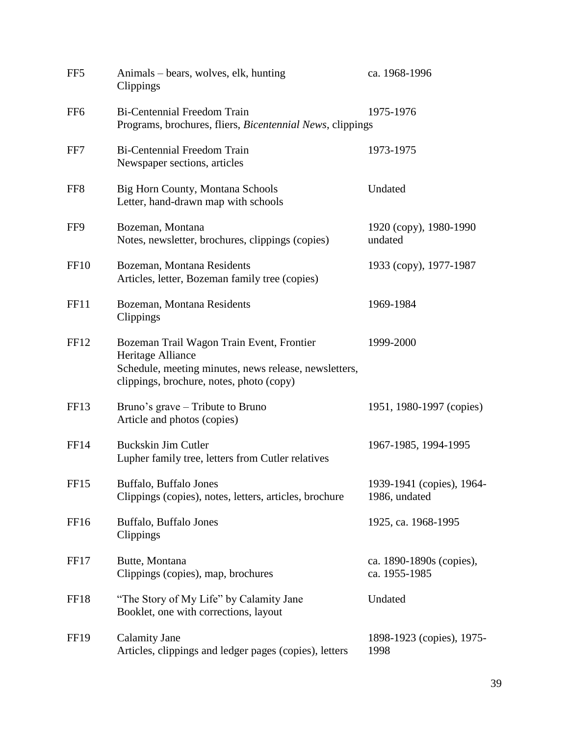| FF <sub>5</sub>  | Animals – bears, wolves, elk, hunting<br>Clippings                                                                                                                  | ca. 1968-1996                              |
|------------------|---------------------------------------------------------------------------------------------------------------------------------------------------------------------|--------------------------------------------|
| FF <sub>6</sub>  | <b>Bi-Centennial Freedom Train</b><br>Programs, brochures, fliers, Bicentennial News, clippings                                                                     | 1975-1976                                  |
| FF7              | <b>Bi-Centennial Freedom Train</b><br>Newspaper sections, articles                                                                                                  | 1973-1975                                  |
| FF <sub>8</sub>  | <b>Big Horn County, Montana Schools</b><br>Letter, hand-drawn map with schools                                                                                      | Undated                                    |
| FF9              | Bozeman, Montana<br>Notes, newsletter, brochures, clippings (copies)                                                                                                | 1920 (copy), 1980-1990<br>undated          |
| FF <sub>10</sub> | Bozeman, Montana Residents<br>Articles, letter, Bozeman family tree (copies)                                                                                        | 1933 (copy), 1977-1987                     |
| FF11             | Bozeman, Montana Residents<br>Clippings                                                                                                                             | 1969-1984                                  |
| FF <sub>12</sub> | Bozeman Trail Wagon Train Event, Frontier<br>Heritage Alliance<br>Schedule, meeting minutes, news release, newsletters,<br>clippings, brochure, notes, photo (copy) | 1999-2000                                  |
| FF <sub>13</sub> | Bruno's grave – Tribute to Bruno<br>Article and photos (copies)                                                                                                     | 1951, 1980-1997 (copies)                   |
| <b>FF14</b>      | <b>Buckskin Jim Cutler</b><br>Lupher family tree, letters from Cutler relatives                                                                                     | 1967-1985, 1994-1995                       |
| FF15             | Buffalo, Buffalo Jones<br>Clippings (copies), notes, letters, articles, brochure                                                                                    | 1939-1941 (copies), 1964-<br>1986, undated |
| FF <sub>16</sub> | Buffalo, Buffalo Jones<br>Clippings                                                                                                                                 | 1925, ca. 1968-1995                        |
| FF17             | Butte, Montana<br>Clippings (copies), map, brochures                                                                                                                | ca. 1890-1890s (copies),<br>ca. 1955-1985  |
| FF18             | "The Story of My Life" by Calamity Jane<br>Booklet, one with corrections, layout                                                                                    | Undated                                    |
| <b>FF19</b>      | <b>Calamity Jane</b><br>Articles, clippings and ledger pages (copies), letters                                                                                      | 1898-1923 (copies), 1975-<br>1998          |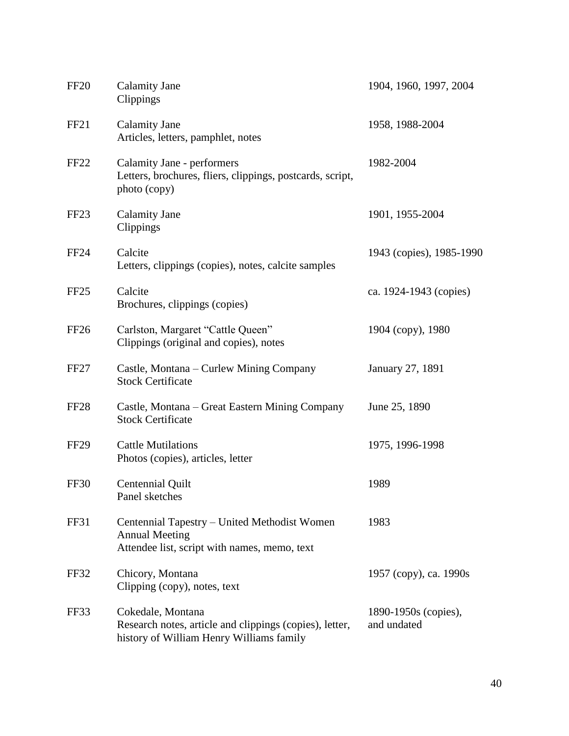| <b>FF20</b>      | <b>Calamity Jane</b><br>Clippings                                                                                        | 1904, 1960, 1997, 2004              |
|------------------|--------------------------------------------------------------------------------------------------------------------------|-------------------------------------|
| FF <sub>21</sub> | <b>Calamity Jane</b><br>Articles, letters, pamphlet, notes                                                               | 1958, 1988-2004                     |
| FF <sub>22</sub> | Calamity Jane - performers<br>Letters, brochures, fliers, clippings, postcards, script,<br>photo (copy)                  | 1982-2004                           |
| FF <sub>23</sub> | <b>Calamity Jane</b><br>Clippings                                                                                        | 1901, 1955-2004                     |
| FF <sub>24</sub> | Calcite<br>Letters, clippings (copies), notes, calcite samples                                                           | 1943 (copies), 1985-1990            |
| FF <sub>25</sub> | Calcite<br>Brochures, clippings (copies)                                                                                 | ca. 1924-1943 (copies)              |
| FF <sub>26</sub> | Carlston, Margaret "Cattle Queen"<br>Clippings (original and copies), notes                                              | 1904 (copy), 1980                   |
| FF <sub>27</sub> | Castle, Montana – Curlew Mining Company<br><b>Stock Certificate</b>                                                      | January 27, 1891                    |
| FF <sub>28</sub> | Castle, Montana - Great Eastern Mining Company<br><b>Stock Certificate</b>                                               | June 25, 1890                       |
| <b>FF29</b>      | <b>Cattle Mutilations</b><br>Photos (copies), articles, letter                                                           | 1975, 1996-1998                     |
| <b>FF30</b>      | Centennial Quilt<br>Panel sketches                                                                                       | 1989                                |
| FF31             | Centennial Tapestry – United Methodist Women<br><b>Annual Meeting</b><br>Attendee list, script with names, memo, text    | 1983                                |
| FF32             | Chicory, Montana<br>Clipping (copy), notes, text                                                                         | 1957 (copy), ca. 1990s              |
| FF33             | Cokedale, Montana<br>Research notes, article and clippings (copies), letter,<br>history of William Henry Williams family | 1890-1950s (copies),<br>and undated |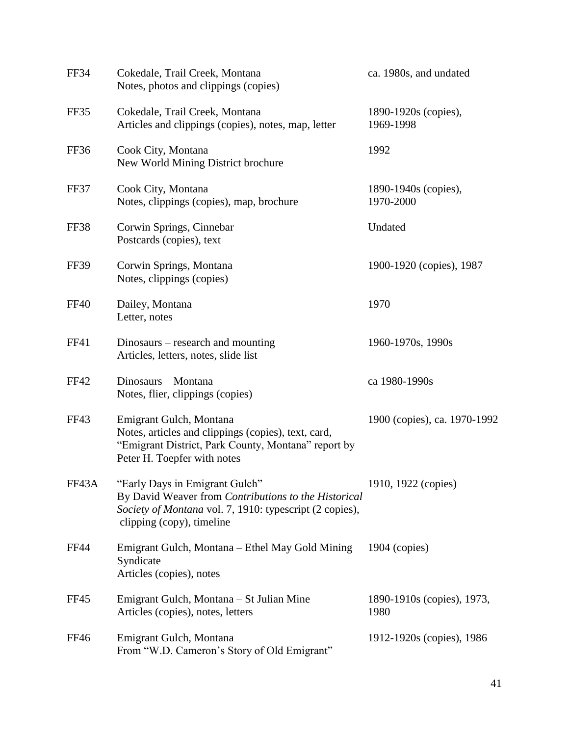| FF34        | Cokedale, Trail Creek, Montana<br>Notes, photos and clippings (copies)                                                                                                         | ca. 1980s, and undated             |
|-------------|--------------------------------------------------------------------------------------------------------------------------------------------------------------------------------|------------------------------------|
| FF35        | Cokedale, Trail Creek, Montana<br>Articles and clippings (copies), notes, map, letter                                                                                          | 1890-1920s (copies),<br>1969-1998  |
| FF36        | Cook City, Montana<br>New World Mining District brochure                                                                                                                       | 1992                               |
| FF37        | Cook City, Montana<br>Notes, clippings (copies), map, brochure                                                                                                                 | 1890-1940s (copies),<br>1970-2000  |
| FF38        | Corwin Springs, Cinnebar<br>Postcards (copies), text                                                                                                                           | Undated                            |
| FF39        | Corwin Springs, Montana<br>Notes, clippings (copies)                                                                                                                           | 1900-1920 (copies), 1987           |
| <b>FF40</b> | Dailey, Montana<br>Letter, notes                                                                                                                                               | 1970                               |
| FF41        | Dinosaurs – research and mounting<br>Articles, letters, notes, slide list                                                                                                      | 1960-1970s, 1990s                  |
| <b>FF42</b> | Dinosaurs - Montana<br>Notes, flier, clippings (copies)                                                                                                                        | ca 1980-1990s                      |
| FF43        | Emigrant Gulch, Montana<br>Notes, articles and clippings (copies), text, card,<br>"Emigrant District, Park County, Montana" report by<br>Peter H. Toepfer with notes           | 1900 (copies), ca. 1970-1992       |
| FF43A       | "Early Days in Emigrant Gulch"<br>By David Weaver from Contributions to the Historical<br>Society of Montana vol. 7, 1910: typescript (2 copies),<br>clipping (copy), timeline | 1910, 1922 (copies)                |
| <b>FF44</b> | Emigrant Gulch, Montana – Ethel May Gold Mining<br>Syndicate<br>Articles (copies), notes                                                                                       | $1904$ (copies)                    |
| FF45        | Emigrant Gulch, Montana – St Julian Mine<br>Articles (copies), notes, letters                                                                                                  | 1890-1910s (copies), 1973,<br>1980 |
| FF46        | Emigrant Gulch, Montana<br>From "W.D. Cameron's Story of Old Emigrant"                                                                                                         | 1912-1920s (copies), 1986          |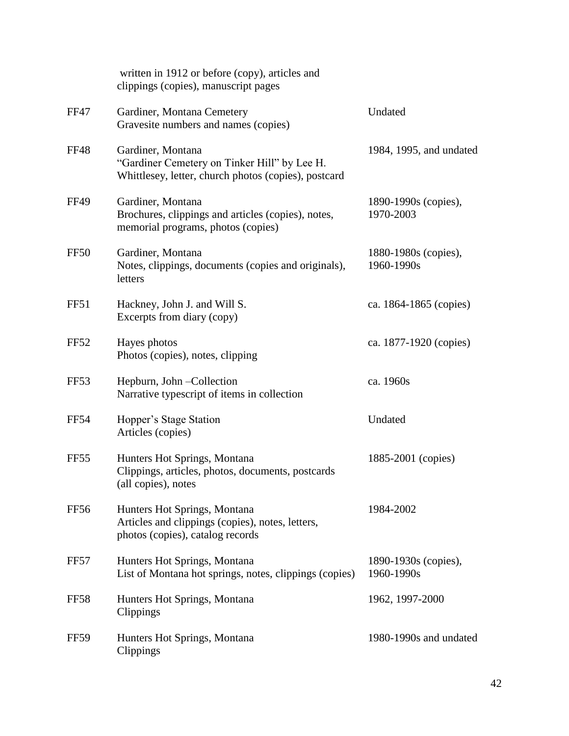|                  | written in 1912 or before (copy), articles and<br>clippings (copies), manuscript pages                                    |                                    |
|------------------|---------------------------------------------------------------------------------------------------------------------------|------------------------------------|
| <b>FF47</b>      | Gardiner, Montana Cemetery<br>Gravesite numbers and names (copies)                                                        | Undated                            |
| <b>FF48</b>      | Gardiner, Montana<br>"Gardiner Cemetery on Tinker Hill" by Lee H.<br>Whittlesey, letter, church photos (copies), postcard | 1984, 1995, and undated            |
| <b>FF49</b>      | Gardiner, Montana<br>Brochures, clippings and articles (copies), notes,<br>memorial programs, photos (copies)             | 1890-1990s (copies),<br>1970-2003  |
| FF <sub>50</sub> | Gardiner, Montana<br>Notes, clippings, documents (copies and originals),<br>letters                                       | 1880-1980s (copies),<br>1960-1990s |
| FF51             | Hackney, John J. and Will S.<br>Excerpts from diary (copy)                                                                | ca. 1864-1865 (copies)             |
| <b>FF52</b>      | Hayes photos<br>Photos (copies), notes, clipping                                                                          | ca. 1877-1920 (copies)             |
| FF <sub>53</sub> | Hepburn, John - Collection<br>Narrative typescript of items in collection                                                 | ca. 1960s                          |
| <b>FF54</b>      | Hopper's Stage Station<br>Articles (copies)                                                                               | Undated                            |
| FF <sub>55</sub> | Hunters Hot Springs, Montana<br>Clippings, articles, photos, documents, postcards<br>(all copies), notes                  | 1885-2001 (copies)                 |
| FF56             | Hunters Hot Springs, Montana<br>Articles and clippings (copies), notes, letters,<br>photos (copies), catalog records      | 1984-2002                          |
| FF57             | Hunters Hot Springs, Montana<br>List of Montana hot springs, notes, clippings (copies)                                    | 1890-1930s (copies),<br>1960-1990s |
| <b>FF58</b>      | Hunters Hot Springs, Montana<br>Clippings                                                                                 | 1962, 1997-2000                    |
| FF59             | Hunters Hot Springs, Montana<br>Clippings                                                                                 | 1980-1990s and undated             |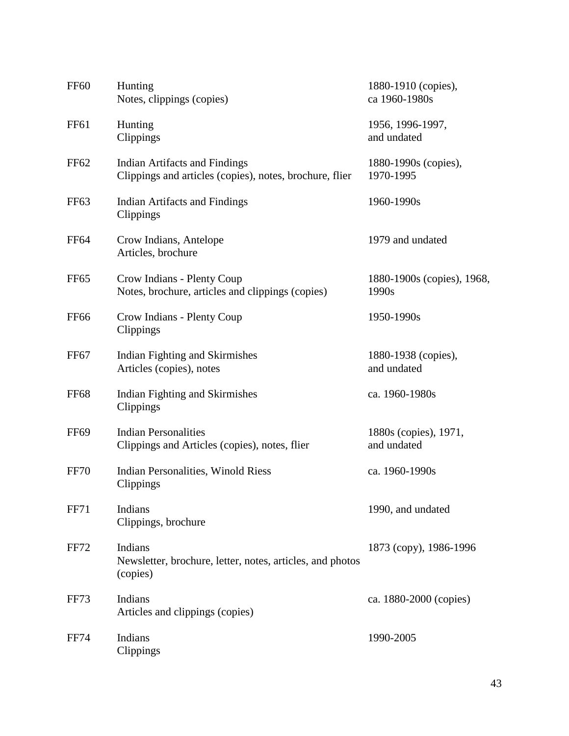| <b>FF60</b>      | Hunting<br>Notes, clippings (copies)                                                     | 1880-1910 (copies),<br>ca 1960-1980s |
|------------------|------------------------------------------------------------------------------------------|--------------------------------------|
| <b>FF61</b>      | Hunting<br>Clippings                                                                     | 1956, 1996-1997,<br>and undated      |
| FF <sub>62</sub> | Indian Artifacts and Findings<br>Clippings and articles (copies), notes, brochure, flier | 1880-1990s (copies),<br>1970-1995    |
| FF <sub>63</sub> | <b>Indian Artifacts and Findings</b><br>Clippings                                        | 1960-1990s                           |
| FF <sub>64</sub> | Crow Indians, Antelope<br>Articles, brochure                                             | 1979 and undated                     |
| FF <sub>65</sub> | Crow Indians - Plenty Coup<br>Notes, brochure, articles and clippings (copies)           | 1880-1900s (copies), 1968,<br>1990s  |
| <b>FF66</b>      | Crow Indians - Plenty Coup<br>Clippings                                                  | 1950-1990s                           |
| FF <sub>67</sub> | Indian Fighting and Skirmishes<br>Articles (copies), notes                               | 1880-1938 (copies),<br>and undated   |
| <b>FF68</b>      | Indian Fighting and Skirmishes<br>Clippings                                              | ca. 1960-1980s                       |
| <b>FF69</b>      | <b>Indian Personalities</b><br>Clippings and Articles (copies), notes, flier             | 1880s (copies), 1971,<br>and undated |
| <b>FF70</b>      | Indian Personalities, Winold Riess<br>Clippings                                          | ca. 1960-1990s                       |
| <b>FF71</b>      | Indians<br>Clippings, brochure                                                           | 1990, and undated                    |
| <b>FF72</b>      | Indians<br>Newsletter, brochure, letter, notes, articles, and photos<br>(copies)         | 1873 (copy), 1986-1996               |
| FF73             | Indians<br>Articles and clippings (copies)                                               | ca. 1880-2000 (copies)               |
| <b>FF74</b>      | Indians<br>Clippings                                                                     | 1990-2005                            |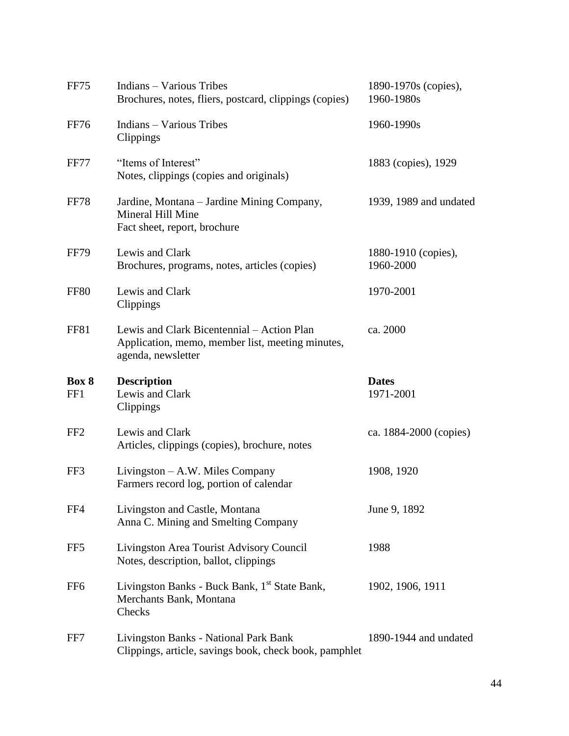| FF75            | <b>Indians - Various Tribes</b><br>Brochures, notes, fliers, postcard, clippings (copies)                            | 1890-1970s (copies),<br>1960-1980s |
|-----------------|----------------------------------------------------------------------------------------------------------------------|------------------------------------|
| <b>FF76</b>     | <b>Indians - Various Tribes</b><br>Clippings                                                                         | 1960-1990s                         |
| <b>FF77</b>     | "Items of Interest"<br>Notes, clippings (copies and originals)                                                       | 1883 (copies), 1929                |
| <b>FF78</b>     | Jardine, Montana – Jardine Mining Company,<br>Mineral Hill Mine<br>Fact sheet, report, brochure                      | 1939, 1989 and undated             |
| <b>FF79</b>     | Lewis and Clark<br>Brochures, programs, notes, articles (copies)                                                     | 1880-1910 (copies),<br>1960-2000   |
| <b>FF80</b>     | Lewis and Clark<br>Clippings                                                                                         | 1970-2001                          |
| FF81            | Lewis and Clark Bicentennial – Action Plan<br>Application, memo, member list, meeting minutes,<br>agenda, newsletter | ca. 2000                           |
| Box 8<br>FF1    | <b>Description</b><br>Lewis and Clark<br>Clippings                                                                   | <b>Dates</b><br>1971-2001          |
| FF <sub>2</sub> | Lewis and Clark<br>Articles, clippings (copies), brochure, notes                                                     | ca. 1884-2000 (copies)             |
| FF3             | Livingston – A.W. Miles Company<br>Farmers record log, portion of calendar                                           | 1908, 1920                         |
| FF4             | Livingston and Castle, Montana<br>Anna C. Mining and Smelting Company                                                | June 9, 1892                       |
| FF5             | Livingston Area Tourist Advisory Council<br>Notes, description, ballot, clippings                                    | 1988                               |
| FF <sub>6</sub> | Livingston Banks - Buck Bank, 1 <sup>st</sup> State Bank,<br>Merchants Bank, Montana<br>Checks                       | 1902, 1906, 1911                   |
| FF7             | Livingston Banks - National Park Bank<br>Clippings, article, savings book, check book, pamphlet                      | 1890-1944 and undated              |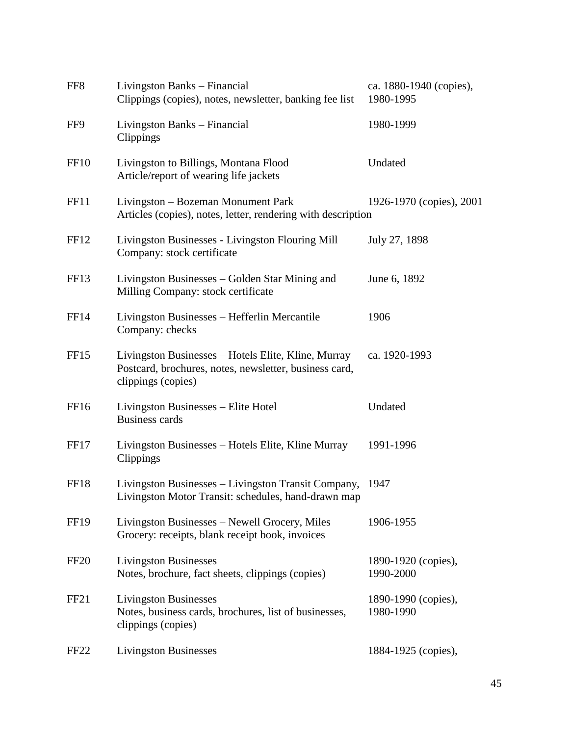| FF8              | Livingston Banks – Financial<br>Clippings (copies), notes, newsletter, banking fee list                                             | ca. 1880-1940 (copies),<br>1980-1995 |
|------------------|-------------------------------------------------------------------------------------------------------------------------------------|--------------------------------------|
| FF9              | Livingston Banks - Financial<br>Clippings                                                                                           | 1980-1999                            |
| FF <sub>10</sub> | Livingston to Billings, Montana Flood<br>Article/report of wearing life jackets                                                     | Undated                              |
| FF11             | Livingston – Bozeman Monument Park<br>Articles (copies), notes, letter, rendering with description                                  | 1926-1970 (copies), 2001             |
| FF <sub>12</sub> | Livingston Businesses - Livingston Flouring Mill<br>Company: stock certificate                                                      | July 27, 1898                        |
| FF <sub>13</sub> | Livingston Businesses – Golden Star Mining and<br>Milling Company: stock certificate                                                | June 6, 1892                         |
| <b>FF14</b>      | Livingston Businesses – Hefferlin Mercantile<br>Company: checks                                                                     | 1906                                 |
| FF <sub>15</sub> | Livingston Businesses – Hotels Elite, Kline, Murray<br>Postcard, brochures, notes, newsletter, business card,<br>clippings (copies) | ca. 1920-1993                        |
| FF <sub>16</sub> | Livingston Businesses - Elite Hotel<br><b>Business cards</b>                                                                        | Undated                              |
| FF17             | Livingston Businesses - Hotels Elite, Kline Murray<br>Clippings                                                                     | 1991-1996                            |
| FF18             | Livingston Businesses - Livingston Transit Company,<br>Livingston Motor Transit: schedules, hand-drawn map                          | 1947                                 |
| <b>FF19</b>      | Livingston Businesses – Newell Grocery, Miles<br>Grocery: receipts, blank receipt book, invoices                                    | 1906-1955                            |
| FF <sub>20</sub> | <b>Livingston Businesses</b><br>Notes, brochure, fact sheets, clippings (copies)                                                    | 1890-1920 (copies),<br>1990-2000     |
| FF <sub>21</sub> | <b>Livingston Businesses</b><br>Notes, business cards, brochures, list of businesses,<br>clippings (copies)                         | 1890-1990 (copies),<br>1980-1990     |
| FF <sub>22</sub> | <b>Livingston Businesses</b>                                                                                                        | 1884-1925 (copies),                  |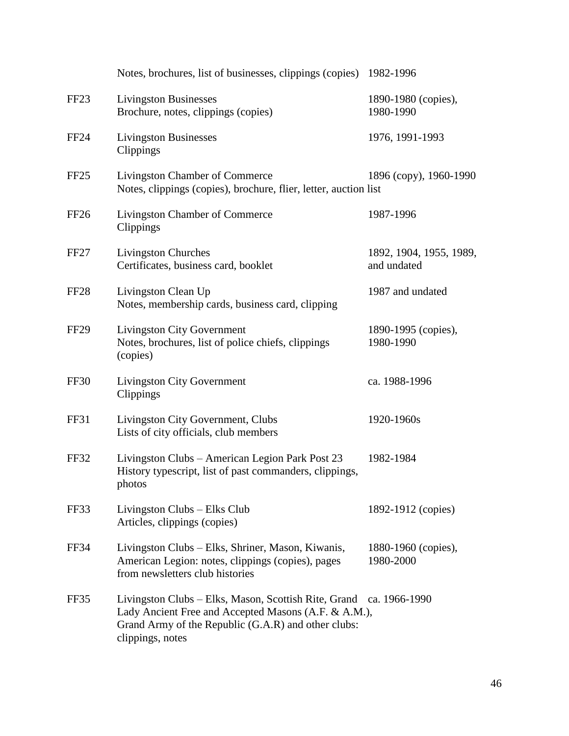|                  | Notes, brochures, list of businesses, clippings (copies) 1982-1996                                                                                                                                    |                                        |
|------------------|-------------------------------------------------------------------------------------------------------------------------------------------------------------------------------------------------------|----------------------------------------|
| FF <sub>23</sub> | <b>Livingston Businesses</b><br>Brochure, notes, clippings (copies)                                                                                                                                   | 1890-1980 (copies),<br>1980-1990       |
| <b>FF24</b>      | <b>Livingston Businesses</b><br>Clippings                                                                                                                                                             | 1976, 1991-1993                        |
| FF25             | Livingston Chamber of Commerce<br>Notes, clippings (copies), brochure, flier, letter, auction list                                                                                                    | 1896 (copy), 1960-1990                 |
| FF <sub>26</sub> | Livingston Chamber of Commerce<br>Clippings                                                                                                                                                           | 1987-1996                              |
| FF <sub>27</sub> | <b>Livingston Churches</b><br>Certificates, business card, booklet                                                                                                                                    | 1892, 1904, 1955, 1989,<br>and undated |
| FF <sub>28</sub> | Livingston Clean Up<br>Notes, membership cards, business card, clipping                                                                                                                               | 1987 and undated                       |
| FF <sub>29</sub> | <b>Livingston City Government</b><br>Notes, brochures, list of police chiefs, clippings<br>(copies)                                                                                                   | 1890-1995 (copies),<br>1980-1990       |
| FF30             | <b>Livingston City Government</b><br>Clippings                                                                                                                                                        | ca. 1988-1996                          |
| FF31             | Livingston City Government, Clubs<br>Lists of city officials, club members                                                                                                                            | 1920-1960s                             |
| FF32             | Livingston Clubs - American Legion Park Post 23<br>History typescript, list of past commanders, clippings,<br>photos                                                                                  | 1982-1984                              |
| FF33             | Livingston Clubs – Elks Club<br>Articles, clippings (copies)                                                                                                                                          | 1892-1912 (copies)                     |
| FF34             | Livingston Clubs - Elks, Shriner, Mason, Kiwanis,<br>American Legion: notes, clippings (copies), pages<br>from newsletters club histories                                                             | 1880-1960 (copies),<br>1980-2000       |
| FF35             | Livingston Clubs - Elks, Mason, Scottish Rite, Grand ca. 1966-1990<br>Lady Ancient Free and Accepted Masons (A.F. & A.M.),<br>Grand Army of the Republic (G.A.R) and other clubs:<br>clippings, notes |                                        |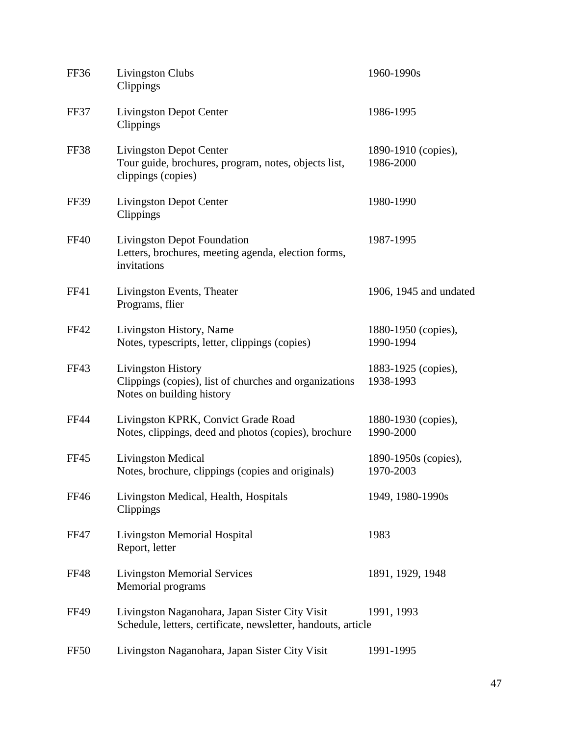| FF36        | <b>Livingston Clubs</b><br>Clippings                                                                            | 1960-1990s                        |
|-------------|-----------------------------------------------------------------------------------------------------------------|-----------------------------------|
| FF37        | <b>Livingston Depot Center</b><br>Clippings                                                                     | 1986-1995                         |
| FF38        | <b>Livingston Depot Center</b><br>Tour guide, brochures, program, notes, objects list,<br>clippings (copies)    | 1890-1910 (copies),<br>1986-2000  |
| <b>FF39</b> | <b>Livingston Depot Center</b><br>Clippings                                                                     | 1980-1990                         |
| <b>FF40</b> | <b>Livingston Depot Foundation</b><br>Letters, brochures, meeting agenda, election forms,<br>invitations        | 1987-1995                         |
| FF41        | Livingston Events, Theater<br>Programs, flier                                                                   | 1906, 1945 and undated            |
| <b>FF42</b> | Livingston History, Name<br>Notes, typescripts, letter, clippings (copies)                                      | 1880-1950 (copies),<br>1990-1994  |
| FF43        | Livingston History<br>Clippings (copies), list of churches and organizations<br>Notes on building history       | 1883-1925 (copies),<br>1938-1993  |
| <b>FF44</b> | Livingston KPRK, Convict Grade Road<br>Notes, clippings, deed and photos (copies), brochure                     | 1880-1930 (copies),<br>1990-2000  |
| <b>FF45</b> | <b>Livingston Medical</b><br>Notes, brochure, clippings (copies and originals)                                  | 1890-1950s (copies),<br>1970-2003 |
| <b>FF46</b> | Livingston Medical, Health, Hospitals<br>Clippings                                                              | 1949, 1980-1990s                  |
| <b>FF47</b> | <b>Livingston Memorial Hospital</b><br>Report, letter                                                           | 1983                              |
| FF48        | <b>Livingston Memorial Services</b><br>Memorial programs                                                        | 1891, 1929, 1948                  |
| <b>FF49</b> | Livingston Naganohara, Japan Sister City Visit<br>Schedule, letters, certificate, newsletter, handouts, article | 1991, 1993                        |
| <b>FF50</b> | Livingston Naganohara, Japan Sister City Visit                                                                  | 1991-1995                         |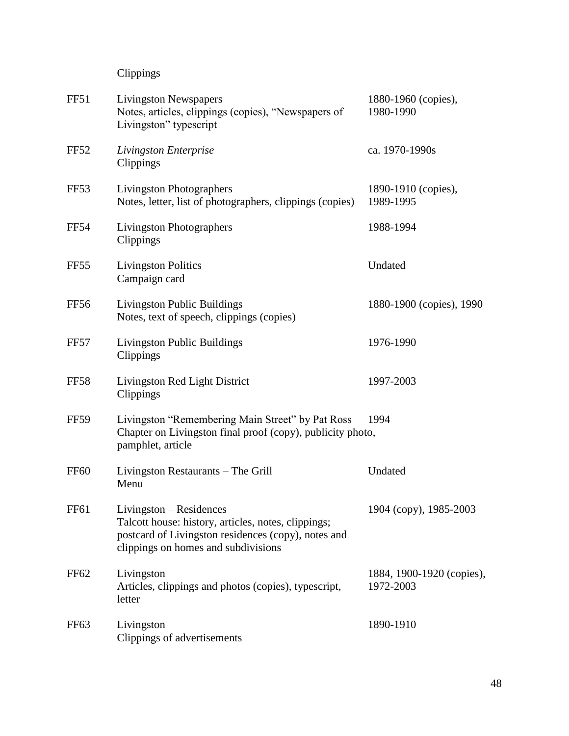Clippings

| FF51             | <b>Livingston Newspapers</b><br>Notes, articles, clippings (copies), "Newspapers of<br>Livingston" typescript                                                                | 1880-1960 (copies),<br>1980-1990       |
|------------------|------------------------------------------------------------------------------------------------------------------------------------------------------------------------------|----------------------------------------|
| <b>FF52</b>      | Livingston Enterprise<br>Clippings                                                                                                                                           | ca. 1970-1990s                         |
| <b>FF53</b>      | <b>Livingston Photographers</b><br>Notes, letter, list of photographers, clippings (copies)                                                                                  | 1890-1910 (copies),<br>1989-1995       |
| <b>FF54</b>      | <b>Livingston Photographers</b><br>Clippings                                                                                                                                 | 1988-1994                              |
| FF <sub>55</sub> | <b>Livingston Politics</b><br>Campaign card                                                                                                                                  | Undated                                |
| <b>FF56</b>      | Livingston Public Buildings<br>Notes, text of speech, clippings (copies)                                                                                                     | 1880-1900 (copies), 1990               |
| <b>FF57</b>      | Livingston Public Buildings<br>Clippings                                                                                                                                     | 1976-1990                              |
| <b>FF58</b>      | Livingston Red Light District<br>Clippings                                                                                                                                   | 1997-2003                              |
| <b>FF59</b>      | Livingston "Remembering Main Street" by Pat Ross<br>Chapter on Livingston final proof (copy), publicity photo,<br>pamphlet, article                                          | 1994                                   |
| <b>FF60</b>      | Livingston Restaurants - The Grill<br>Menu                                                                                                                                   | Undated                                |
| <b>FF61</b>      | Livingston - Residences<br>Talcott house: history, articles, notes, clippings;<br>postcard of Livingston residences (copy), notes and<br>clippings on homes and subdivisions | 1904 (copy), 1985-2003                 |
| FF62             | Livingston<br>Articles, clippings and photos (copies), typescript,<br>letter                                                                                                 | 1884, 1900-1920 (copies),<br>1972-2003 |
| FF <sub>63</sub> | Livingston<br>Clippings of advertisements                                                                                                                                    | 1890-1910                              |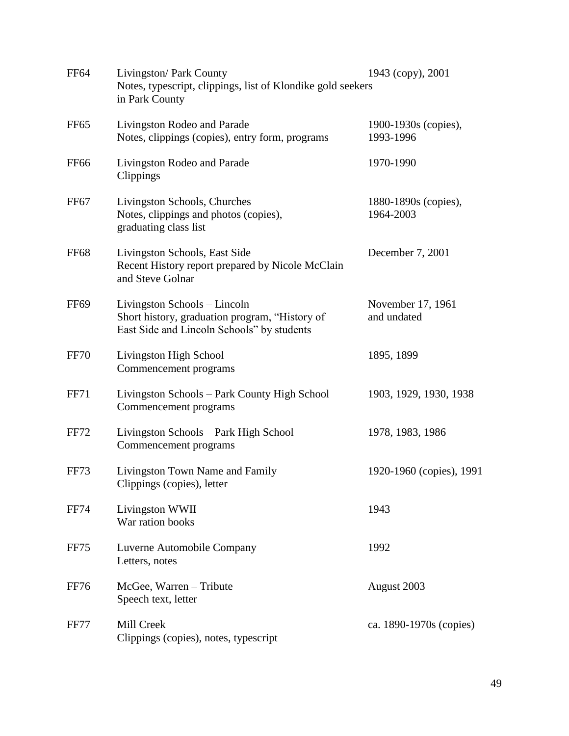| <b>FF64</b>      | Livingston/ Park County<br>Notes, typescript, clippings, list of Klondike gold seekers<br>in Park County                     | 1943 (copy), 2001                 |
|------------------|------------------------------------------------------------------------------------------------------------------------------|-----------------------------------|
| <b>FF65</b>      | Livingston Rodeo and Parade<br>Notes, clippings (copies), entry form, programs                                               | 1900-1930s (copies),<br>1993-1996 |
| <b>FF66</b>      | Livingston Rodeo and Parade<br>Clippings                                                                                     | 1970-1990                         |
| FF <sub>67</sub> | Livingston Schools, Churches<br>Notes, clippings and photos (copies),<br>graduating class list                               | 1880-1890s (copies),<br>1964-2003 |
| <b>FF68</b>      | Livingston Schools, East Side<br>Recent History report prepared by Nicole McClain<br>and Steve Golnar                        | December 7, 2001                  |
| FF <sub>69</sub> | Livingston Schools – Lincoln<br>Short history, graduation program, "History of<br>East Side and Lincoln Schools" by students | November 17, 1961<br>and undated  |
| <b>FF70</b>      | Livingston High School<br>Commencement programs                                                                              | 1895, 1899                        |
| <b>FF71</b>      | Livingston Schools – Park County High School<br>Commencement programs                                                        | 1903, 1929, 1930, 1938            |
| <b>FF72</b>      | Livingston Schools - Park High School<br>Commencement programs                                                               | 1978, 1983, 1986                  |
| FF73             | Livingston Town Name and Family<br>Clippings (copies), letter                                                                | 1920-1960 (copies), 1991          |
| <b>FF74</b>      | Livingston WWII<br>War ration books                                                                                          | 1943                              |
| FF75             | Luverne Automobile Company<br>Letters, notes                                                                                 | 1992                              |
| <b>FF76</b>      | McGee, Warren - Tribute<br>Speech text, letter                                                                               | August 2003                       |
| <b>FF77</b>      | Mill Creek<br>Clippings (copies), notes, typescript                                                                          | ca. 1890-1970s (copies)           |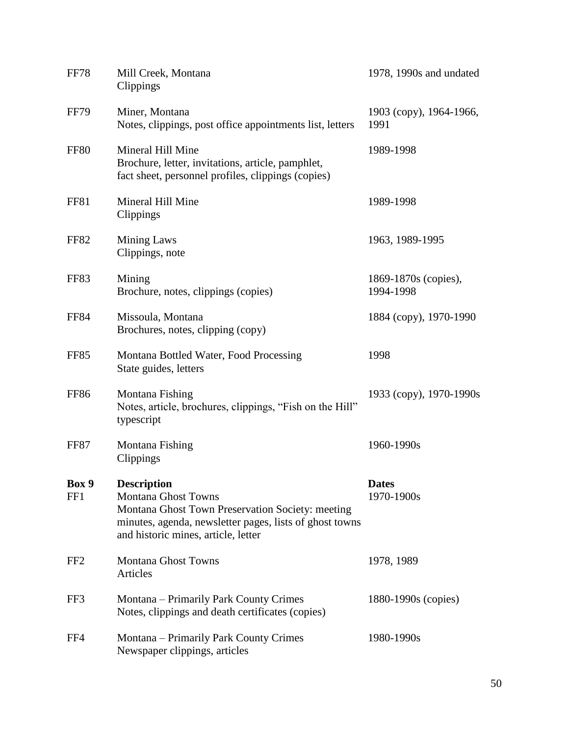| <b>FF78</b>     | Mill Creek, Montana<br>Clippings                                                                                                                                                                       | 1978, 1990s and undated           |
|-----------------|--------------------------------------------------------------------------------------------------------------------------------------------------------------------------------------------------------|-----------------------------------|
| <b>FF79</b>     | Miner, Montana<br>Notes, clippings, post office appointments list, letters                                                                                                                             | 1903 (сору), 1964-1966,<br>1991   |
| <b>FF80</b>     | Mineral Hill Mine<br>Brochure, letter, invitations, article, pamphlet,<br>fact sheet, personnel profiles, clippings (copies)                                                                           | 1989-1998                         |
| <b>FF81</b>     | Mineral Hill Mine<br>Clippings                                                                                                                                                                         | 1989-1998                         |
| <b>FF82</b>     | <b>Mining Laws</b><br>Clippings, note                                                                                                                                                                  | 1963, 1989-1995                   |
| <b>FF83</b>     | Mining<br>Brochure, notes, clippings (copies)                                                                                                                                                          | 1869-1870s (copies),<br>1994-1998 |
| <b>FF84</b>     | Missoula, Montana<br>Brochures, notes, clipping (copy)                                                                                                                                                 | 1884 (copy), 1970-1990            |
| <b>FF85</b>     | Montana Bottled Water, Food Processing<br>State guides, letters                                                                                                                                        | 1998                              |
| <b>FF86</b>     | Montana Fishing<br>Notes, article, brochures, clippings, "Fish on the Hill"<br>typescript                                                                                                              | 1933 (copy), 1970-1990s           |
| FF87            | Montana Fishing<br>Clippings                                                                                                                                                                           | 1960-1990s                        |
| Box 9<br>FF1    | <b>Description</b><br><b>Montana Ghost Towns</b><br>Montana Ghost Town Preservation Society: meeting<br>minutes, agenda, newsletter pages, lists of ghost towns<br>and historic mines, article, letter | <b>Dates</b><br>1970-1900s        |
| FF <sub>2</sub> | <b>Montana Ghost Towns</b><br>Articles                                                                                                                                                                 | 1978, 1989                        |
| FF3             | Montana – Primarily Park County Crimes<br>Notes, clippings and death certificates (copies)                                                                                                             | 1880-1990s (copies)               |
| FF4             | Montana – Primarily Park County Crimes<br>Newspaper clippings, articles                                                                                                                                | 1980-1990s                        |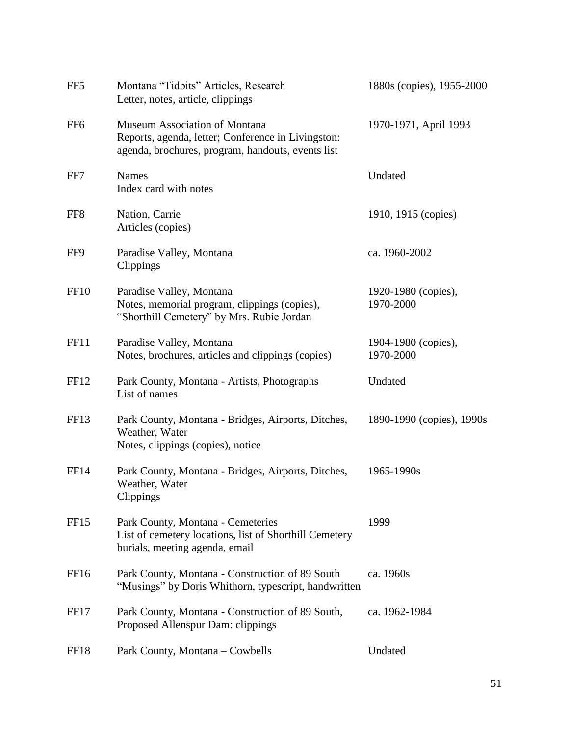| FF <sub>5</sub>  | Montana "Tidbits" Articles, Research<br>Letter, notes, article, clippings                                                                | 1880s (copies), 1955-2000        |
|------------------|------------------------------------------------------------------------------------------------------------------------------------------|----------------------------------|
| FF <sub>6</sub>  | Museum Association of Montana<br>Reports, agenda, letter; Conference in Livingston:<br>agenda, brochures, program, handouts, events list | 1970-1971, April 1993            |
| FF7              | <b>Names</b><br>Index card with notes                                                                                                    | Undated                          |
| FF8              | Nation, Carrie<br>Articles (copies)                                                                                                      | 1910, 1915 (copies)              |
| FF9              | Paradise Valley, Montana<br>Clippings                                                                                                    | ca. 1960-2002                    |
| FF <sub>10</sub> | Paradise Valley, Montana<br>Notes, memorial program, clippings (copies),<br>"Shorthill Cemetery" by Mrs. Rubie Jordan                    | 1920-1980 (copies),<br>1970-2000 |
| FF11             | Paradise Valley, Montana<br>Notes, brochures, articles and clippings (copies)                                                            | 1904-1980 (copies),<br>1970-2000 |
| FF <sub>12</sub> | Park County, Montana - Artists, Photographs<br>List of names                                                                             | Undated                          |
| FF13             | Park County, Montana - Bridges, Airports, Ditches,<br>Weather, Water<br>Notes, clippings (copies), notice                                | 1890-1990 (copies), 1990s        |
| <b>FF14</b>      | Park County, Montana - Bridges, Airports, Ditches,<br>Weather, Water<br>Clippings                                                        | 1965-1990s                       |
| <b>FF15</b>      | Park County, Montana - Cemeteries<br>List of cemetery locations, list of Shorthill Cemetery<br>burials, meeting agenda, email            | 1999                             |
| FF <sub>16</sub> | Park County, Montana - Construction of 89 South<br>"Musings" by Doris Whithorn, typescript, handwritten                                  | ca. 1960s                        |
| FF <sub>17</sub> | Park County, Montana - Construction of 89 South,<br>Proposed Allenspur Dam: clippings                                                    | ca. 1962-1984                    |
| FF <sub>18</sub> | Park County, Montana – Cowbells                                                                                                          | Undated                          |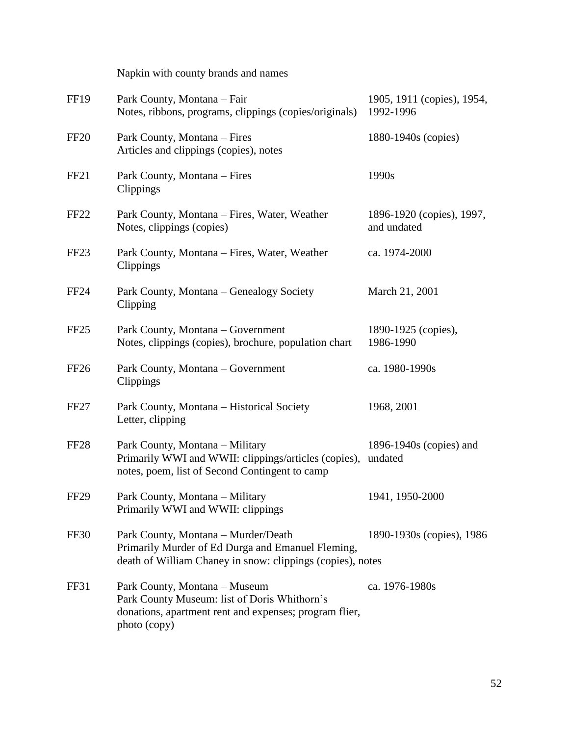|                  | Napkin with county brands and names                                                                                                                    |                                          |
|------------------|--------------------------------------------------------------------------------------------------------------------------------------------------------|------------------------------------------|
| <b>FF19</b>      | Park County, Montana - Fair<br>Notes, ribbons, programs, clippings (copies/originals)                                                                  | 1905, 1911 (copies), 1954,<br>1992-1996  |
| <b>FF20</b>      | Park County, Montana – Fires<br>Articles and clippings (copies), notes                                                                                 | 1880-1940s (copies)                      |
| FF <sub>21</sub> | Park County, Montana - Fires<br>Clippings                                                                                                              | 1990s                                    |
| FF <sub>22</sub> | Park County, Montana – Fires, Water, Weather<br>Notes, clippings (copies)                                                                              | 1896-1920 (copies), 1997,<br>and undated |
| FF <sub>23</sub> | Park County, Montana – Fires, Water, Weather<br>Clippings                                                                                              | ca. 1974-2000                            |
| FF <sub>24</sub> | Park County, Montana – Genealogy Society<br>Clipping                                                                                                   | March 21, 2001                           |
| FF <sub>25</sub> | Park County, Montana – Government<br>Notes, clippings (copies), brochure, population chart                                                             | 1890-1925 (copies),<br>1986-1990         |
| FF <sub>26</sub> | Park County, Montana - Government<br>Clippings                                                                                                         | ca. 1980-1990s                           |
| FF <sub>27</sub> | Park County, Montana – Historical Society<br>Letter, clipping                                                                                          | 1968, 2001                               |
| FF <sub>28</sub> | Park County, Montana - Military<br>Primarily WWI and WWII: clippings/articles (copies),<br>notes, poem, list of Second Contingent to camp              | 1896-1940s (copies) and<br>undated       |
| FF <sub>29</sub> | Park County, Montana – Military<br>Primarily WWI and WWII: clippings                                                                                   | 1941, 1950-2000                          |
| FF30             | Park County, Montana – Murder/Death<br>Primarily Murder of Ed Durga and Emanuel Fleming,<br>death of William Chaney in snow: clippings (copies), notes | 1890-1930s (copies), 1986                |
| FF31             | Park County, Montana - Museum<br>Park County Museum: list of Doris Whithorn's<br>donations, apartment rent and expenses; program flier,                | ca. 1976-1980s                           |

photo (copy)

52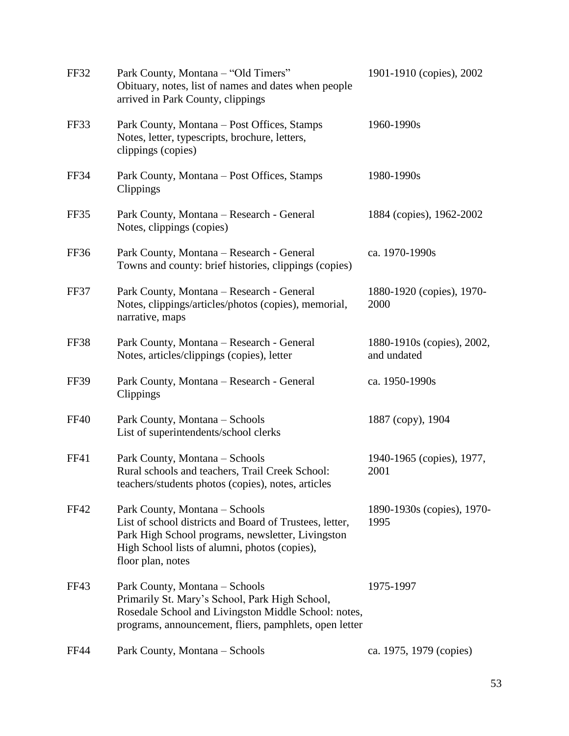| FF32        | Park County, Montana - "Old Timers"<br>Obituary, notes, list of names and dates when people<br>arrived in Park County, clippings                                                                                     | 1901-1910 (copies), 2002                  |
|-------------|----------------------------------------------------------------------------------------------------------------------------------------------------------------------------------------------------------------------|-------------------------------------------|
| FF33        | Park County, Montana – Post Offices, Stamps<br>Notes, letter, typescripts, brochure, letters,<br>clippings (copies)                                                                                                  | 1960-1990s                                |
| FF34        | Park County, Montana – Post Offices, Stamps<br>Clippings                                                                                                                                                             | 1980-1990s                                |
| FF35        | Park County, Montana - Research - General<br>Notes, clippings (copies)                                                                                                                                               | 1884 (copies), 1962-2002                  |
| FF36        | Park County, Montana - Research - General<br>Towns and county: brief histories, clippings (copies)                                                                                                                   | ca. 1970-1990s                            |
| FF37        | Park County, Montana - Research - General<br>Notes, clippings/articles/photos (copies), memorial,<br>narrative, maps                                                                                                 | 1880-1920 (copies), 1970-<br>2000         |
| FF38        | Park County, Montana - Research - General<br>Notes, articles/clippings (copies), letter                                                                                                                              | 1880-1910s (copies), 2002,<br>and undated |
| <b>FF39</b> | Park County, Montana - Research - General<br>Clippings                                                                                                                                                               | ca. 1950-1990s                            |
| <b>FF40</b> | Park County, Montana – Schools<br>List of superintendents/school clerks                                                                                                                                              | 1887 (copy), 1904                         |
| <b>FF41</b> | Park County, Montana – Schools<br>Rural schools and teachers, Trail Creek School:<br>teachers/students photos (copies), notes, articles                                                                              | 1940-1965 (copies), 1977,<br>2001         |
| <b>FF42</b> | Park County, Montana – Schools<br>List of school districts and Board of Trustees, letter,<br>Park High School programs, newsletter, Livingston<br>High School lists of alumni, photos (copies),<br>floor plan, notes | 1890-1930s (copies), 1970-<br>1995        |
| FF43        | Park County, Montana - Schools<br>Primarily St. Mary's School, Park High School,<br>Rosedale School and Livingston Middle School: notes,<br>programs, announcement, fliers, pamphlets, open letter                   | 1975-1997                                 |
| <b>FF44</b> | Park County, Montana - Schools                                                                                                                                                                                       | ca. 1975, 1979 (copies)                   |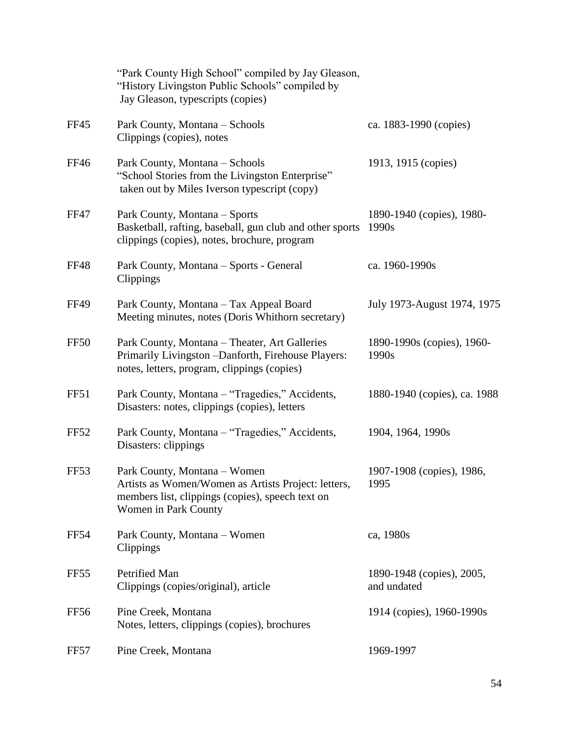|                  | "Park County High School" compiled by Jay Gleason,<br>"History Livingston Public Schools" compiled by<br>Jay Gleason, typescripts (copies)                      |                                          |
|------------------|-----------------------------------------------------------------------------------------------------------------------------------------------------------------|------------------------------------------|
| <b>FF45</b>      | Park County, Montana – Schools<br>Clippings (copies), notes                                                                                                     | ca. 1883-1990 (copies)                   |
| <b>FF46</b>      | Park County, Montana - Schools<br>"School Stories from the Livingston Enterprise"<br>taken out by Miles Iverson typescript (copy)                               | 1913, 1915 (copies)                      |
| <b>FF47</b>      | Park County, Montana - Sports<br>Basketball, rafting, baseball, gun club and other sports<br>clippings (copies), notes, brochure, program                       | 1890-1940 (copies), 1980-<br>1990s       |
| <b>FF48</b>      | Park County, Montana - Sports - General<br>Clippings                                                                                                            | ca. 1960-1990s                           |
| <b>FF49</b>      | Park County, Montana - Tax Appeal Board<br>Meeting minutes, notes (Doris Whithorn secretary)                                                                    | July 1973-August 1974, 1975              |
| FF <sub>50</sub> | Park County, Montana - Theater, Art Galleries<br>Primarily Livingston -Danforth, Firehouse Players:<br>notes, letters, program, clippings (copies)              | 1890-1990s (copies), 1960-<br>1990s      |
| FF51             | Park County, Montana – "Tragedies," Accidents,<br>Disasters: notes, clippings (copies), letters                                                                 | 1880-1940 (copies), ca. 1988             |
| <b>FF52</b>      | Park County, Montana - "Tragedies," Accidents,<br>Disasters: clippings                                                                                          | 1904, 1964, 1990s                        |
| <b>FF53</b>      | Park County, Montana - Women<br>Artists as Women/Women as Artists Project: letters,<br>members list, clippings (copies), speech text on<br>Women in Park County | 1907-1908 (copies), 1986,<br>1995        |
| <b>FF54</b>      | Park County, Montana - Women<br>Clippings                                                                                                                       | ca, 1980s                                |
| FF <sub>55</sub> | Petrified Man<br>Clippings (copies/original), article                                                                                                           | 1890-1948 (copies), 2005,<br>and undated |
| FF56             | Pine Creek, Montana<br>Notes, letters, clippings (copies), brochures                                                                                            | 1914 (copies), 1960-1990s                |
| FF57             | Pine Creek, Montana                                                                                                                                             | 1969-1997                                |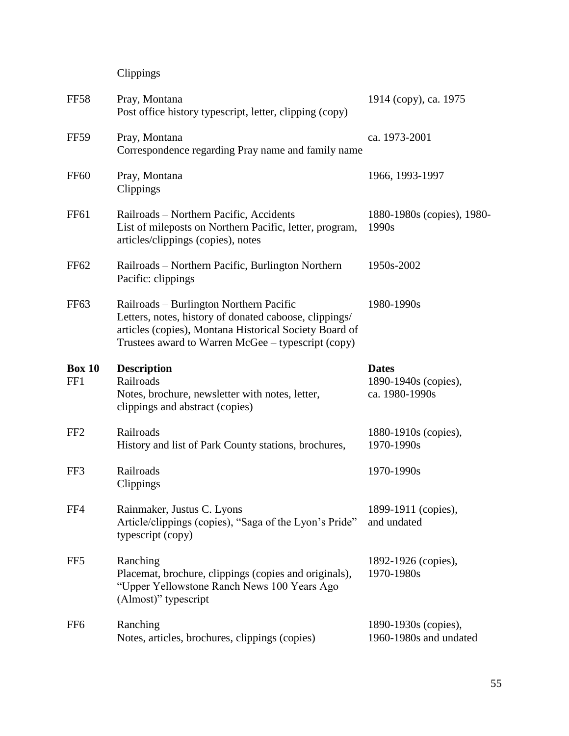# Clippings

| <b>FF58</b>          | Pray, Montana<br>Post office history typescript, letter, clipping (copy)                                                                                                                                          | 1914 (copy), ca. 1975                                  |
|----------------------|-------------------------------------------------------------------------------------------------------------------------------------------------------------------------------------------------------------------|--------------------------------------------------------|
| <b>FF59</b>          | Pray, Montana<br>Correspondence regarding Pray name and family name                                                                                                                                               | ca. 1973-2001                                          |
| <b>FF60</b>          | Pray, Montana<br>Clippings                                                                                                                                                                                        | 1966, 1993-1997                                        |
| FF61                 | Railroads - Northern Pacific, Accidents<br>List of mileposts on Northern Pacific, letter, program,<br>articles/clippings (copies), notes                                                                          | 1880-1980s (copies), 1980-<br>1990s                    |
| <b>FF62</b>          | Railroads – Northern Pacific, Burlington Northern<br>Pacific: clippings                                                                                                                                           | 1950s-2002                                             |
| FF63                 | Railroads – Burlington Northern Pacific<br>Letters, notes, history of donated caboose, clippings/<br>articles (copies), Montana Historical Society Board of<br>Trustees award to Warren McGee - typescript (copy) | 1980-1990s                                             |
| <b>Box 10</b><br>FF1 | <b>Description</b><br>Railroads<br>Notes, brochure, newsletter with notes, letter,<br>clippings and abstract (copies)                                                                                             | <b>Dates</b><br>1890-1940s (copies),<br>ca. 1980-1990s |
| FF <sub>2</sub>      | Railroads<br>History and list of Park County stations, brochures,                                                                                                                                                 | 1880-1910s (copies),<br>1970-1990s                     |
| FF3                  | Railroads<br>Clippings                                                                                                                                                                                            | 1970-1990s                                             |
| FF4                  | Rainmaker, Justus C. Lyons<br>Article/clippings (copies), "Saga of the Lyon's Pride"<br>typescript (copy)                                                                                                         | 1899-1911 (copies),<br>and undated                     |
| FF <sub>5</sub>      | Ranching<br>Placemat, brochure, clippings (copies and originals),<br>"Upper Yellowstone Ranch News 100 Years Ago<br>(Almost)" typescript                                                                          | 1892-1926 (copies),<br>1970-1980s                      |
| FF <sub>6</sub>      | Ranching<br>Notes, articles, brochures, clippings (copies)                                                                                                                                                        | 1890-1930s (copies),<br>1960-1980s and undated         |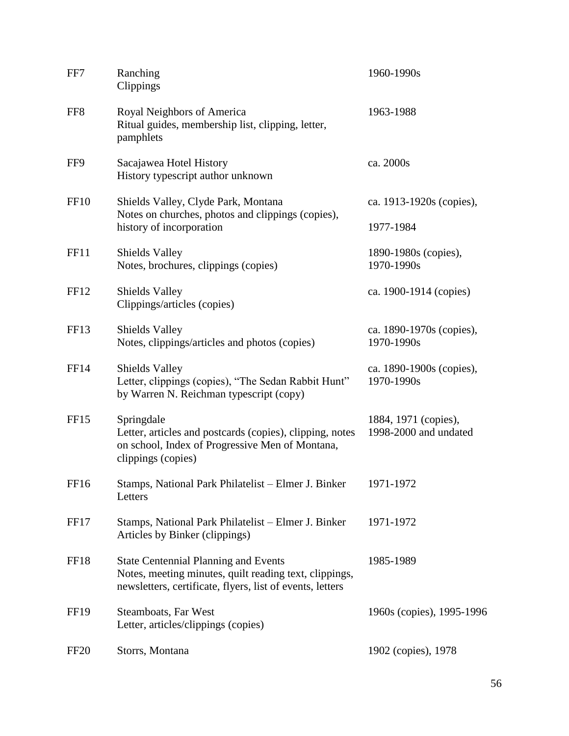| FF7              | Ranching<br>Clippings                                                                                                                                              | 1960-1990s                                    |
|------------------|--------------------------------------------------------------------------------------------------------------------------------------------------------------------|-----------------------------------------------|
| FF8              | Royal Neighbors of America<br>Ritual guides, membership list, clipping, letter,<br>pamphlets                                                                       | 1963-1988                                     |
| FF9              | Sacajawea Hotel History<br>History typescript author unknown                                                                                                       | ca. 2000s                                     |
| <b>FF10</b>      | Shields Valley, Clyde Park, Montana<br>Notes on churches, photos and clippings (copies),<br>history of incorporation                                               | ca. 1913-1920s (copies),<br>1977-1984         |
| <b>FF11</b>      | <b>Shields Valley</b><br>Notes, brochures, clippings (copies)                                                                                                      | 1890-1980s (copies),<br>1970-1990s            |
| FF12             | <b>Shields Valley</b><br>Clippings/articles (copies)                                                                                                               | ca. 1900-1914 (copies)                        |
| FF13             | <b>Shields Valley</b><br>Notes, clippings/articles and photos (copies)                                                                                             | ca. 1890-1970s (copies),<br>1970-1990s        |
| <b>FF14</b>      | <b>Shields Valley</b><br>Letter, clippings (copies), "The Sedan Rabbit Hunt"<br>by Warren N. Reichman typescript (copy)                                            | ca. 1890-1900s (copies),<br>1970-1990s        |
| FF <sub>15</sub> | Springdale<br>Letter, articles and postcards (copies), clipping, notes<br>on school, Index of Progressive Men of Montana,<br>clippings (copies)                    | 1884, 1971 (copies),<br>1998-2000 and undated |
| FF16             | Stamps, National Park Philatelist - Elmer J. Binker<br>Letters                                                                                                     | 1971-1972                                     |
| FF17             | Stamps, National Park Philatelist - Elmer J. Binker<br>Articles by Binker (clippings)                                                                              | 1971-1972                                     |
| FF18             | <b>State Centennial Planning and Events</b><br>Notes, meeting minutes, quilt reading text, clippings,<br>newsletters, certificate, flyers, list of events, letters | 1985-1989                                     |
| <b>FF19</b>      | Steamboats, Far West<br>Letter, articles/clippings (copies)                                                                                                        | 1960s (copies), 1995-1996                     |
| <b>FF20</b>      | Storrs, Montana                                                                                                                                                    | 1902 (copies), 1978                           |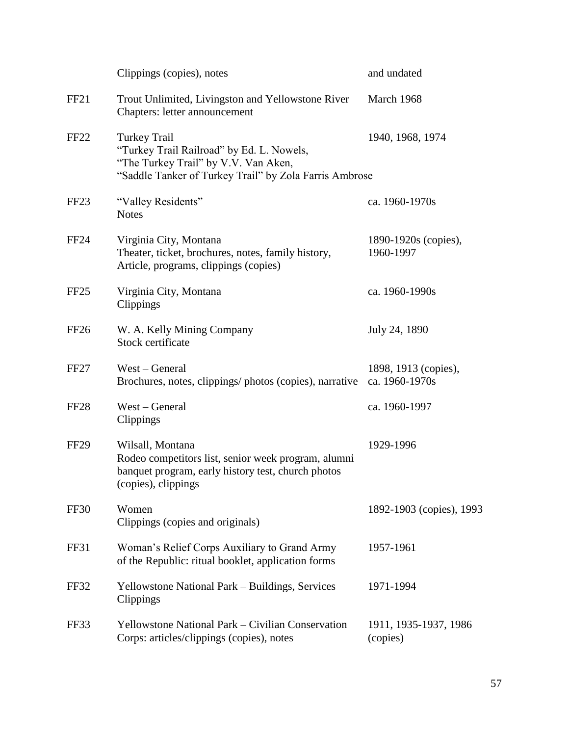|                  | Clippings (copies), notes                                                                                                                                          | and undated                            |
|------------------|--------------------------------------------------------------------------------------------------------------------------------------------------------------------|----------------------------------------|
| FF <sub>21</sub> | Trout Unlimited, Livingston and Yellowstone River<br>Chapters: letter announcement                                                                                 | March 1968                             |
| FF <sub>22</sub> | <b>Turkey Trail</b><br>"Turkey Trail Railroad" by Ed. L. Nowels,<br>"The Turkey Trail" by V.V. Van Aken,<br>"Saddle Tanker of Turkey Trail" by Zola Farris Ambrose | 1940, 1968, 1974                       |
| FF <sub>23</sub> | "Valley Residents"<br><b>Notes</b>                                                                                                                                 | ca. 1960-1970s                         |
| FF <sub>24</sub> | Virginia City, Montana<br>Theater, ticket, brochures, notes, family history,<br>Article, programs, clippings (copies)                                              | 1890-1920s (copies),<br>1960-1997      |
| FF25             | Virginia City, Montana<br>Clippings                                                                                                                                | ca. 1960-1990s                         |
| FF <sub>26</sub> | W. A. Kelly Mining Company<br>Stock certificate                                                                                                                    | July 24, 1890                          |
| FF <sub>27</sub> | West – General<br>Brochures, notes, clippings/photos (copies), narrative                                                                                           | 1898, 1913 (copies),<br>ca. 1960-1970s |
| FF <sub>28</sub> | West – General<br>Clippings                                                                                                                                        | ca. 1960-1997                          |
| <b>FF29</b>      | Wilsall, Montana<br>Rodeo competitors list, senior week program, alumni<br>banquet program, early history test, church photos<br>(copies), clippings               | 1929-1996                              |
| <b>FF30</b>      | Women<br>Clippings (copies and originals)                                                                                                                          | 1892-1903 (copies), 1993               |
| FF31             | Woman's Relief Corps Auxiliary to Grand Army<br>of the Republic: ritual booklet, application forms                                                                 | 1957-1961                              |
| FF32             | Yellowstone National Park - Buildings, Services<br>Clippings                                                                                                       | 1971-1994                              |
| FF33             | Yellowstone National Park – Civilian Conservation<br>Corps: articles/clippings (copies), notes                                                                     | 1911, 1935-1937, 1986<br>(copies)      |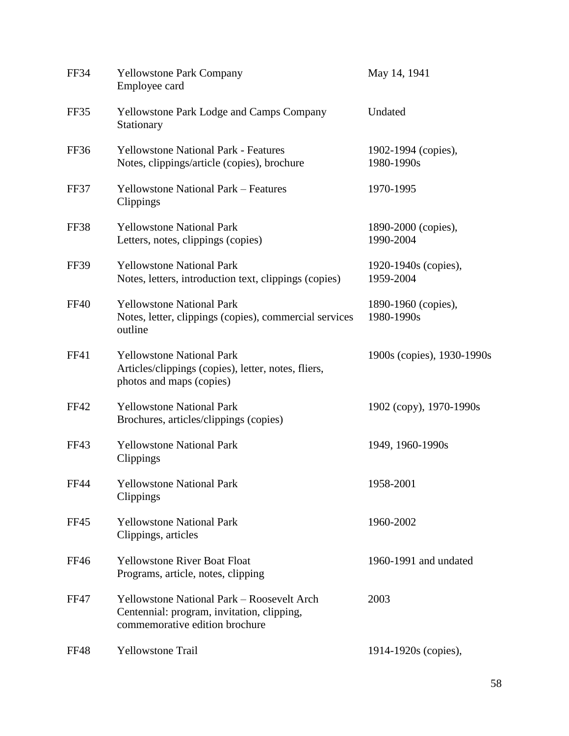| FF34        | <b>Yellowstone Park Company</b><br>Employee card                                                                                  | May 14, 1941                      |
|-------------|-----------------------------------------------------------------------------------------------------------------------------------|-----------------------------------|
| FF35        | <b>Yellowstone Park Lodge and Camps Company</b><br>Stationary                                                                     | Undated                           |
| FF36        | <b>Yellowstone National Park - Features</b><br>Notes, clippings/article (copies), brochure                                        | 1902-1994 (copies),<br>1980-1990s |
| FF37        | <b>Yellowstone National Park – Features</b><br>Clippings                                                                          | 1970-1995                         |
| FF38        | <b>Yellowstone National Park</b><br>Letters, notes, clippings (copies)                                                            | 1890-2000 (copies),<br>1990-2004  |
| <b>FF39</b> | <b>Yellowstone National Park</b><br>Notes, letters, introduction text, clippings (copies)                                         | 1920-1940s (copies),<br>1959-2004 |
| <b>FF40</b> | <b>Yellowstone National Park</b><br>Notes, letter, clippings (copies), commercial services<br>outline                             | 1890-1960 (copies),<br>1980-1990s |
| <b>FF41</b> | <b>Yellowstone National Park</b><br>Articles/clippings (copies), letter, notes, fliers,<br>photos and maps (copies)               | 1900s (copies), 1930-1990s        |
| FF42        | <b>Yellowstone National Park</b><br>Brochures, articles/clippings (copies)                                                        | 1902 (copy), 1970-1990s           |
| FF43        | <b>Yellowstone National Park</b><br>Clippings                                                                                     | 1949, 1960-1990s                  |
| <b>FF44</b> | <b>Yellowstone National Park</b><br>Clippings                                                                                     | 1958-2001                         |
| <b>FF45</b> | <b>Yellowstone National Park</b><br>Clippings, articles                                                                           | 1960-2002                         |
| FF46        | <b>Yellowstone River Boat Float</b><br>Programs, article, notes, clipping                                                         | 1960-1991 and undated             |
| <b>FF47</b> | <b>Yellowstone National Park - Roosevelt Arch</b><br>Centennial: program, invitation, clipping,<br>commemorative edition brochure | 2003                              |
| FF48        | <b>Yellowstone Trail</b>                                                                                                          | 1914-1920s (copies),              |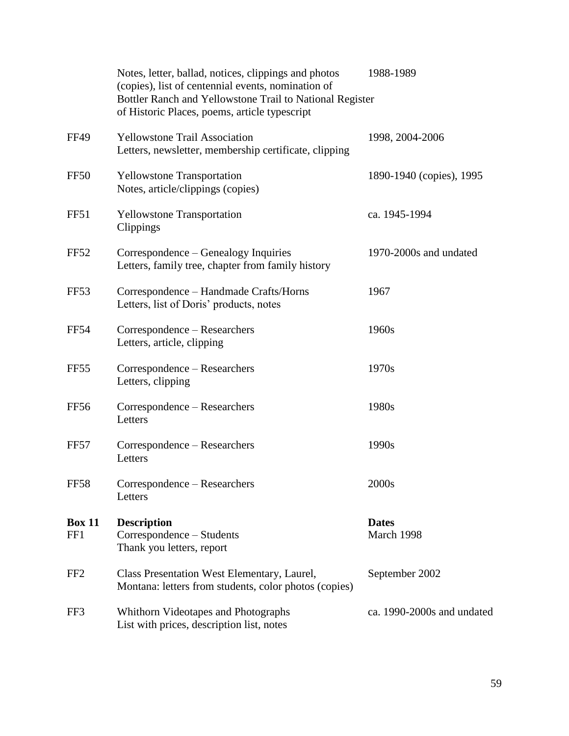|                      | Notes, letter, ballad, notices, clippings and photos<br>(copies), list of centennial events, nomination of<br>Bottler Ranch and Yellowstone Trail to National Register<br>of Historic Places, poems, article typescript | 1988-1989                  |
|----------------------|-------------------------------------------------------------------------------------------------------------------------------------------------------------------------------------------------------------------------|----------------------------|
| <b>FF49</b>          | <b>Yellowstone Trail Association</b><br>Letters, newsletter, membership certificate, clipping                                                                                                                           | 1998, 2004-2006            |
| FF <sub>50</sub>     | <b>Yellowstone Transportation</b><br>Notes, article/clippings (copies)                                                                                                                                                  | 1890-1940 (copies), 1995   |
| FF51                 | <b>Yellowstone Transportation</b><br>Clippings                                                                                                                                                                          | ca. 1945-1994              |
| <b>FF52</b>          | Correspondence – Genealogy Inquiries<br>Letters, family tree, chapter from family history                                                                                                                               | 1970-2000s and undated     |
| FF <sub>53</sub>     | Correspondence - Handmade Crafts/Horns<br>Letters, list of Doris' products, notes                                                                                                                                       | 1967                       |
| <b>FF54</b>          | Correspondence - Researchers<br>Letters, article, clipping                                                                                                                                                              | 1960s                      |
| FF <sub>55</sub>     | Correspondence – Researchers<br>Letters, clipping                                                                                                                                                                       | 1970s                      |
| <b>FF56</b>          | Correspondence – Researchers<br>Letters                                                                                                                                                                                 | 1980s                      |
| FF57                 | Correspondence – Researchers<br>Letters                                                                                                                                                                                 | 1990s                      |
| <b>FF58</b>          | Correspondence - Researchers<br>Letters                                                                                                                                                                                 | 2000s                      |
| <b>Box 11</b><br>FF1 | <b>Description</b><br>Correspondence – Students<br>Thank you letters, report                                                                                                                                            | <b>Dates</b><br>March 1998 |
| FF <sub>2</sub>      | Class Presentation West Elementary, Laurel,<br>Montana: letters from students, color photos (copies)                                                                                                                    | September 2002             |
| FF3                  | Whithorn Videotapes and Photographs<br>List with prices, description list, notes                                                                                                                                        | ca. 1990-2000s and undated |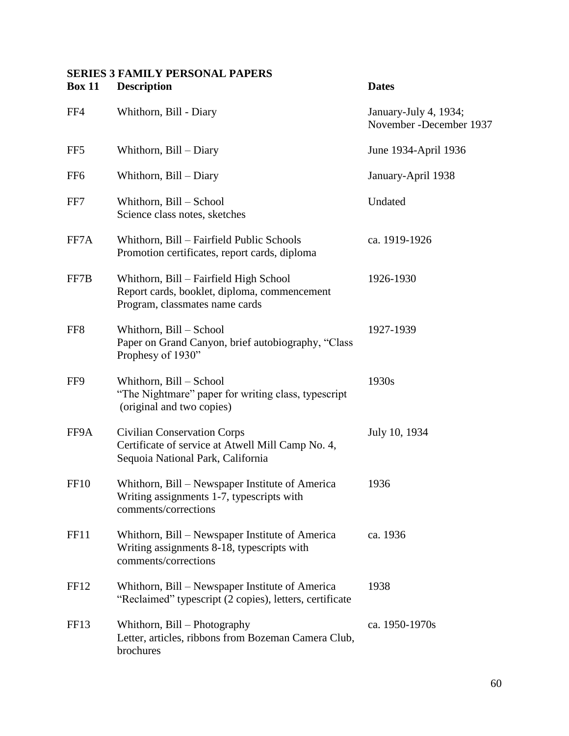### **SERIES 3 FAMILY PERSONAL PAPERS Box 11 Description Dates**

| FF4              | Whithorn, Bill - Diary                                                                                                       | January-July 4, 1934;<br>November - December 1937 |
|------------------|------------------------------------------------------------------------------------------------------------------------------|---------------------------------------------------|
| FF <sub>5</sub>  | Whithorn, Bill - Diary                                                                                                       | June 1934-April 1936                              |
| FF <sub>6</sub>  | Whithorn, Bill - Diary                                                                                                       | January-April 1938                                |
| FF7              | Whithorn, Bill - School<br>Science class notes, sketches                                                                     | Undated                                           |
| FF7A             | Whithorn, Bill – Fairfield Public Schools<br>Promotion certificates, report cards, diploma                                   | ca. 1919-1926                                     |
| FF7B             | Whithorn, Bill – Fairfield High School<br>Report cards, booklet, diploma, commencement<br>Program, classmates name cards     | 1926-1930                                         |
| FF <sub>8</sub>  | Whithorn, Bill - School<br>Paper on Grand Canyon, brief autobiography, "Class<br>Prophesy of 1930"                           | 1927-1939                                         |
| FF9              | Whithorn, Bill - School<br>"The Nightmare" paper for writing class, typescript<br>(original and two copies)                  | 1930s                                             |
| FF9A             | <b>Civilian Conservation Corps</b><br>Certificate of service at Atwell Mill Camp No. 4,<br>Sequoia National Park, California | July 10, 1934                                     |
| FF <sub>10</sub> | Whithorn, Bill – Newspaper Institute of America<br>Writing assignments 1-7, typescripts with<br>comments/corrections         | 1936                                              |
| <b>FF11</b>      | Whithorn, Bill – Newspaper Institute of America<br>Writing assignments 8-18, typescripts with<br>comments/corrections        | ca. 1936                                          |
| FF12             | Whithorn, Bill – Newspaper Institute of America<br>"Reclaimed" typescript (2 copies), letters, certificate                   | 1938                                              |
| FF13             | Whithorn, Bill - Photography<br>Letter, articles, ribbons from Bozeman Camera Club,<br>brochures                             | ca. 1950-1970s                                    |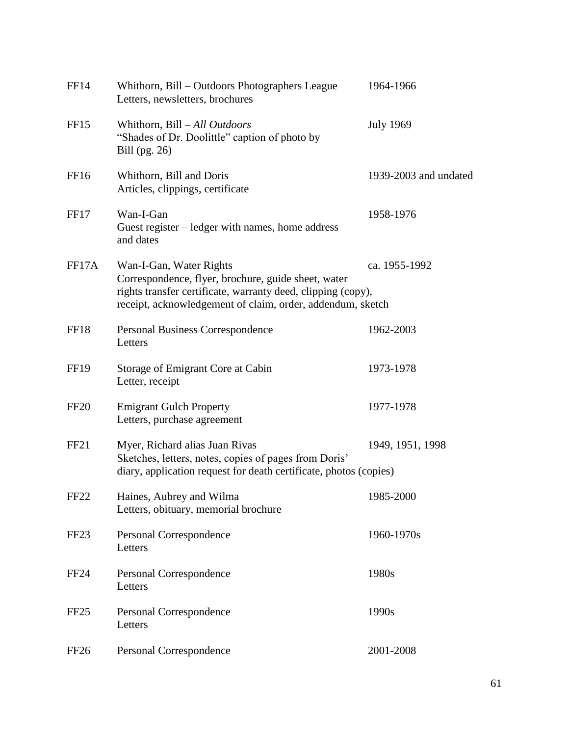| FF14             | Whithorn, Bill – Outdoors Photographers League<br>Letters, newsletters, brochures                                                                                                                            | 1964-1966             |
|------------------|--------------------------------------------------------------------------------------------------------------------------------------------------------------------------------------------------------------|-----------------------|
| FF15             | Whithorn, Bill - All Outdoors<br>"Shades of Dr. Doolittle" caption of photo by<br>Bill (pg. 26)                                                                                                              | <b>July 1969</b>      |
| FF <sub>16</sub> | Whithorn, Bill and Doris<br>Articles, clippings, certificate                                                                                                                                                 | 1939-2003 and undated |
| FF17             | Wan-I-Gan<br>Guest register – ledger with names, home address<br>and dates                                                                                                                                   | 1958-1976             |
| FF17A            | Wan-I-Gan, Water Rights<br>Correspondence, flyer, brochure, guide sheet, water<br>rights transfer certificate, warranty deed, clipping (copy),<br>receipt, acknowledgement of claim, order, addendum, sketch | ca. 1955-1992         |
| FF18             | Personal Business Correspondence<br>Letters                                                                                                                                                                  | 1962-2003             |
| <b>FF19</b>      | Storage of Emigrant Core at Cabin<br>Letter, receipt                                                                                                                                                         | 1973-1978             |
| <b>FF20</b>      | <b>Emigrant Gulch Property</b><br>Letters, purchase agreement                                                                                                                                                | 1977-1978             |
| FF <sub>21</sub> | Myer, Richard alias Juan Rivas<br>Sketches, letters, notes, copies of pages from Doris'<br>diary, application request for death certificate, photos (copies)                                                 | 1949, 1951, 1998      |
| FF <sub>22</sub> | Haines, Aubrey and Wilma<br>Letters, obituary, memorial brochure                                                                                                                                             | 1985-2000             |
| FF <sub>23</sub> | Personal Correspondence<br>Letters                                                                                                                                                                           | 1960-1970s            |
| <b>FF24</b>      | Personal Correspondence<br>Letters                                                                                                                                                                           | 1980s                 |
| FF <sub>25</sub> | Personal Correspondence<br>Letters                                                                                                                                                                           | 1990s                 |
| FF <sub>26</sub> | Personal Correspondence                                                                                                                                                                                      | 2001-2008             |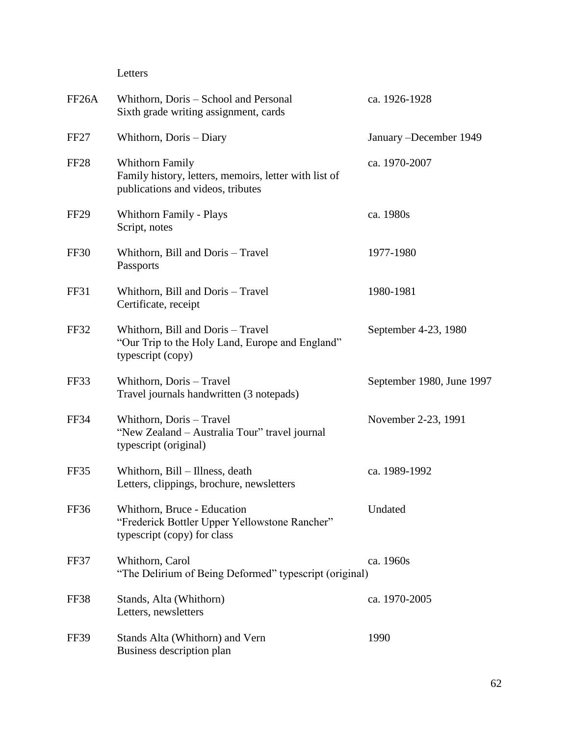### Letters

| FF <sub>26</sub> A | Whithorn, Doris – School and Personal<br>Sixth grade writing assignment, cards                                       | ca. 1926-1928             |
|--------------------|----------------------------------------------------------------------------------------------------------------------|---------------------------|
| FF <sub>27</sub>   | Whithorn, Doris - Diary                                                                                              | January - December 1949   |
| FF <sub>28</sub>   | <b>Whithorn Family</b><br>Family history, letters, memoirs, letter with list of<br>publications and videos, tributes | ca. 1970-2007             |
| FF <sub>29</sub>   | Whithorn Family - Plays<br>Script, notes                                                                             | ca. 1980s                 |
| FF30               | Whithorn, Bill and Doris - Travel<br>Passports                                                                       | 1977-1980                 |
| FF31               | Whithorn, Bill and Doris - Travel<br>Certificate, receipt                                                            | 1980-1981                 |
| FF32               | Whithorn, Bill and Doris - Travel<br>"Our Trip to the Holy Land, Europe and England"<br>typescript (copy)            | September 4-23, 1980      |
| FF33               | Whithorn, Doris - Travel<br>Travel journals handwritten (3 notepads)                                                 | September 1980, June 1997 |
| FF34               | Whithorn, Doris - Travel<br>"New Zealand - Australia Tour" travel journal<br>typescript (original)                   | November 2-23, 1991       |
| FF35               | Whithorn, Bill - Illness, death<br>Letters, clippings, brochure, newsletters                                         | ca. 1989-1992             |
| FF36               | Whithorn, Bruce - Education<br>"Frederick Bottler Upper Yellowstone Rancher"<br>typescript (copy) for class          | Undated                   |
| FF37               | Whithorn, Carol<br>"The Delirium of Being Deformed" typescript (original)                                            | ca. 1960s                 |
| FF38               | Stands, Alta (Whithorn)<br>Letters, newsletters                                                                      | ca. 1970-2005             |
| FF39               | Stands Alta (Whithorn) and Vern<br>Business description plan                                                         | 1990                      |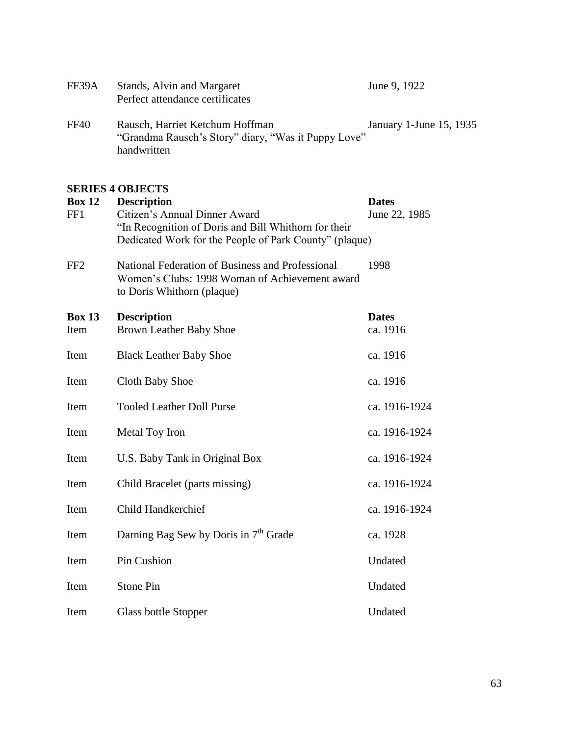| Stands, Alvin and Margaret<br>Perfect attendance certificates                          | June 9, 1922            |
|----------------------------------------------------------------------------------------|-------------------------|
| Rausch, Harriet Ketchum Hoffman<br>"Grandma Rausch's Story" diary, "Was it Puppy Love" | January 1-June 15, 1935 |
|                                                                                        | handwritten             |

#### **SERIES 4 OBJECTS**

| <b>Box 12</b><br>FF1  | <b>Description</b><br>Citizen's Annual Dinner Award<br>"In Recognition of Doris and Bill Whithorn for their<br>Dedicated Work for the People of Park County" (plaque) | <b>Dates</b><br>June 22, 1985 |
|-----------------------|-----------------------------------------------------------------------------------------------------------------------------------------------------------------------|-------------------------------|
| FF <sub>2</sub>       | National Federation of Business and Professional<br>Women's Clubs: 1998 Woman of Achievement award<br>to Doris Whithorn (plaque)                                      | 1998                          |
| <b>Box 13</b><br>Item | <b>Description</b><br><b>Brown Leather Baby Shoe</b>                                                                                                                  | <b>Dates</b><br>ca. 1916      |
| Item                  | <b>Black Leather Baby Shoe</b>                                                                                                                                        | ca. 1916                      |
| Item                  | Cloth Baby Shoe                                                                                                                                                       | ca. 1916                      |
| Item                  | <b>Tooled Leather Doll Purse</b>                                                                                                                                      | ca. 1916-1924                 |
| Item                  | Metal Toy Iron                                                                                                                                                        | ca. 1916-1924                 |
| Item                  | U.S. Baby Tank in Original Box                                                                                                                                        | ca. 1916-1924                 |
| Item                  | Child Bracelet (parts missing)                                                                                                                                        | ca. 1916-1924                 |
| Item                  | <b>Child Handkerchief</b>                                                                                                                                             | ca. 1916-1924                 |
| Item                  | Darning Bag Sew by Doris in 7 <sup>th</sup> Grade                                                                                                                     | ca. 1928                      |
| Item                  | Pin Cushion                                                                                                                                                           | Undated                       |
| Item                  | Stone Pin                                                                                                                                                             | Undated                       |
| Item                  | Glass bottle Stopper                                                                                                                                                  | Undated                       |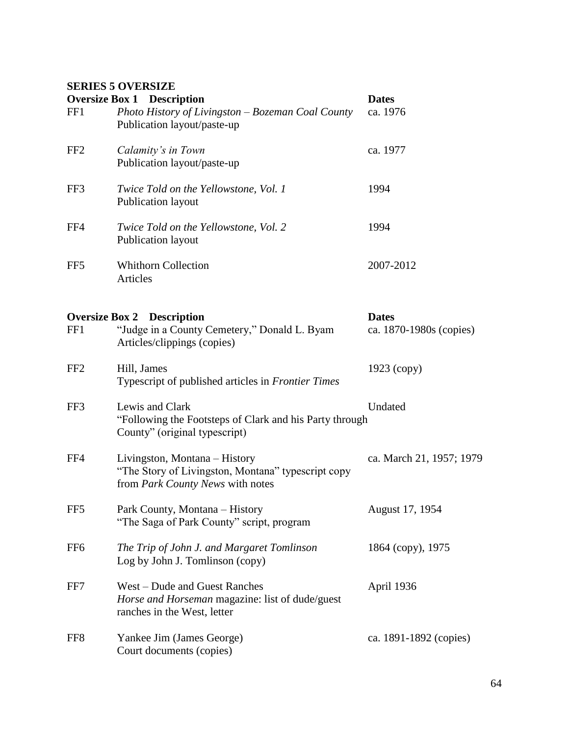### **SERIES 5 OVERSIZE**

|                 | <b>Oversize Box 1 Description</b>                                                                                       | <b>Dates</b>                            |
|-----------------|-------------------------------------------------------------------------------------------------------------------------|-----------------------------------------|
| FF1             | Photo History of Livingston – Bozeman Coal County<br>Publication layout/paste-up                                        | ca. 1976                                |
| FF <sub>2</sub> | Calamity's in Town<br>Publication layout/paste-up                                                                       | ca. 1977                                |
| FF3             | Twice Told on the Yellowstone, Vol. 1<br>Publication layout                                                             | 1994                                    |
| FF4             | Twice Told on the Yellowstone, Vol. 2<br>Publication layout                                                             | 1994                                    |
| FF <sub>5</sub> | <b>Whithorn Collection</b><br>Articles                                                                                  | 2007-2012                               |
| FF1             | <b>Oversize Box 2 Description</b><br>"Judge in a County Cemetery," Donald L. Byam<br>Articles/clippings (copies)        | <b>Dates</b><br>ca. 1870-1980s (copies) |
| FF <sub>2</sub> | Hill, James<br>Typescript of published articles in Frontier Times                                                       | $1923$ (copy)                           |
| FF3             | Lewis and Clark<br>"Following the Footsteps of Clark and his Party through<br>County" (original typescript)             | Undated                                 |
| FF4             | Livingston, Montana – History<br>"The Story of Livingston, Montana" typescript copy<br>from Park County News with notes | ca. March 21, 1957; 1979                |
| FF <sub>5</sub> | Park County, Montana - History<br>"The Saga of Park County" script, program                                             | August 17, 1954                         |
| FF <sub>6</sub> | The Trip of John J. and Margaret Tomlinson<br>Log by John J. Tomlinson (copy)                                           | 1864 (copy), 1975                       |
| FF7             | West – Dude and Guest Ranches<br>Horse and Horseman magazine: list of dude/guest<br>ranches in the West, letter         | April 1936                              |
| FF8             | Yankee Jim (James George)<br>Court documents (copies)                                                                   | ca. 1891-1892 (copies)                  |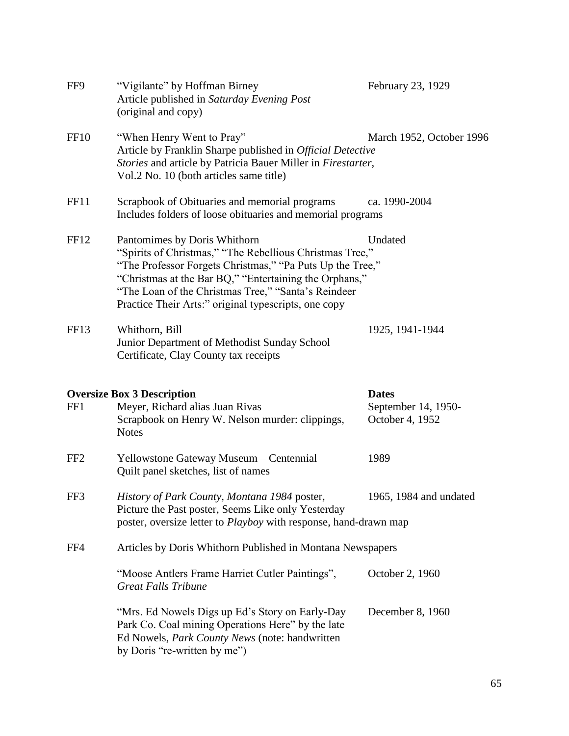| FF9              | "Vigilante" by Hoffman Birney<br>Article published in Saturday Evening Post<br>(original and copy)                                                                                                                                                                                                                             | February 23, 1929                                      |
|------------------|--------------------------------------------------------------------------------------------------------------------------------------------------------------------------------------------------------------------------------------------------------------------------------------------------------------------------------|--------------------------------------------------------|
| <b>FF10</b>      | "When Henry Went to Pray"<br>Article by Franklin Sharpe published in Official Detective<br>Stories and article by Patricia Bauer Miller in Firestarter,<br>Vol.2 No. 10 (both articles same title)                                                                                                                             | March 1952, October 1996                               |
| FF11             | Scrapbook of Obituaries and memorial programs<br>Includes folders of loose obituaries and memorial programs                                                                                                                                                                                                                    | ca. 1990-2004                                          |
| FF12             | Pantomimes by Doris Whithorn<br>"Spirits of Christmas," "The Rebellious Christmas Tree,"<br>"The Professor Forgets Christmas," "Pa Puts Up the Tree,"<br>"Christmas at the Bar BQ," "Entertaining the Orphans,"<br>"The Loan of the Christmas Tree," "Santa's Reindeer<br>Practice Their Arts:" original typescripts, one copy | Undated                                                |
| FF <sub>13</sub> | Whithorn, Bill<br>Junior Department of Methodist Sunday School<br>Certificate, Clay County tax receipts                                                                                                                                                                                                                        | 1925, 1941-1944                                        |
|                  |                                                                                                                                                                                                                                                                                                                                |                                                        |
|                  |                                                                                                                                                                                                                                                                                                                                |                                                        |
| FF1              | <b>Oversize Box 3 Description</b><br>Meyer, Richard alias Juan Rivas<br>Scrapbook on Henry W. Nelson murder: clippings,<br><b>Notes</b>                                                                                                                                                                                        | <b>Dates</b><br>September 14, 1950-<br>October 4, 1952 |
| FF <sub>2</sub>  | Yellowstone Gateway Museum - Centennial<br>Quilt panel sketches, list of names                                                                                                                                                                                                                                                 | 1989                                                   |
| FF3              | History of Park County, Montana 1984 poster,<br>Picture the Past poster, Seems Like only Yesterday<br>poster, oversize letter to <i>Playboy</i> with response, hand-drawn map                                                                                                                                                  | 1965, 1984 and undated                                 |
| FF4              | Articles by Doris Whithorn Published in Montana Newspapers                                                                                                                                                                                                                                                                     |                                                        |
|                  | "Moose Antlers Frame Harriet Cutler Paintings",<br><b>Great Falls Tribune</b>                                                                                                                                                                                                                                                  | October 2, 1960                                        |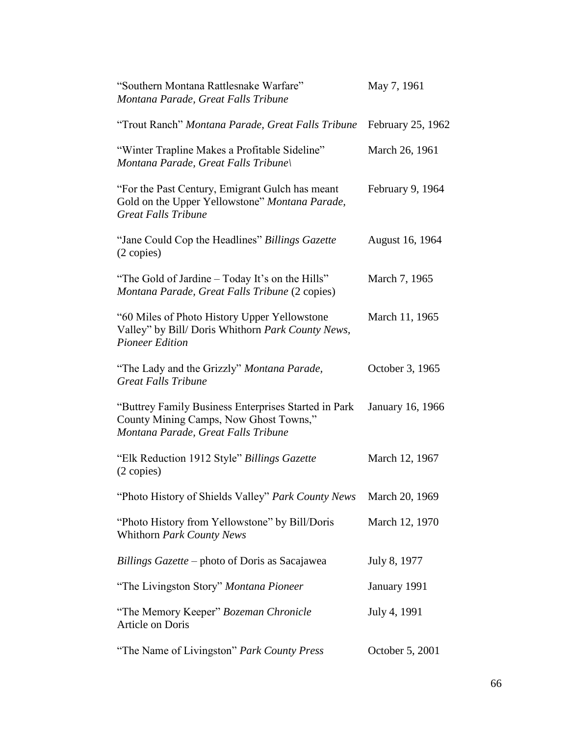| "Southern Montana Rattlesnake Warfare"<br>Montana Parade, Great Falls Tribune                                                         | May 7, 1961       |
|---------------------------------------------------------------------------------------------------------------------------------------|-------------------|
| "Trout Ranch" Montana Parade, Great Falls Tribune                                                                                     | February 25, 1962 |
| "Winter Trapline Makes a Profitable Sideline"<br>Montana Parade, Great Falls Tribune                                                  | March 26, 1961    |
| "For the Past Century, Emigrant Gulch has meant<br>Gold on the Upper Yellowstone" Montana Parade,<br><b>Great Falls Tribune</b>       | February 9, 1964  |
| "Jane Could Cop the Headlines" Billings Gazette<br>$(2 \text{ copies})$                                                               | August 16, 1964   |
| "The Gold of Jardine – Today It's on the Hills"<br>Montana Parade, Great Falls Tribune (2 copies)                                     | March 7, 1965     |
| "60 Miles of Photo History Upper Yellowstone<br>Valley" by Bill/ Doris Whithorn Park County News,<br><b>Pioneer Edition</b>           | March 11, 1965    |
| "The Lady and the Grizzly" Montana Parade,<br><b>Great Falls Tribune</b>                                                              | October 3, 1965   |
| "Buttrey Family Business Enterprises Started in Park<br>County Mining Camps, Now Ghost Towns,"<br>Montana Parade, Great Falls Tribune | January 16, 1966  |
| "Elk Reduction 1912 Style" Billings Gazette<br>(2 copies)                                                                             | March 12, 1967    |
| "Photo History of Shields Valley" Park County News March 20, 1969                                                                     |                   |
| "Photo History from Yellowstone" by Bill/Doris<br>Whithorn Park County News                                                           | March 12, 1970    |
| Billings Gazette – photo of Doris as Sacajawea                                                                                        | July 8, 1977      |
| "The Livingston Story" Montana Pioneer                                                                                                | January 1991      |
| "The Memory Keeper" Bozeman Chronicle<br>Article on Doris                                                                             | July 4, 1991      |
| "The Name of Livingston" Park County Press                                                                                            | October 5, 2001   |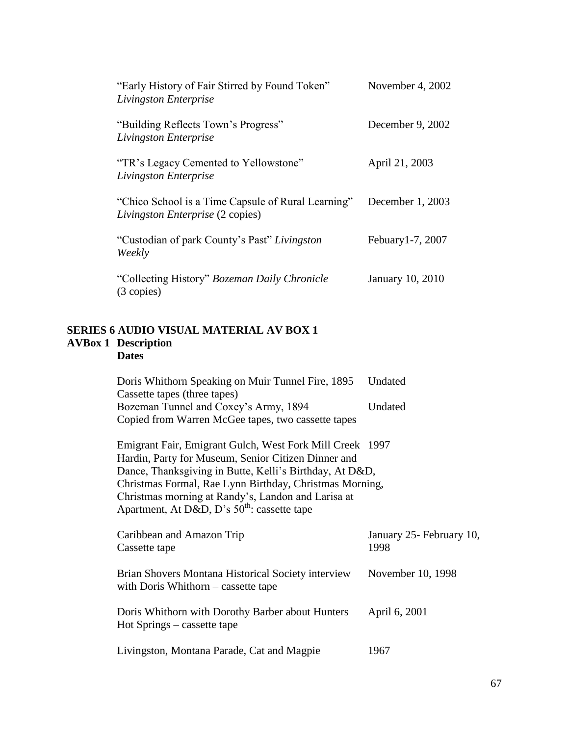| "Early History of Fair Stirred by Found Token"<br>Livingston Enterprise                       | November 4, $2002$ |
|-----------------------------------------------------------------------------------------------|--------------------|
| "Building Reflects Town's Progress"<br>Livingston Enterprise                                  | December 9, 2002   |
| "TR's Legacy Cemented to Yellowstone"<br>Livingston Enterprise                                | April 21, 2003     |
| "Chico School is a Time Capsule of Rural Learning"<br><i>Livingston Enterprise</i> (2 copies) | December $1, 2003$ |
| "Custodian of park County's Past" Livingston<br>Weekly                                        | Febuary 1-7, 2007  |
| "Collecting History" Bozeman Daily Chronicle"<br>(3 copies)                                   | January 10, 2010   |

#### **SERIES 6 AUDIO VISUAL MATERIAL AV BOX 1 AVBox 1 Description Dates**

Apartment, At D&D, D's  $50^{th}$ : cassette tape

| Doris Whithorn Speaking on Muir Tunnel Fire, 1895        | Undated |
|----------------------------------------------------------|---------|
| Cassette tapes (three tapes)                             |         |
| Bozeman Tunnel and Coxey's Army, 1894                    | Undated |
| Copied from Warren McGee tapes, two cassette tapes       |         |
|                                                          |         |
| Emigrant Fair, Emigrant Gulch, West Fork Mill Creek 1997 |         |
| Hardin, Party for Museum, Senior Citizen Dinner and      |         |
| Dance, Thanksgiving in Butte, Kelli's Birthday, At D&D,  |         |
| Christmas Formal, Rae Lynn Birthday, Christmas Morning,  |         |
| Christmas morning at Randy's, Landon and Larisa at       |         |

| Caribbean and Amazon Trip<br>Cassette tape                                                  | January 25 - February 10,<br>1998 |
|---------------------------------------------------------------------------------------------|-----------------------------------|
| Brian Shovers Montana Historical Society interview<br>with Doris Whithorn $-$ cassette tape | November 10, 1998                 |
| Doris Whithorn with Dorothy Barber about Hunters<br>Hot Springs – cassette tape             | April 6, 2001                     |
| Livingston, Montana Parade, Cat and Magpie                                                  | 1967                              |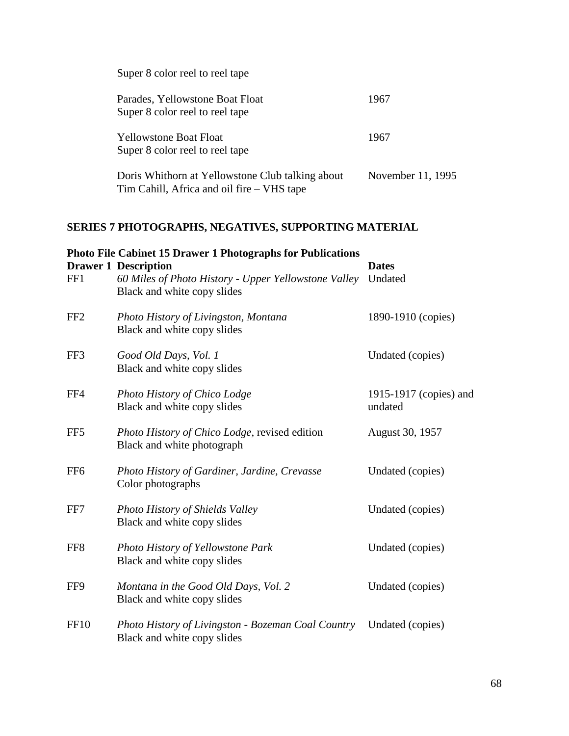| Super 8 color reel to reel tape                                                                |                   |
|------------------------------------------------------------------------------------------------|-------------------|
| Parades, Yellowstone Boat Float<br>Super 8 color reel to reel tape                             | 1967              |
| Yellowstone Boat Float<br>Super 8 color reel to reel tape                                      | 1967              |
| Doris Whithorn at Yellowstone Club talking about<br>Tim Cahill, Africa and oil fire – VHS tape | November 11, 1995 |

## **SERIES 7 PHOTOGRAPHS, NEGATIVES, SUPPORTING MATERIAL**

| FF1             | <b>Photo File Cabinet 15 Drawer 1 Photographs for Publications</b><br><b>Drawer 1 Description</b><br>60 Miles of Photo History - Upper Yellowstone Valley<br>Black and white copy slides | <b>Dates</b><br>Undated           |
|-----------------|------------------------------------------------------------------------------------------------------------------------------------------------------------------------------------------|-----------------------------------|
| FF <sub>2</sub> | Photo History of Livingston, Montana<br>Black and white copy slides                                                                                                                      | 1890-1910 (copies)                |
| FF3             | Good Old Days, Vol. 1<br>Black and white copy slides                                                                                                                                     | Undated (copies)                  |
| FF4             | Photo History of Chico Lodge<br>Black and white copy slides                                                                                                                              | 1915-1917 (copies) and<br>undated |
| FF <sub>5</sub> | <i>Photo History of Chico Lodge, revised edition</i><br>Black and white photograph                                                                                                       | August 30, 1957                   |
| FF <sub>6</sub> | Photo History of Gardiner, Jardine, Crevasse<br>Color photographs                                                                                                                        | Undated (copies)                  |
| FF7             | Photo History of Shields Valley<br>Black and white copy slides                                                                                                                           | Undated (copies)                  |
| FF <sub>8</sub> | Photo History of Yellowstone Park<br>Black and white copy slides                                                                                                                         | Undated (copies)                  |
| FF9             | Montana in the Good Old Days, Vol. 2<br>Black and white copy slides                                                                                                                      | Undated (copies)                  |
| <b>FF10</b>     | Photo History of Livingston - Bozeman Coal Country<br>Black and white copy slides                                                                                                        | Undated (copies)                  |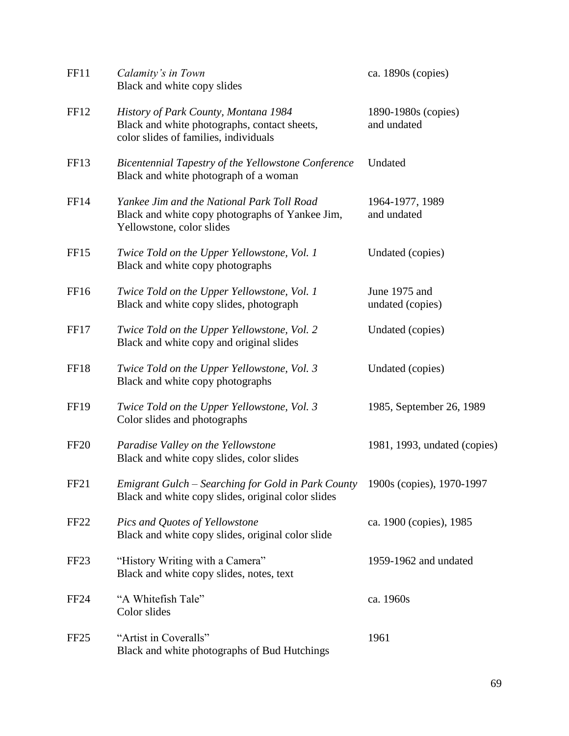| <b>FF11</b>      | Calamity's in Town<br>Black and white copy slides                                                                                  | ca. 1890s (copies)                 |
|------------------|------------------------------------------------------------------------------------------------------------------------------------|------------------------------------|
| FF <sub>12</sub> | History of Park County, Montana 1984<br>Black and white photographs, contact sheets,<br>color slides of families, individuals      | 1890-1980s (copies)<br>and undated |
| FF <sub>13</sub> | Bicentennial Tapestry of the Yellowstone Conference<br>Black and white photograph of a woman                                       | Undated                            |
| FF <sub>14</sub> | Yankee Jim and the National Park Toll Road<br>Black and white copy photographs of Yankee Jim,<br>Yellowstone, color slides         | 1964-1977, 1989<br>and undated     |
| FF <sub>15</sub> | Twice Told on the Upper Yellowstone, Vol. 1<br>Black and white copy photographs                                                    | Undated (copies)                   |
| FF <sub>16</sub> | Twice Told on the Upper Yellowstone, Vol. 1<br>Black and white copy slides, photograph                                             | June 1975 and<br>undated (copies)  |
| FF17             | Twice Told on the Upper Yellowstone, Vol. 2<br>Black and white copy and original slides                                            | Undated (copies)                   |
| FF18             | Twice Told on the Upper Yellowstone, Vol. 3<br>Black and white copy photographs                                                    | Undated (copies)                   |
| <b>FF19</b>      | Twice Told on the Upper Yellowstone, Vol. 3<br>Color slides and photographs                                                        | 1985, September 26, 1989           |
| FF <sub>20</sub> | Paradise Valley on the Yellowstone<br>Black and white copy slides, color slides                                                    | 1981, 1993, undated (copies)       |
| FF <sub>21</sub> | Emigrant Gulch - Searching for Gold in Park County 1900s (copies), 1970-1997<br>Black and white copy slides, original color slides |                                    |
| <b>FF22</b>      | Pics and Quotes of Yellowstone<br>Black and white copy slides, original color slide                                                | ca. 1900 (copies), 1985            |
| FF <sub>23</sub> | "History Writing with a Camera"<br>Black and white copy slides, notes, text                                                        | 1959-1962 and undated              |
| FF <sub>24</sub> | "A Whitefish Tale"<br>Color slides                                                                                                 | ca. 1960s                          |
| FF <sub>25</sub> | "Artist in Coveralls"<br>Black and white photographs of Bud Hutchings                                                              | 1961                               |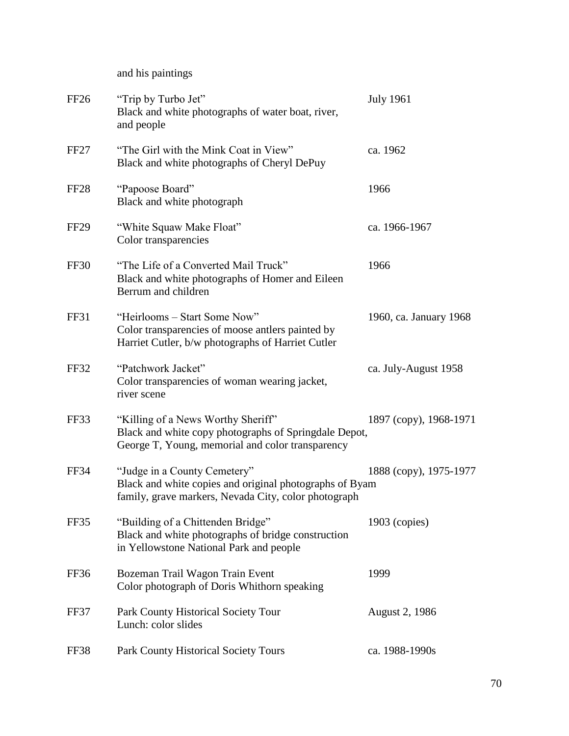and his paintings

| FF <sub>26</sub> | "Trip by Turbo Jet"<br>Black and white photographs of water boat, river,<br>and people                                                          | <b>July 1961</b>       |
|------------------|-------------------------------------------------------------------------------------------------------------------------------------------------|------------------------|
| FF27             | "The Girl with the Mink Coat in View"<br>Black and white photographs of Cheryl DePuy                                                            | ca. 1962               |
| FF <sub>28</sub> | "Papoose Board"<br>Black and white photograph                                                                                                   | 1966                   |
| <b>FF29</b>      | "White Squaw Make Float"<br>Color transparencies                                                                                                | ca. 1966-1967          |
| FF30             | "The Life of a Converted Mail Truck"<br>Black and white photographs of Homer and Eileen<br>Berrum and children                                  | 1966                   |
| <b>FF31</b>      | "Heirlooms - Start Some Now"<br>Color transparencies of moose antlers painted by<br>Harriet Cutler, b/w photographs of Harriet Cutler           | 1960, ca. January 1968 |
| FF32             | "Patchwork Jacket"<br>Color transparencies of woman wearing jacket,<br>river scene                                                              | ca. July-August 1958   |
| FF33             | "Killing of a News Worthy Sheriff"<br>Black and white copy photographs of Springdale Depot,<br>George T, Young, memorial and color transparency | 1897 (copy), 1968-1971 |
| <b>FF34</b>      | "Judge in a County Cemetery"<br>Black and white copies and original photographs of Byam<br>family, grave markers, Nevada City, color photograph | 1888 (copy), 1975-1977 |
| FF35             | "Building of a Chittenden Bridge"<br>Black and white photographs of bridge construction<br>in Yellowstone National Park and people              | $1903$ (copies)        |
| FF36             | Bozeman Trail Wagon Train Event<br>Color photograph of Doris Whithorn speaking                                                                  | 1999                   |
| FF37             | Park County Historical Society Tour<br>Lunch: color slides                                                                                      | <b>August 2, 1986</b>  |
| FF38             | <b>Park County Historical Society Tours</b>                                                                                                     | ca. 1988-1990s         |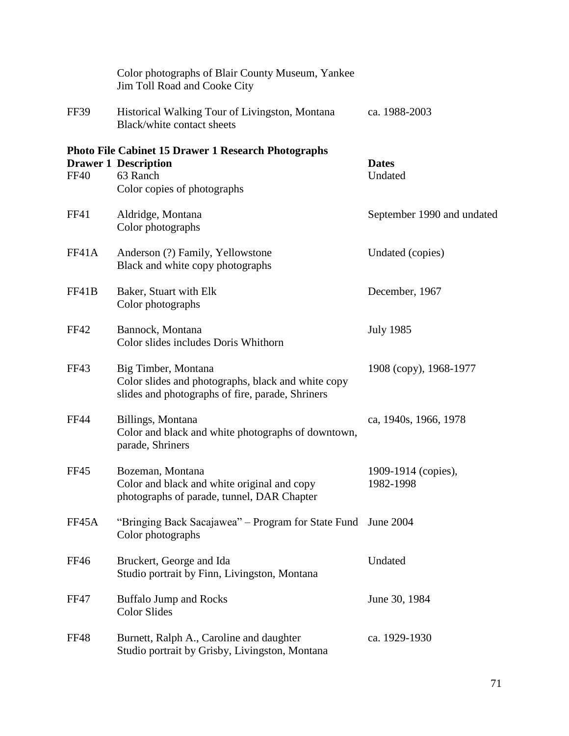|             | Color photographs of Blair County Museum, Yankee<br>Jim Toll Road and Cooke City                                                     |                                  |
|-------------|--------------------------------------------------------------------------------------------------------------------------------------|----------------------------------|
| <b>FF39</b> | Historical Walking Tour of Livingston, Montana<br>Black/white contact sheets                                                         | ca. 1988-2003                    |
| <b>FF40</b> | <b>Photo File Cabinet 15 Drawer 1 Research Photographs</b><br><b>Drawer 1 Description</b><br>63 Ranch<br>Color copies of photographs | <b>Dates</b><br>Undated          |
| FF41        | Aldridge, Montana<br>Color photographs                                                                                               | September 1990 and undated       |
| FF41A       | Anderson (?) Family, Yellowstone<br>Black and white copy photographs                                                                 | Undated (copies)                 |
| FF41B       | Baker, Stuart with Elk<br>Color photographs                                                                                          | December, 1967                   |
| <b>FF42</b> | Bannock, Montana<br>Color slides includes Doris Whithorn                                                                             | <b>July 1985</b>                 |
| FF43        | Big Timber, Montana<br>Color slides and photographs, black and white copy<br>slides and photographs of fire, parade, Shriners        | 1908 (copy), 1968-1977           |
| <b>FF44</b> | Billings, Montana<br>Color and black and white photographs of downtown,<br>parade, Shriners                                          | ca, 1940s, 1966, 1978            |
| <b>FF45</b> | Bozeman, Montana<br>Color and black and white original and copy<br>photographs of parade, tunnel, DAR Chapter                        | 1909-1914 (copies),<br>1982-1998 |
| FF45A       | "Bringing Back Sacajawea" - Program for State Fund<br>Color photographs                                                              | June 2004                        |
| <b>FF46</b> | Bruckert, George and Ida<br>Studio portrait by Finn, Livingston, Montana                                                             | Undated                          |
| <b>FF47</b> | <b>Buffalo Jump and Rocks</b><br><b>Color Slides</b>                                                                                 | June 30, 1984                    |
| <b>FF48</b> | Burnett, Ralph A., Caroline and daughter<br>Studio portrait by Grisby, Livingston, Montana                                           | ca. 1929-1930                    |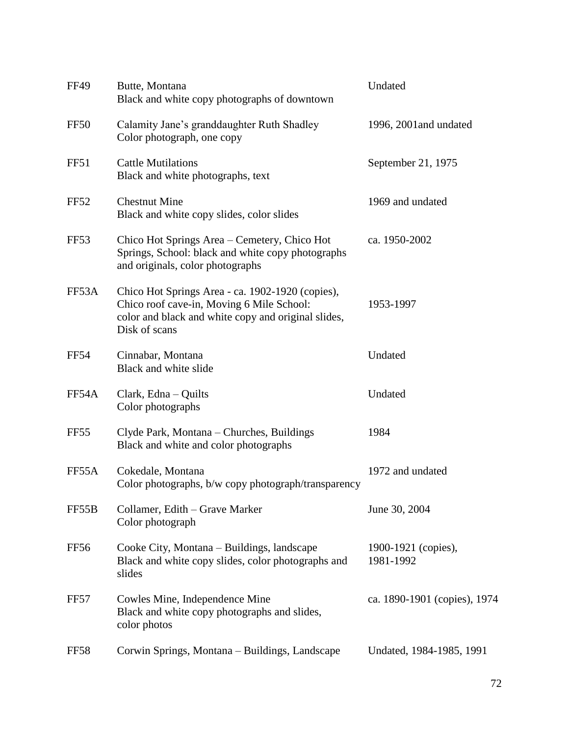| <b>FF49</b>      | Butte, Montana<br>Black and white copy photographs of downtown                                                                                                        | Undated                          |
|------------------|-----------------------------------------------------------------------------------------------------------------------------------------------------------------------|----------------------------------|
| FF50             | Calamity Jane's granddaughter Ruth Shadley<br>Color photograph, one copy                                                                                              | 1996, 2001 and undated           |
| FF51             | <b>Cattle Mutilations</b><br>Black and white photographs, text                                                                                                        | September 21, 1975               |
| <b>FF52</b>      | <b>Chestnut Mine</b><br>Black and white copy slides, color slides                                                                                                     | 1969 and undated                 |
| FF <sub>53</sub> | Chico Hot Springs Area – Cemetery, Chico Hot<br>Springs, School: black and white copy photographs<br>and originals, color photographs                                 | ca. 1950-2002                    |
| FF53A            | Chico Hot Springs Area - ca. 1902-1920 (copies),<br>Chico roof cave-in, Moving 6 Mile School:<br>color and black and white copy and original slides,<br>Disk of scans | 1953-1997                        |
| <b>FF54</b>      | Cinnabar, Montana<br>Black and white slide                                                                                                                            | Undated                          |
| FF54A            | Clark, Edna – Quilts<br>Color photographs                                                                                                                             | Undated                          |
| FF <sub>55</sub> | Clyde Park, Montana – Churches, Buildings<br>Black and white and color photographs                                                                                    | 1984                             |
| FF55A            | Cokedale, Montana<br>Color photographs, b/w copy photograph/transparency                                                                                              | 1972 and undated                 |
| FF55B            | Collamer, Edith - Grave Marker<br>Color photograph                                                                                                                    | June 30, 2004                    |
| FF56             | Cooke City, Montana – Buildings, landscape<br>Black and white copy slides, color photographs and<br>slides                                                            | 1900-1921 (copies),<br>1981-1992 |
| FF57             | Cowles Mine, Independence Mine<br>Black and white copy photographs and slides,<br>color photos                                                                        | ca. 1890-1901 (copies), 1974     |
| FF58             | Corwin Springs, Montana – Buildings, Landscape                                                                                                                        | Undated, 1984-1985, 1991         |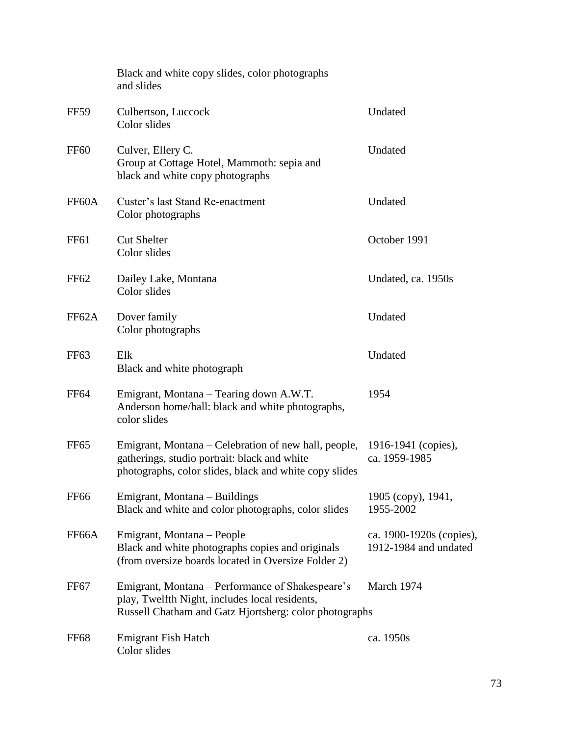|                    | Black and white copy slides, color photographs<br>and slides                                                                                                   |                                                   |
|--------------------|----------------------------------------------------------------------------------------------------------------------------------------------------------------|---------------------------------------------------|
| <b>FF59</b>        | Culbertson, Luccock<br>Color slides                                                                                                                            | Undated                                           |
| <b>FF60</b>        | Culver, Ellery C.<br>Group at Cottage Hotel, Mammoth: sepia and<br>black and white copy photographs                                                            | Undated                                           |
| FF60A              | Custer's last Stand Re-enactment<br>Color photographs                                                                                                          | Undated                                           |
| FF <sub>61</sub>   | <b>Cut Shelter</b><br>Color slides                                                                                                                             | October 1991                                      |
| FF62               | Dailey Lake, Montana<br>Color slides                                                                                                                           | Undated, ca. 1950s                                |
| FF62A              | Dover family<br>Color photographs                                                                                                                              | Undated                                           |
| FF63               | Elk<br>Black and white photograph                                                                                                                              | Undated                                           |
| <b>FF64</b>        | Emigrant, Montana – Tearing down A.W.T.<br>Anderson home/hall: black and white photographs,<br>color slides                                                    | 1954                                              |
| FF <sub>65</sub>   | Emigrant, Montana – Celebration of new hall, people,<br>gatherings, studio portrait: black and white<br>photographs, color slides, black and white copy slides | 1916-1941 (copies),<br>ca. 1959-1985              |
| <b>FF66</b>        | Emigrant, Montana – Buildings<br>Black and white and color photographs, color slides                                                                           | 1905 (copy), 1941,<br>1955-2002                   |
| FF <sub>66</sub> A | Emigrant, Montana – People<br>Black and white photographs copies and originals<br>(from oversize boards located in Oversize Folder 2)                          | ca. 1900-1920s (copies),<br>1912-1984 and undated |
| FF <sub>67</sub>   | Emigrant, Montana – Performance of Shakespeare's<br>play, Twelfth Night, includes local residents,<br>Russell Chatham and Gatz Hjortsberg: color photographs   | March 1974                                        |
| FF <sub>68</sub>   | <b>Emigrant Fish Hatch</b><br>Color slides                                                                                                                     | ca. 1950s                                         |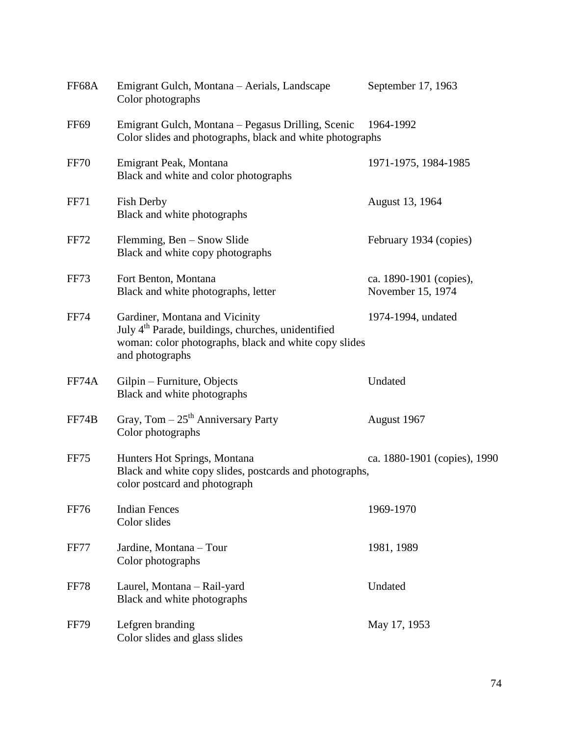| FF68A            | Emigrant Gulch, Montana - Aerials, Landscape<br>Color photographs                                                                                                            | September 17, 1963                           |
|------------------|------------------------------------------------------------------------------------------------------------------------------------------------------------------------------|----------------------------------------------|
| FF <sub>69</sub> | Emigrant Gulch, Montana – Pegasus Drilling, Scenic<br>Color slides and photographs, black and white photographs                                                              | 1964-1992                                    |
| FF70             | Emigrant Peak, Montana<br>Black and white and color photographs                                                                                                              | 1971-1975, 1984-1985                         |
| <b>FF71</b>      | <b>Fish Derby</b><br>Black and white photographs                                                                                                                             | August 13, 1964                              |
| <b>FF72</b>      | Flemming, Ben – Snow Slide<br>Black and white copy photographs                                                                                                               | February 1934 (copies)                       |
| FF73             | Fort Benton, Montana<br>Black and white photographs, letter                                                                                                                  | ca. 1890-1901 (copies),<br>November 15, 1974 |
| <b>FF74</b>      | Gardiner, Montana and Vicinity<br>July 4 <sup>th</sup> Parade, buildings, churches, unidentified<br>woman: color photographs, black and white copy slides<br>and photographs | 1974-1994, undated                           |
| FF74A            | Gilpin – Furniture, Objects<br>Black and white photographs                                                                                                                   | Undated                                      |
| FF74B            | Gray, Tom $-25$ <sup>th</sup> Anniversary Party<br>Color photographs                                                                                                         | August 1967                                  |
| FF75             | Hunters Hot Springs, Montana<br>Black and white copy slides, postcards and photographs,<br>color postcard and photograph                                                     | ca. 1880-1901 (copies), 1990                 |
| <b>FF76</b>      | <b>Indian Fences</b><br>Color slides                                                                                                                                         | 1969-1970                                    |
| FF77             | Jardine, Montana - Tour<br>Color photographs                                                                                                                                 | 1981, 1989                                   |
| <b>FF78</b>      | Laurel, Montana - Rail-yard<br>Black and white photographs                                                                                                                   | Undated                                      |
| <b>FF79</b>      | Lefgren branding<br>Color slides and glass slides                                                                                                                            | May 17, 1953                                 |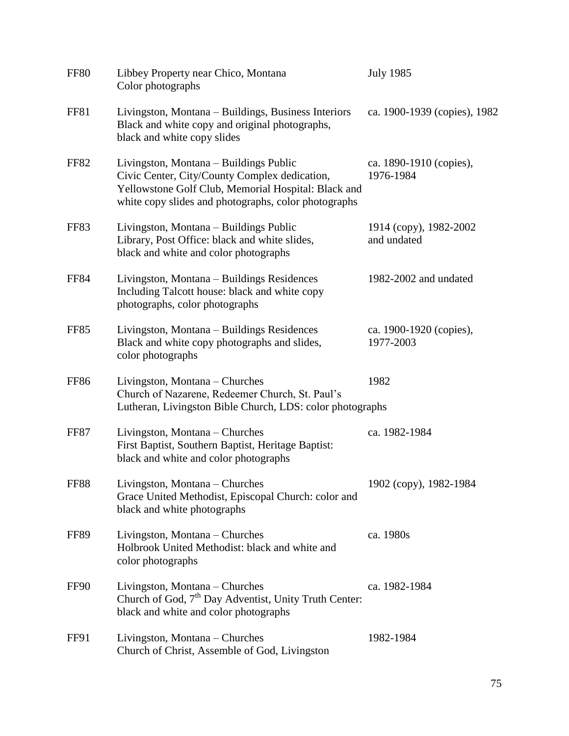| <b>FF80</b> | Libbey Property near Chico, Montana<br>Color photographs                                                                                                                                               | <b>July 1985</b>                      |
|-------------|--------------------------------------------------------------------------------------------------------------------------------------------------------------------------------------------------------|---------------------------------------|
| FF81        | Livingston, Montana – Buildings, Business Interiors<br>Black and white copy and original photographs,<br>black and white copy slides                                                                   | ca. 1900-1939 (copies), 1982          |
| <b>FF82</b> | Livingston, Montana - Buildings Public<br>Civic Center, City/County Complex dedication,<br>Yellowstone Golf Club, Memorial Hospital: Black and<br>white copy slides and photographs, color photographs | ca. 1890-1910 (copies),<br>1976-1984  |
| FF83        | Livingston, Montana – Buildings Public<br>Library, Post Office: black and white slides,<br>black and white and color photographs                                                                       | 1914 (copy), 1982-2002<br>and undated |
| <b>FF84</b> | Livingston, Montana – Buildings Residences<br>Including Talcott house: black and white copy<br>photographs, color photographs                                                                          | 1982-2002 and undated                 |
| <b>FF85</b> | Livingston, Montana – Buildings Residences<br>Black and white copy photographs and slides,<br>color photographs                                                                                        | ca. 1900-1920 (copies),<br>1977-2003  |
| <b>FF86</b> | Livingston, Montana – Churches<br>Church of Nazarene, Redeemer Church, St. Paul's<br>Lutheran, Livingston Bible Church, LDS: color photographs                                                         | 1982                                  |
| <b>FF87</b> | Livingston, Montana – Churches<br>First Baptist, Southern Baptist, Heritage Baptist:<br>black and white and color photographs                                                                          | ca. 1982-1984                         |
| <b>FF88</b> | Livingston, Montana - Churches<br>Grace United Methodist, Episcopal Church: color and<br>black and white photographs                                                                                   | 1902 (copy), 1982-1984                |
| FF89        | Livingston, Montana – Churches<br>Holbrook United Methodist: black and white and<br>color photographs                                                                                                  | ca. 1980s                             |
| FF90        | Livingston, Montana – Churches<br>Church of God, 7 <sup>th</sup> Day Adventist, Unity Truth Center:<br>black and white and color photographs                                                           | ca. 1982-1984                         |
| FF91        | Livingston, Montana – Churches<br>Church of Christ, Assemble of God, Livingston                                                                                                                        | 1982-1984                             |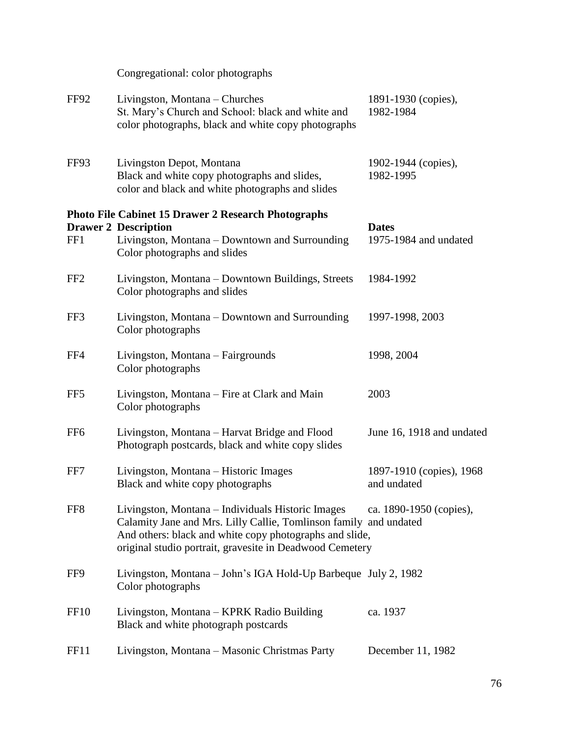FF92 Livingston, Montana – Churches 1891-1930 (copies), St. Mary's Church and School: black and white and 1982-1984 color photographs, black and white copy photographs FF93 Livingston Depot, Montana 1902-1944 (copies), Black and white copy photographs and slides, 1982-1995 color and black and white photographs and slides **Photo File Cabinet 15 Drawer 2 Research Photographs Drawer 2 Description Dates** FF1 Livingston, Montana – Downtown and Surrounding 1975-1984 and undated Color photographs and slides FF2 Livingston, Montana – Downtown Buildings, Streets 1984-1992 Color photographs and slides FF3 Livingston, Montana – Downtown and Surrounding 1997-1998, 2003 Color photographs FF4 Livingston, Montana – Fairgrounds 1998, 2004 Color photographs FF5 Livingston, Montana – Fire at Clark and Main 2003 Color photographs FF6 Livingston, Montana – Harvat Bridge and Flood June 16, 1918 and undated Photograph postcards, black and white copy slides FF7 Livingston, Montana – Historic Images 1897-1910 (copies), 1968 Black and white copy photographs and undated FF8 Livingston, Montana – Individuals Historic Images ca. 1890-1950 (copies), Calamity Jane and Mrs. Lilly Callie, Tomlinson family and undated And others: black and white copy photographs and slide, original studio portrait, gravesite in Deadwood Cemetery FF9 Livingston, Montana – John's IGA Hold-Up Barbeque July 2, 1982 Color photographs FF10 Livingston, Montana – KPRK Radio Building ca. 1937 Black and white photograph postcards

Congregational: color photographs

FF11 Livingston, Montana – Masonic Christmas Party December 11, 1982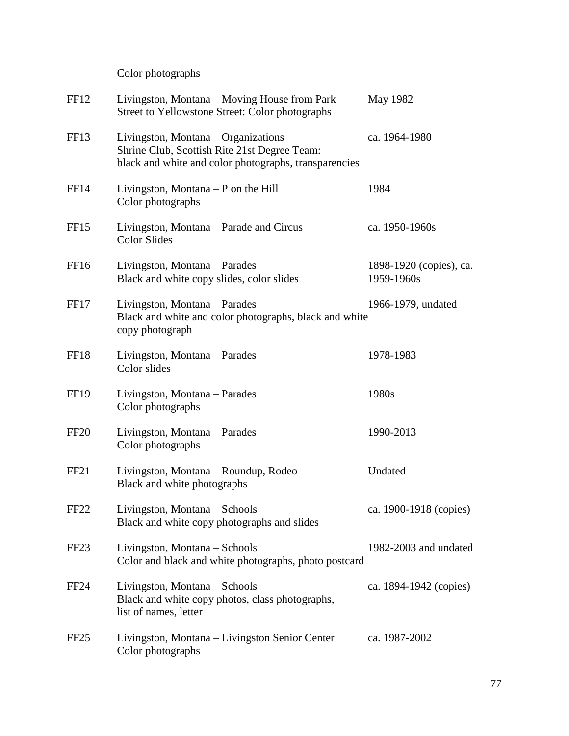Color photographs

| FF <sub>12</sub> | Livingston, Montana – Moving House from Park<br>Street to Yellowstone Street: Color photographs                                              | May 1982                              |
|------------------|----------------------------------------------------------------------------------------------------------------------------------------------|---------------------------------------|
| FF <sub>13</sub> | Livingston, Montana – Organizations<br>Shrine Club, Scottish Rite 21st Degree Team:<br>black and white and color photographs, transparencies | ca. 1964-1980                         |
| FF <sub>14</sub> | Livingston, Montana $- P$ on the Hill<br>Color photographs                                                                                   | 1984                                  |
| FF <sub>15</sub> | Livingston, Montana – Parade and Circus<br><b>Color Slides</b>                                                                               | ca. 1950-1960s                        |
| FF <sub>16</sub> | Livingston, Montana – Parades<br>Black and white copy slides, color slides                                                                   | 1898-1920 (copies), ca.<br>1959-1960s |
| FF17             | Livingston, Montana – Parades<br>Black and white and color photographs, black and white<br>copy photograph                                   | 1966-1979, undated                    |
| FF18             | Livingston, Montana – Parades<br>Color slides                                                                                                | 1978-1983                             |
| <b>FF19</b>      | Livingston, Montana - Parades<br>Color photographs                                                                                           | 1980s                                 |
| <b>FF20</b>      | Livingston, Montana – Parades<br>Color photographs                                                                                           | 1990-2013                             |
| FF <sub>21</sub> | Livingston, Montana – Roundup, Rodeo<br>Black and white photographs                                                                          | Undated                               |
| FF <sub>22</sub> | Livingston, Montana – Schools<br>Black and white copy photographs and slides                                                                 | ca. 1900-1918 (copies)                |
| FF <sub>23</sub> | Livingston, Montana - Schools<br>Color and black and white photographs, photo postcard                                                       | 1982-2003 and undated                 |
| FF <sub>24</sub> | Livingston, Montana - Schools<br>Black and white copy photos, class photographs,<br>list of names, letter                                    | ca. 1894-1942 (copies)                |
| FF <sub>25</sub> | Livingston, Montana – Livingston Senior Center<br>Color photographs                                                                          | ca. 1987-2002                         |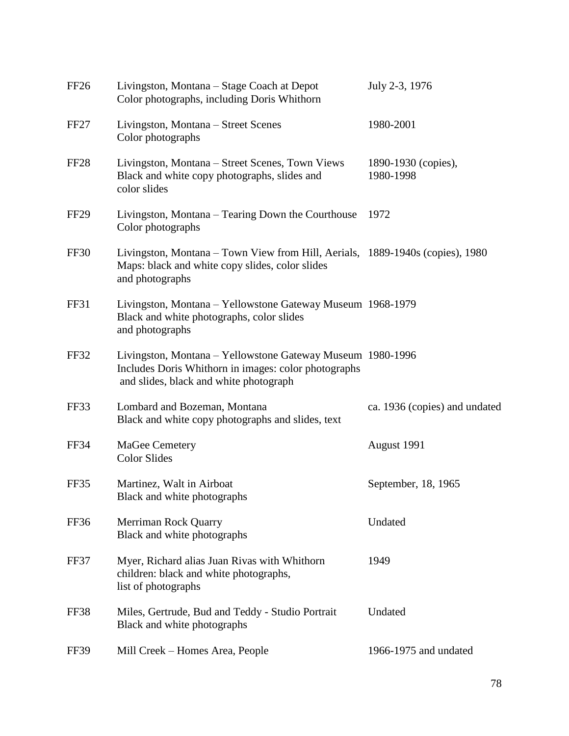| FF <sub>26</sub> | Livingston, Montana – Stage Coach at Depot<br>Color photographs, including Doris Whithorn                                                                    | July 2-3, 1976                   |
|------------------|--------------------------------------------------------------------------------------------------------------------------------------------------------------|----------------------------------|
| FF <sub>27</sub> | Livingston, Montana – Street Scenes<br>Color photographs                                                                                                     | 1980-2001                        |
| FF <sub>28</sub> | Livingston, Montana – Street Scenes, Town Views<br>Black and white copy photographs, slides and<br>color slides                                              | 1890-1930 (copies),<br>1980-1998 |
| FF <sub>29</sub> | Livingston, Montana – Tearing Down the Courthouse<br>Color photographs                                                                                       | 1972                             |
| FF30             | Livingston, Montana – Town View from Hill, Aerials, 1889-1940s (copies), 1980<br>Maps: black and white copy slides, color slides<br>and photographs          |                                  |
| FF31             | Livingston, Montana – Yellowstone Gateway Museum 1968-1979<br>Black and white photographs, color slides<br>and photographs                                   |                                  |
| <b>FF32</b>      | Livingston, Montana – Yellowstone Gateway Museum 1980-1996<br>Includes Doris Whithorn in images: color photographs<br>and slides, black and white photograph |                                  |
| FF33             | Lombard and Bozeman, Montana<br>Black and white copy photographs and slides, text                                                                            | ca. 1936 (copies) and undated    |
| FF34             | MaGee Cemetery<br><b>Color Slides</b>                                                                                                                        | August 1991                      |
| FF35             | Martinez, Walt in Airboat<br>Black and white photographs                                                                                                     | September, 18, 1965              |
| FF36             | Merriman Rock Quarry<br>Black and white photographs                                                                                                          | Undated                          |
| FF37             | Myer, Richard alias Juan Rivas with Whithorn<br>children: black and white photographs,<br>list of photographs                                                | 1949                             |
| FF38             | Miles, Gertrude, Bud and Teddy - Studio Portrait<br>Black and white photographs                                                                              | Undated                          |
| <b>FF39</b>      | Mill Creek - Homes Area, People                                                                                                                              | 1966-1975 and undated            |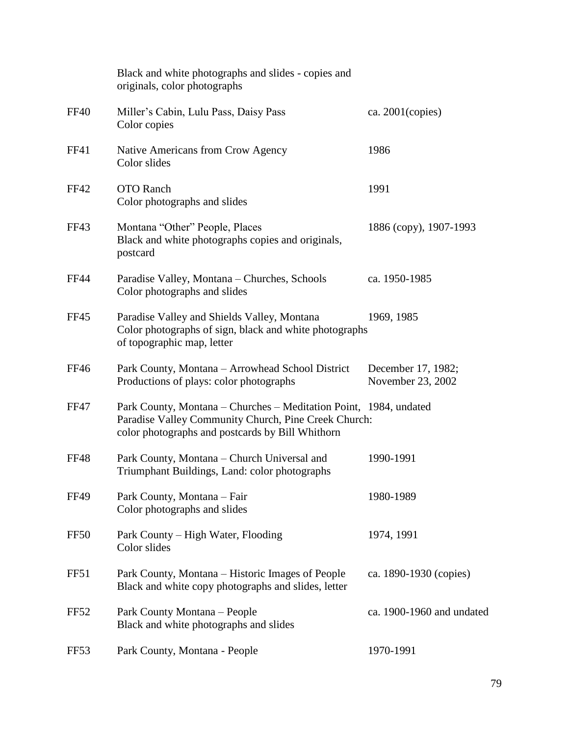|                  | Black and white photographs and slides - copies and<br>originals, color photographs                                                                                           |                                         |
|------------------|-------------------------------------------------------------------------------------------------------------------------------------------------------------------------------|-----------------------------------------|
| <b>FF40</b>      | Miller's Cabin, Lulu Pass, Daisy Pass<br>Color copies                                                                                                                         | ca. $2001$ (copies)                     |
| FF41             | Native Americans from Crow Agency<br>Color slides                                                                                                                             | 1986                                    |
| <b>FF42</b>      | <b>OTO</b> Ranch<br>Color photographs and slides                                                                                                                              | 1991                                    |
| FF43             | Montana "Other" People, Places<br>Black and white photographs copies and originals,<br>postcard                                                                               | 1886 (copy), 1907-1993                  |
| <b>FF44</b>      | Paradise Valley, Montana - Churches, Schools<br>Color photographs and slides                                                                                                  | ca. 1950-1985                           |
| <b>FF45</b>      | Paradise Valley and Shields Valley, Montana<br>Color photographs of sign, black and white photographs<br>of topographic map, letter                                           | 1969, 1985                              |
| FF46             | Park County, Montana – Arrowhead School District<br>Productions of plays: color photographs                                                                                   | December 17, 1982;<br>November 23, 2002 |
| <b>FF47</b>      | Park County, Montana – Churches – Meditation Point, 1984, undated<br>Paradise Valley Community Church, Pine Creek Church:<br>color photographs and postcards by Bill Whithorn |                                         |
| <b>FF48</b>      | Park County, Montana - Church Universal and<br>Triumphant Buildings, Land: color photographs                                                                                  | 1990-1991                               |
| <b>FF49</b>      | Park County, Montana - Fair<br>Color photographs and slides                                                                                                                   | 1980-1989                               |
| FF50             | Park County - High Water, Flooding<br>Color slides                                                                                                                            | 1974, 1991                              |
| FF51             | Park County, Montana – Historic Images of People<br>Black and white copy photographs and slides, letter                                                                       | ca. 1890-1930 (copies)                  |
| FF52             | Park County Montana - People<br>Black and white photographs and slides                                                                                                        | ca. 1900-1960 and undated               |
| FF <sub>53</sub> | Park County, Montana - People                                                                                                                                                 | 1970-1991                               |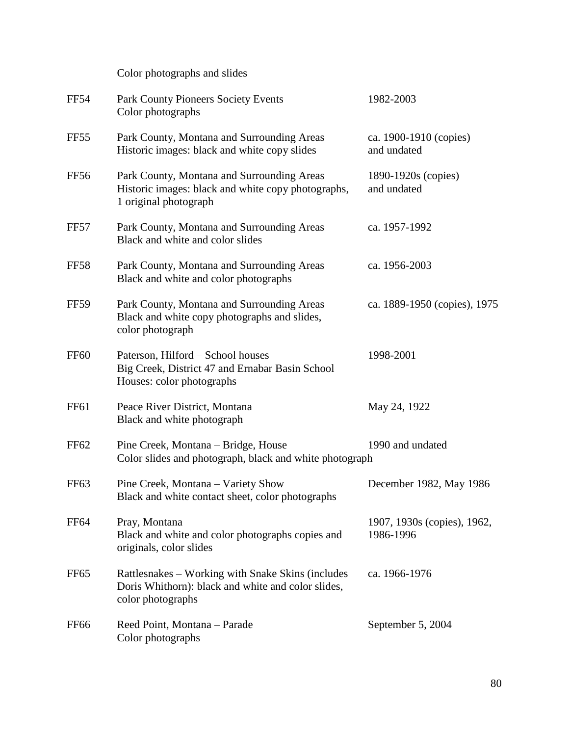Color photographs and slides

| <b>FF54</b>      | <b>Park County Pioneers Society Events</b><br>Color photographs                                                              | 1982-2003                                |
|------------------|------------------------------------------------------------------------------------------------------------------------------|------------------------------------------|
| FF55             | Park County, Montana and Surrounding Areas<br>Historic images: black and white copy slides                                   | ca. 1900-1910 (copies)<br>and undated    |
| FF56             | Park County, Montana and Surrounding Areas<br>Historic images: black and white copy photographs,<br>1 original photograph    | 1890-1920s (copies)<br>and undated       |
| FF57             | Park County, Montana and Surrounding Areas<br>Black and white and color slides                                               | ca. 1957-1992                            |
| <b>FF58</b>      | Park County, Montana and Surrounding Areas<br>Black and white and color photographs                                          | ca. 1956-2003                            |
| <b>FF59</b>      | Park County, Montana and Surrounding Areas<br>Black and white copy photographs and slides,<br>color photograph               | ca. 1889-1950 (copies), 1975             |
| <b>FF60</b>      | Paterson, Hilford - School houses<br>Big Creek, District 47 and Ernabar Basin School<br>Houses: color photographs            | 1998-2001                                |
| <b>FF61</b>      | Peace River District, Montana<br>Black and white photograph                                                                  | May 24, 1922                             |
| <b>FF62</b>      | Pine Creek, Montana – Bridge, House<br>Color slides and photograph, black and white photograph                               | 1990 and undated                         |
| FF <sub>63</sub> | Pine Creek, Montana - Variety Show<br>Black and white contact sheet, color photographs                                       | December 1982, May 1986                  |
| <b>FF64</b>      | Pray, Montana<br>Black and white and color photographs copies and<br>originals, color slides                                 | 1907, 1930s (copies), 1962,<br>1986-1996 |
| FF <sub>65</sub> | Rattlesnakes – Working with Snake Skins (includes<br>Doris Whithorn): black and white and color slides,<br>color photographs | ca. 1966-1976                            |
| FF <sub>66</sub> | Reed Point, Montana - Parade<br>Color photographs                                                                            | September 5, 2004                        |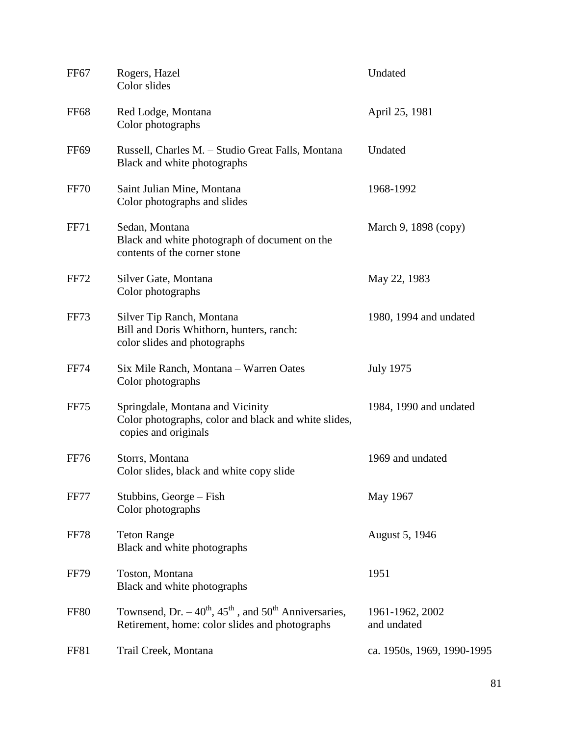| FF <sub>67</sub> | Rogers, Hazel<br>Color slides                                                                                         | Undated                        |
|------------------|-----------------------------------------------------------------------------------------------------------------------|--------------------------------|
| <b>FF68</b>      | Red Lodge, Montana<br>Color photographs                                                                               | April 25, 1981                 |
| FF <sub>69</sub> | Russell, Charles M. - Studio Great Falls, Montana<br>Black and white photographs                                      | Undated                        |
| <b>FF70</b>      | Saint Julian Mine, Montana<br>Color photographs and slides                                                            | 1968-1992                      |
| <b>FF71</b>      | Sedan, Montana<br>Black and white photograph of document on the<br>contents of the corner stone                       | March 9, 1898 (copy)           |
| FF72             | Silver Gate, Montana<br>Color photographs                                                                             | May 22, 1983                   |
| <b>FF73</b>      | Silver Tip Ranch, Montana<br>Bill and Doris Whithorn, hunters, ranch:<br>color slides and photographs                 | 1980, 1994 and undated         |
| <b>FF74</b>      | Six Mile Ranch, Montana - Warren Oates<br>Color photographs                                                           | <b>July 1975</b>               |
| <b>FF75</b>      | Springdale, Montana and Vicinity<br>Color photographs, color and black and white slides,<br>copies and originals      | 1984, 1990 and undated         |
| <b>FF76</b>      | Storrs, Montana<br>Color slides, black and white copy slide                                                           | 1969 and undated               |
| FF77             | Stubbins, George – Fish<br>Color photographs                                                                          | May 1967                       |
| <b>FF78</b>      | <b>Teton Range</b><br>Black and white photographs                                                                     | August 5, 1946                 |
| <b>FF79</b>      | Toston, Montana<br>Black and white photographs                                                                        | 1951                           |
| <b>FF80</b>      | Townsend, Dr. $-40^{th}$ , $45^{th}$ , and $50^{th}$ Anniversaries,<br>Retirement, home: color slides and photographs | 1961-1962, 2002<br>and undated |
| FF81             | Trail Creek, Montana                                                                                                  | ca. 1950s, 1969, 1990-1995     |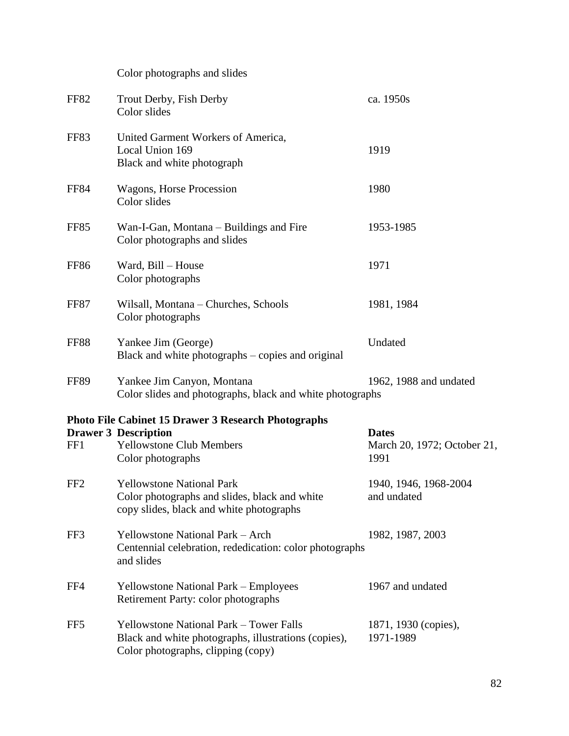|                 | Color photographs and slides                                                                                                                 |                                                     |
|-----------------|----------------------------------------------------------------------------------------------------------------------------------------------|-----------------------------------------------------|
| FF82            | Trout Derby, Fish Derby<br>Color slides                                                                                                      | ca. 1950s                                           |
| FF83            | United Garment Workers of America,<br>Local Union 169<br>Black and white photograph                                                          | 1919                                                |
| <b>FF84</b>     | Wagons, Horse Procession<br>Color slides                                                                                                     | 1980                                                |
| FF85            | Wan-I-Gan, Montana – Buildings and Fire<br>Color photographs and slides                                                                      | 1953-1985                                           |
| <b>FF86</b>     | Ward, Bill - House<br>Color photographs                                                                                                      | 1971                                                |
| FF87            | Wilsall, Montana - Churches, Schools<br>Color photographs                                                                                    | 1981, 1984                                          |
| <b>FF88</b>     | Yankee Jim (George)<br>Black and white photographs – copies and original                                                                     | Undated                                             |
| <b>FF89</b>     | Yankee Jim Canyon, Montana<br>Color slides and photographs, black and white photographs                                                      | 1962, 1988 and undated                              |
|                 | <b>Photo File Cabinet 15 Drawer 3 Research Photographs</b>                                                                                   |                                                     |
| FF1             | <b>Drawer 3 Description</b><br><b>Yellowstone Club Members</b><br>Color photographs                                                          | <b>Dates</b><br>March 20, 1972; October 21,<br>1991 |
| FF <sub>2</sub> | <b>Yellowstone National Park</b><br>Color photographs and slides, black and white<br>copy slides, black and white photographs                | 1940, 1946, 1968-2004<br>and undated                |
| FF3             | <b>Yellowstone National Park - Arch</b><br>Centennial celebration, rededication: color photographs<br>and slides                             | 1982, 1987, 2003                                    |
| FF4             | <b>Yellowstone National Park – Employees</b><br>Retirement Party: color photographs                                                          | 1967 and undated                                    |
| FF <sub>5</sub> | <b>Yellowstone National Park - Tower Falls</b><br>Black and white photographs, illustrations (copies),<br>Color photographs, clipping (copy) | 1871, 1930 (copies),<br>1971-1989                   |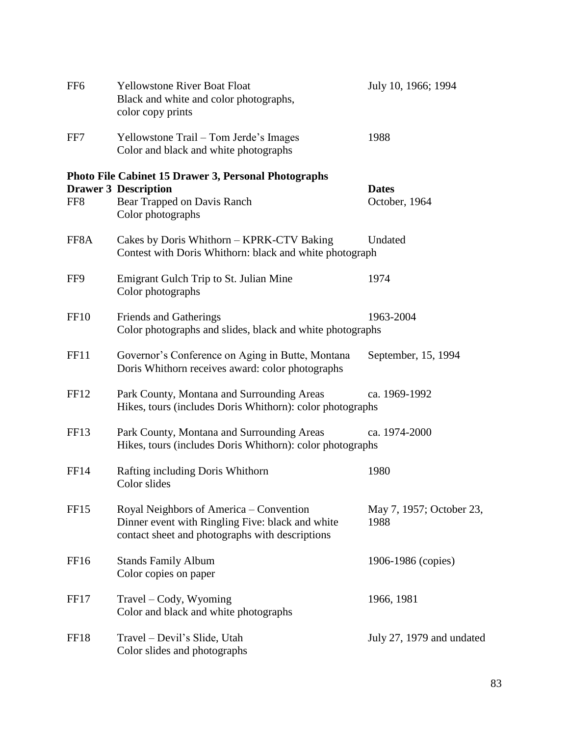| FF <sub>6</sub>  | <b>Yellowstone River Boat Float</b><br>Black and white and color photographs,<br>color copy prints                                             | July 10, 1966; 1994              |
|------------------|------------------------------------------------------------------------------------------------------------------------------------------------|----------------------------------|
| FF7              | Yellowstone Trail – Tom Jerde's Images<br>Color and black and white photographs                                                                | 1988                             |
| FF8              | <b>Photo File Cabinet 15 Drawer 3, Personal Photographs</b><br><b>Drawer 3 Description</b><br>Bear Trapped on Davis Ranch<br>Color photographs | <b>Dates</b><br>October, 1964    |
| FF8A             | Cakes by Doris Whithorn - KPRK-CTV Baking<br>Contest with Doris Whithorn: black and white photograph                                           | Undated                          |
| FF9              | Emigrant Gulch Trip to St. Julian Mine<br>Color photographs                                                                                    | 1974                             |
| <b>FF10</b>      | Friends and Gatherings<br>Color photographs and slides, black and white photographs                                                            | 1963-2004                        |
| FF11             | Governor's Conference on Aging in Butte, Montana<br>Doris Whithorn receives award: color photographs                                           | September, 15, 1994              |
| FF <sub>12</sub> | Park County, Montana and Surrounding Areas<br>Hikes, tours (includes Doris Whithorn): color photographs                                        | ca. 1969-1992                    |
| FF <sub>13</sub> | Park County, Montana and Surrounding Areas<br>Hikes, tours (includes Doris Whithorn): color photographs                                        | ca. 1974-2000                    |
| FF14             | Rafting including Doris Whithorn<br>Color slides                                                                                               | 1980                             |
| FF <sub>15</sub> | Royal Neighbors of America – Convention<br>Dinner event with Ringling Five: black and white<br>contact sheet and photographs with descriptions | May 7, 1957; October 23,<br>1988 |
| FF <sub>16</sub> | <b>Stands Family Album</b><br>Color copies on paper                                                                                            | 1906-1986 (copies)               |
| <b>FF17</b>      | Travel – Cody, Wyoming<br>Color and black and white photographs                                                                                | 1966, 1981                       |
| FF18             | Travel – Devil's Slide, Utah<br>Color slides and photographs                                                                                   | July 27, 1979 and undated        |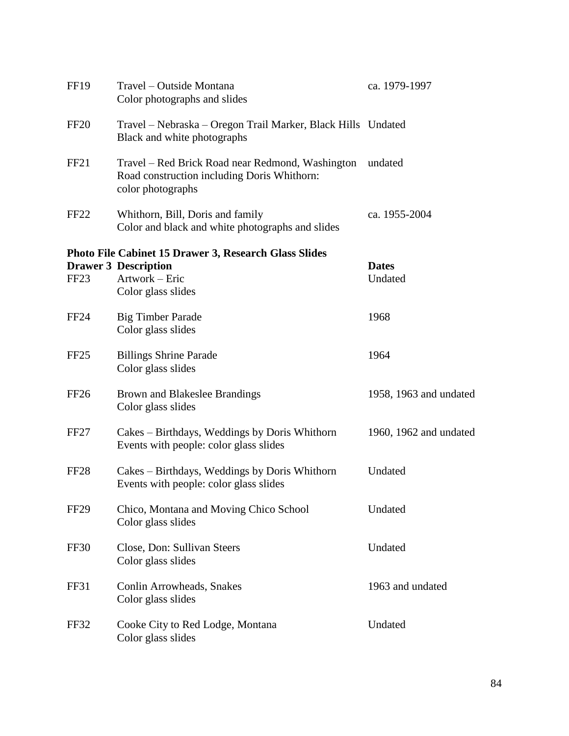| <b>FF19</b>      | Travel – Outside Montana<br>Color photographs and slides                                                                            | ca. 1979-1997           |
|------------------|-------------------------------------------------------------------------------------------------------------------------------------|-------------------------|
| FF20             | Travel – Nebraska – Oregon Trail Marker, Black Hills Undated<br>Black and white photographs                                         |                         |
| FF <sub>21</sub> | Travel - Red Brick Road near Redmond, Washington<br>Road construction including Doris Whithorn:<br>color photographs                | undated                 |
| FF <sub>22</sub> | Whithorn, Bill, Doris and family<br>Color and black and white photographs and slides                                                | ca. 1955-2004           |
| FF <sub>23</sub> | <b>Photo File Cabinet 15 Drawer 3, Research Glass Slides</b><br><b>Drawer 3 Description</b><br>Artwork - Eric<br>Color glass slides | <b>Dates</b><br>Undated |
| FF24             | <b>Big Timber Parade</b><br>Color glass slides                                                                                      | 1968                    |
| FF <sub>25</sub> | <b>Billings Shrine Parade</b><br>Color glass slides                                                                                 | 1964                    |
| FF <sub>26</sub> | Brown and Blakeslee Brandings<br>Color glass slides                                                                                 | 1958, 1963 and undated  |
| FF <sub>27</sub> | Cakes – Birthdays, Weddings by Doris Whithorn<br>Events with people: color glass slides                                             | 1960, 1962 and undated  |
| FF <sub>28</sub> | Cakes – Birthdays, Weddings by Doris Whithorn<br>Events with people: color glass slides                                             | Undated                 |
| FF <sub>29</sub> | Chico, Montana and Moving Chico School<br>Color glass slides                                                                        | Undated                 |
| FF30             | Close, Don: Sullivan Steers<br>Color glass slides                                                                                   | Undated                 |
| FF31             | Conlin Arrowheads, Snakes<br>Color glass slides                                                                                     | 1963 and undated        |
| FF32             | Cooke City to Red Lodge, Montana<br>Color glass slides                                                                              | Undated                 |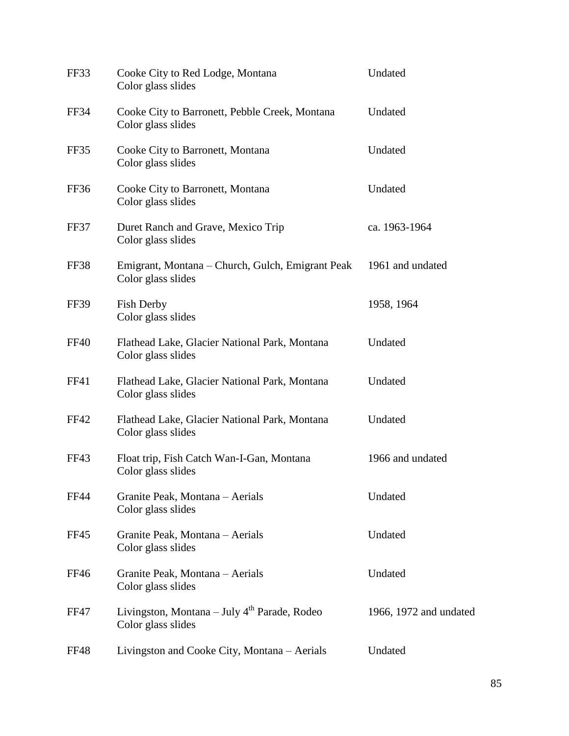| FF33        | Cooke City to Red Lodge, Montana<br>Color glass slides                 | Undated                |
|-------------|------------------------------------------------------------------------|------------------------|
| FF34        | Cooke City to Barronett, Pebble Creek, Montana<br>Color glass slides   | Undated                |
| FF35        | Cooke City to Barronett, Montana<br>Color glass slides                 | Undated                |
| FF36        | Cooke City to Barronett, Montana<br>Color glass slides                 | Undated                |
| FF37        | Duret Ranch and Grave, Mexico Trip<br>Color glass slides               | ca. 1963-1964          |
| FF38        | Emigrant, Montana – Church, Gulch, Emigrant Peak<br>Color glass slides | 1961 and undated       |
| FF39        | Fish Derby<br>Color glass slides                                       | 1958, 1964             |
| <b>FF40</b> | Flathead Lake, Glacier National Park, Montana<br>Color glass slides    | Undated                |
| FF41        | Flathead Lake, Glacier National Park, Montana<br>Color glass slides    | Undated                |
| FF42        | Flathead Lake, Glacier National Park, Montana<br>Color glass slides    | Undated                |
| FF43        | Float trip, Fish Catch Wan-I-Gan, Montana<br>Color glass slides        | 1966 and undated       |
| <b>FF44</b> | Granite Peak, Montana – Aerials<br>Color glass slides                  | Undated                |
| FF45        | Granite Peak, Montana - Aerials<br>Color glass slides                  | Undated                |
| <b>FF46</b> | Granite Peak, Montana - Aerials<br>Color glass slides                  | Undated                |
| FF47        | Livingston, Montana – July $4th$ Parade, Rodeo<br>Color glass slides   | 1966, 1972 and undated |
| FF48        | Livingston and Cooke City, Montana – Aerials                           | Undated                |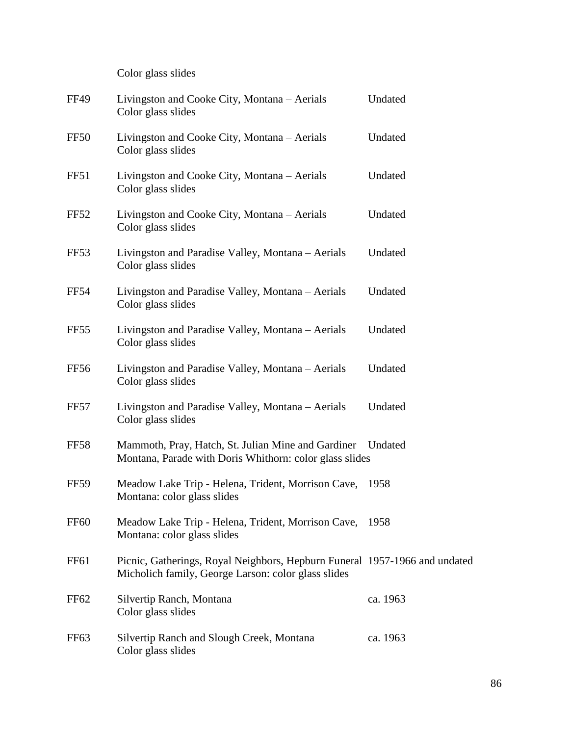Color glass slides

| <b>FF49</b>      | Livingston and Cooke City, Montana – Aerials<br>Color glass slides                                                                | Undated  |
|------------------|-----------------------------------------------------------------------------------------------------------------------------------|----------|
| FF50             | Livingston and Cooke City, Montana – Aerials<br>Color glass slides                                                                | Undated  |
| FF51             | Livingston and Cooke City, Montana – Aerials<br>Color glass slides                                                                | Undated  |
| FF52             | Livingston and Cooke City, Montana – Aerials<br>Color glass slides                                                                | Undated  |
| FF <sub>53</sub> | Livingston and Paradise Valley, Montana - Aerials<br>Color glass slides                                                           | Undated  |
| <b>FF54</b>      | Livingston and Paradise Valley, Montana - Aerials<br>Color glass slides                                                           | Undated  |
| FF <sub>55</sub> | Livingston and Paradise Valley, Montana – Aerials<br>Color glass slides                                                           | Undated  |
| FF56             | Livingston and Paradise Valley, Montana - Aerials<br>Color glass slides                                                           | Undated  |
| FF57             | Livingston and Paradise Valley, Montana – Aerials<br>Color glass slides                                                           | Undated  |
| <b>FF58</b>      | Mammoth, Pray, Hatch, St. Julian Mine and Gardiner<br>Montana, Parade with Doris Whithorn: color glass slides                     | Undated  |
| <b>FF59</b>      | Meadow Lake Trip - Helena, Trident, Morrison Cave,<br>Montana: color glass slides                                                 | 1958     |
| <b>FF60</b>      | Meadow Lake Trip - Helena, Trident, Morrison Cave,<br>Montana: color glass slides                                                 | 1958     |
| FF <sub>61</sub> | Picnic, Gatherings, Royal Neighbors, Hepburn Funeral 1957-1966 and undated<br>Micholich family, George Larson: color glass slides |          |
| FF <sub>62</sub> | Silvertip Ranch, Montana<br>Color glass slides                                                                                    | ca. 1963 |
| FF <sub>63</sub> | Silvertip Ranch and Slough Creek, Montana<br>Color glass slides                                                                   | ca. 1963 |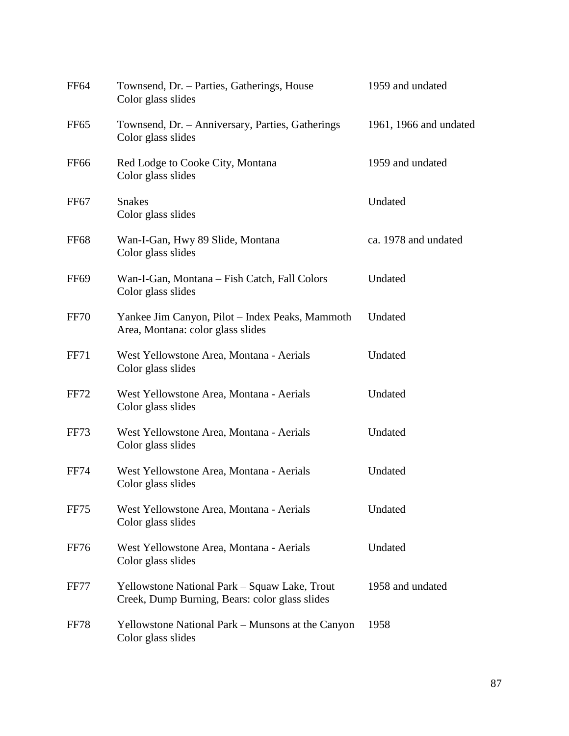| FF <sub>64</sub> | Townsend, Dr. - Parties, Gatherings, House<br>Color glass slides                                | 1959 and undated       |
|------------------|-------------------------------------------------------------------------------------------------|------------------------|
| FF <sub>65</sub> | Townsend, Dr. - Anniversary, Parties, Gatherings<br>Color glass slides                          | 1961, 1966 and undated |
| FF <sub>66</sub> | Red Lodge to Cooke City, Montana<br>Color glass slides                                          | 1959 and undated       |
| FF67             | <b>Snakes</b><br>Color glass slides                                                             | Undated                |
| <b>FF68</b>      | Wan-I-Gan, Hwy 89 Slide, Montana<br>Color glass slides                                          | ca. 1978 and undated   |
| FF <sub>69</sub> | Wan-I-Gan, Montana – Fish Catch, Fall Colors<br>Color glass slides                              | Undated                |
| <b>FF70</b>      | Yankee Jim Canyon, Pilot – Index Peaks, Mammoth<br>Area, Montana: color glass slides            | Undated                |
| <b>FF71</b>      | West Yellowstone Area, Montana - Aerials<br>Color glass slides                                  | Undated                |
| <b>FF72</b>      | West Yellowstone Area, Montana - Aerials<br>Color glass slides                                  | Undated                |
| FF73             | West Yellowstone Area, Montana - Aerials<br>Color glass slides                                  | Undated                |
| <b>FF74</b>      | West Yellowstone Area, Montana - Aerials<br>Color glass slides                                  | Undated                |
| FF75             | West Yellowstone Area, Montana - Aerials<br>Color glass slides                                  | Undated                |
| FF76             | West Yellowstone Area, Montana - Aerials<br>Color glass slides                                  | Undated                |
| <b>FF77</b>      | Yellowstone National Park – Squaw Lake, Trout<br>Creek, Dump Burning, Bears: color glass slides | 1958 and undated       |
| FF78             | Yellowstone National Park - Munsons at the Canyon<br>Color glass slides                         | 1958                   |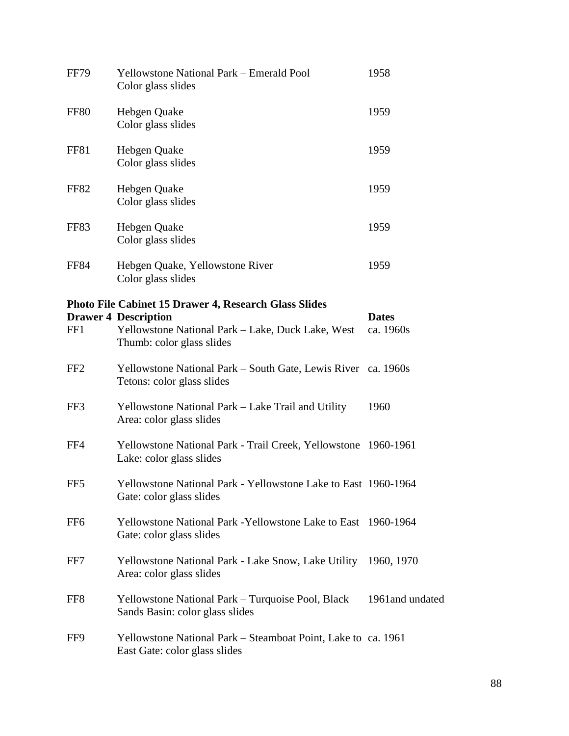| <b>FF79</b>     | <b>Yellowstone National Park – Emerald Pool</b><br>Color glass slides                                         | 1958                      |
|-----------------|---------------------------------------------------------------------------------------------------------------|---------------------------|
| <b>FF80</b>     | Hebgen Quake<br>Color glass slides                                                                            | 1959                      |
| FF81            | Hebgen Quake<br>Color glass slides                                                                            | 1959                      |
| <b>FF82</b>     | Hebgen Quake<br>Color glass slides                                                                            | 1959                      |
| FF83            | Hebgen Quake<br>Color glass slides                                                                            | 1959                      |
| <b>FF84</b>     | Hebgen Quake, Yellowstone River<br>Color glass slides                                                         | 1959                      |
|                 | Photo File Cabinet 15 Drawer 4, Research Glass Slides                                                         |                           |
| FF1             | <b>Drawer 4 Description</b><br>Yellowstone National Park – Lake, Duck Lake, West<br>Thumb: color glass slides | <b>Dates</b><br>ca. 1960s |
| FF <sub>2</sub> | Yellowstone National Park – South Gate, Lewis River ca. 1960s<br>Tetons: color glass slides                   |                           |
| FF3             | Yellowstone National Park – Lake Trail and Utility<br>Area: color glass slides                                | 1960                      |
| FF4             | Yellowstone National Park - Trail Creek, Yellowstone 1960-1961<br>Lake: color glass slides                    |                           |
| FF <sub>5</sub> | Yellowstone National Park - Yellowstone Lake to East 1960-1964<br>Gate: color glass slides                    |                           |
| FF <sub>6</sub> | Yellowstone National Park - Yellowstone Lake to East 1960-1964<br>Gate: color glass slides                    |                           |
| FF7             | Yellowstone National Park - Lake Snow, Lake Utility<br>Area: color glass slides                               | 1960, 1970                |
| FF8             | Yellowstone National Park – Turquoise Pool, Black<br>Sands Basin: color glass slides                          | 1961 and undated          |
| FF9             | Yellowstone National Park – Steamboat Point, Lake to ca. 1961<br>East Gate: color glass slides                |                           |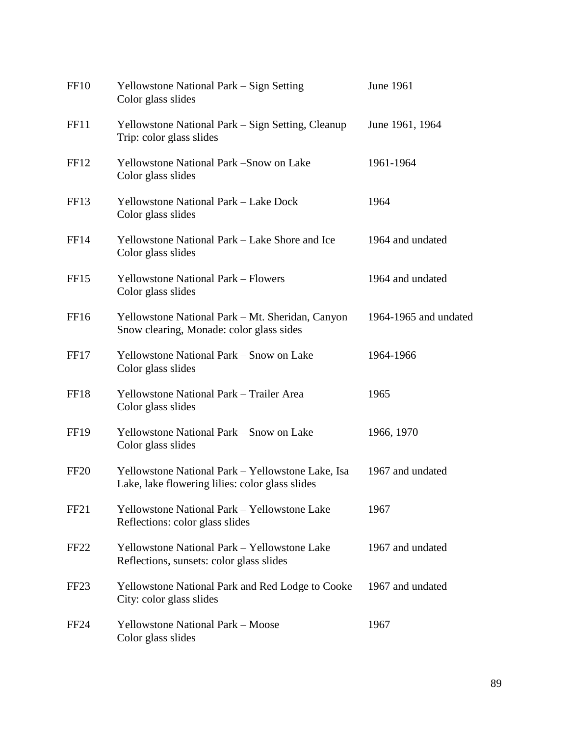| FF <sub>10</sub> | Yellowstone National Park – Sign Setting<br>Color glass slides                                       | June 1961             |
|------------------|------------------------------------------------------------------------------------------------------|-----------------------|
| FF11             | Yellowstone National Park – Sign Setting, Cleanup<br>Trip: color glass slides                        | June 1961, 1964       |
| FF <sub>12</sub> | Yellowstone National Park -Snow on Lake<br>Color glass slides                                        | 1961-1964             |
| FF <sub>13</sub> | <b>Yellowstone National Park – Lake Dock</b><br>Color glass slides                                   | 1964                  |
| FF14             | Yellowstone National Park – Lake Shore and Ice<br>Color glass slides                                 | 1964 and undated      |
| FF <sub>15</sub> | <b>Yellowstone National Park – Flowers</b><br>Color glass slides                                     | 1964 and undated      |
| FF <sub>16</sub> | Yellowstone National Park – Mt. Sheridan, Canyon<br>Snow clearing, Monade: color glass sides         | 1964-1965 and undated |
| FF17             | Yellowstone National Park – Snow on Lake<br>Color glass slides                                       | 1964-1966             |
| FF18             | Yellowstone National Park - Trailer Area<br>Color glass slides                                       | 1965                  |
| FF <sub>19</sub> | Yellowstone National Park – Snow on Lake<br>Color glass slides                                       | 1966, 1970            |
| FF <sub>20</sub> | Yellowstone National Park - Yellowstone Lake, Isa<br>Lake, lake flowering lilies: color glass slides | 1967 and undated      |
| FF21             | Yellowstone National Park – Yellowstone Lake<br>Reflections: color glass slides                      | 1967                  |
| FF <sub>22</sub> | Yellowstone National Park - Yellowstone Lake<br>Reflections, sunsets: color glass slides             | 1967 and undated      |
| FF <sub>23</sub> | <b>Yellowstone National Park and Red Lodge to Cooke</b><br>City: color glass slides                  | 1967 and undated      |
| FF <sub>24</sub> | <b>Yellowstone National Park – Moose</b><br>Color glass slides                                       | 1967                  |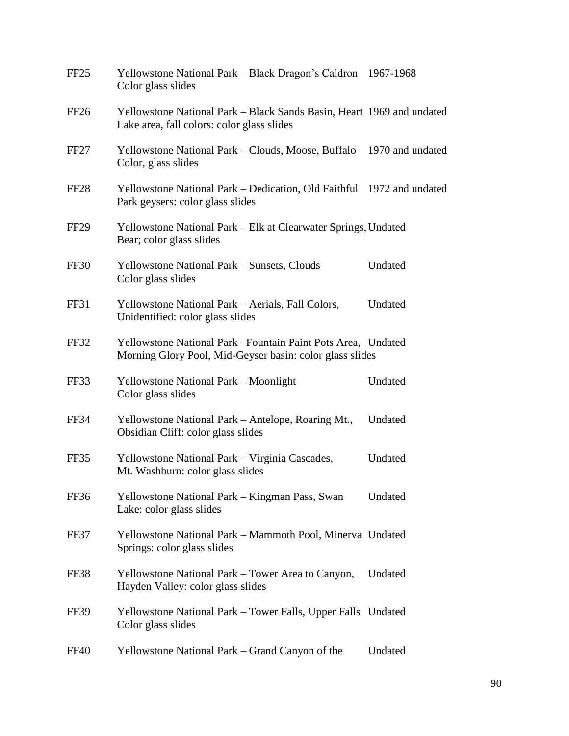| FF <sub>25</sub> | Yellowstone National Park - Black Dragon's Caldron 1967-1968<br>Color glass slides                                        |         |
|------------------|---------------------------------------------------------------------------------------------------------------------------|---------|
| FF <sub>26</sub> | Yellowstone National Park – Black Sands Basin, Heart 1969 and undated<br>Lake area, fall colors: color glass slides       |         |
| FF <sub>27</sub> | Yellowstone National Park – Clouds, Moose, Buffalo 1970 and undated<br>Color, glass slides                                |         |
| FF <sub>28</sub> | Yellowstone National Park – Dedication, Old Faithful 1972 and undated<br>Park geysers: color glass slides                 |         |
| FF <sub>29</sub> | Yellowstone National Park – Elk at Clearwater Springs, Undated<br>Bear; color glass slides                                |         |
| FF30             | Yellowstone National Park – Sunsets, Clouds<br>Color glass slides                                                         | Undated |
| FF31             | Yellowstone National Park - Aerials, Fall Colors,<br>Unidentified: color glass slides                                     | Undated |
| FF32             | Yellowstone National Park – Fountain Paint Pots Area, Undated<br>Morning Glory Pool, Mid-Geyser basin: color glass slides |         |
| FF33             | Yellowstone National Park - Moonlight<br>Color glass slides                                                               | Undated |
| <b>FF34</b>      | Yellowstone National Park – Antelope, Roaring Mt.,<br>Obsidian Cliff: color glass slides                                  | Undated |
| FF35             | Yellowstone National Park - Virginia Cascades,<br>Mt. Washburn: color glass slides                                        | Undated |
| FF36             | Yellowstone National Park - Kingman Pass, Swan<br>Lake: color glass slides                                                | Undated |
| FF37             | Yellowstone National Park - Mammoth Pool, Minerva Undated<br>Springs: color glass slides                                  |         |
| FF38             | Yellowstone National Park – Tower Area to Canyon,<br>Hayden Valley: color glass slides                                    | Undated |
| FF39             | Yellowstone National Park – Tower Falls, Upper Falls Undated<br>Color glass slides                                        |         |
| <b>FF40</b>      | Yellowstone National Park - Grand Canyon of the                                                                           | Undated |
|                  |                                                                                                                           |         |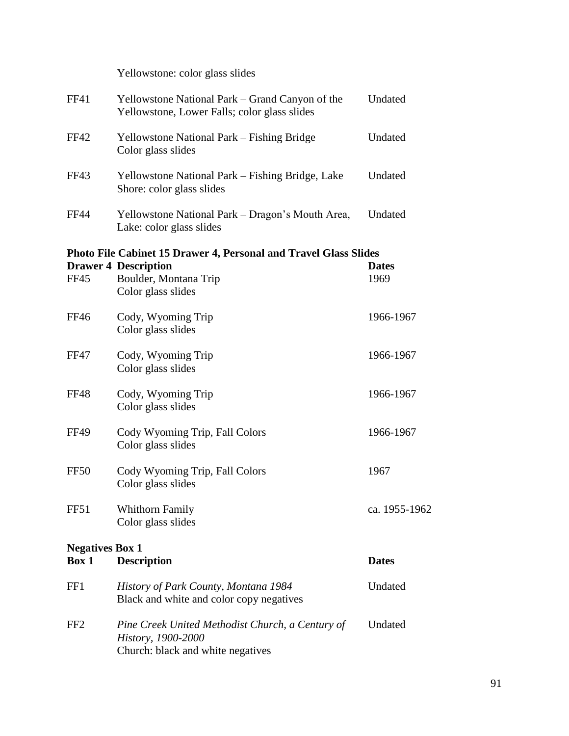|                                 | Yellowstone: color glass slides                                                                             |               |
|---------------------------------|-------------------------------------------------------------------------------------------------------------|---------------|
| FF41                            | Yellowstone National Park – Grand Canyon of the<br>Yellowstone, Lower Falls; color glass slides             | Undated       |
| <b>FF42</b>                     | Yellowstone National Park – Fishing Bridge<br>Color glass slides                                            | Undated       |
| <b>FF43</b>                     | Yellowstone National Park - Fishing Bridge, Lake<br>Shore: color glass slides                               | Undated       |
| <b>FF44</b>                     | Yellowstone National Park - Dragon's Mouth Area,<br>Lake: color glass slides                                | Undated       |
|                                 | <b>Photo File Cabinet 15 Drawer 4, Personal and Travel Glass Slides</b>                                     |               |
|                                 | <b>Drawer 4 Description</b>                                                                                 | <b>Dates</b>  |
| <b>FF45</b>                     | Boulder, Montana Trip<br>Color glass slides                                                                 | 1969          |
| <b>FF46</b>                     | Cody, Wyoming Trip<br>Color glass slides                                                                    | 1966-1967     |
| <b>FF47</b>                     | Cody, Wyoming Trip<br>Color glass slides                                                                    | 1966-1967     |
| FF48                            | Cody, Wyoming Trip<br>Color glass slides                                                                    | 1966-1967     |
| <b>FF49</b>                     | Cody Wyoming Trip, Fall Colors<br>Color glass slides                                                        | 1966-1967     |
| <b>FF50</b>                     | Cody Wyoming Trip, Fall Colors<br>Color glass slides                                                        | 1967          |
| FF51                            | <b>Whithorn Family</b><br>Color glass slides                                                                | ca. 1955-1962 |
| <b>Negatives Box 1</b><br>Box 1 | <b>Description</b>                                                                                          | <b>Dates</b>  |
| FF1                             | History of Park County, Montana 1984<br>Black and white and color copy negatives                            | Undated       |
| FF <sub>2</sub>                 | Pine Creek United Methodist Church, a Century of<br>History, 1900-2000<br>Church: black and white negatives | Undated       |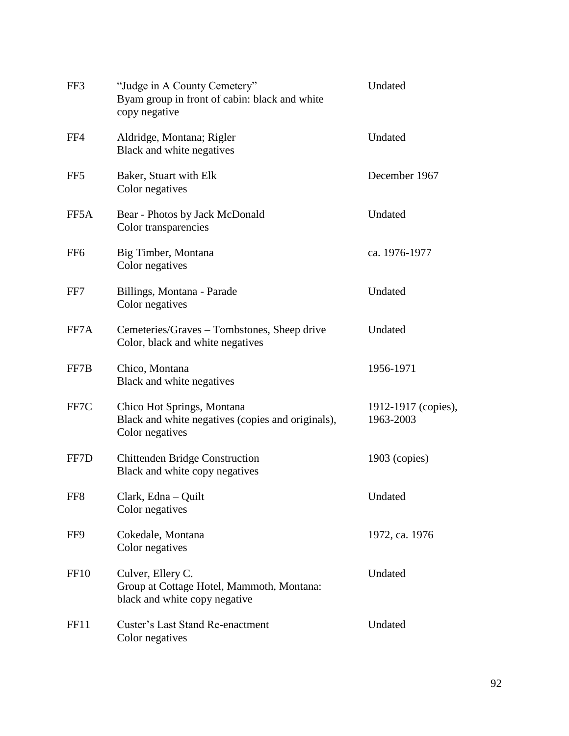| FF3              | "Judge in A County Cemetery"<br>Byam group in front of cabin: black and white<br>copy negative     | Undated                          |
|------------------|----------------------------------------------------------------------------------------------------|----------------------------------|
| FF4              | Aldridge, Montana; Rigler<br>Black and white negatives                                             | Undated                          |
| FF <sub>5</sub>  | Baker, Stuart with Elk<br>Color negatives                                                          | December 1967                    |
| FF5A             | Bear - Photos by Jack McDonald<br>Color transparencies                                             | Undated                          |
| FF <sub>6</sub>  | Big Timber, Montana<br>Color negatives                                                             | ca. 1976-1977                    |
| FF7              | Billings, Montana - Parade<br>Color negatives                                                      | Undated                          |
| FF7A             | Cemeteries/Graves – Tombstones, Sheep drive<br>Color, black and white negatives                    | Undated                          |
| FF7B             | Chico, Montana<br>Black and white negatives                                                        | 1956-1971                        |
| FF7C             | Chico Hot Springs, Montana<br>Black and white negatives (copies and originals),<br>Color negatives | 1912-1917 (copies),<br>1963-2003 |
| FF7D             | <b>Chittenden Bridge Construction</b><br>Black and white copy negatives                            | $1903$ (copies)                  |
| FF8              | Clark, Edna - Quilt<br>Color negatives                                                             | Undated                          |
| FF9              | Cokedale, Montana<br>Color negatives                                                               | 1972, ca. 1976                   |
| FF <sub>10</sub> | Culver, Ellery C.<br>Group at Cottage Hotel, Mammoth, Montana:<br>black and white copy negative    | Undated                          |
| FF11             | <b>Custer's Last Stand Re-enactment</b><br>Color negatives                                         | Undated                          |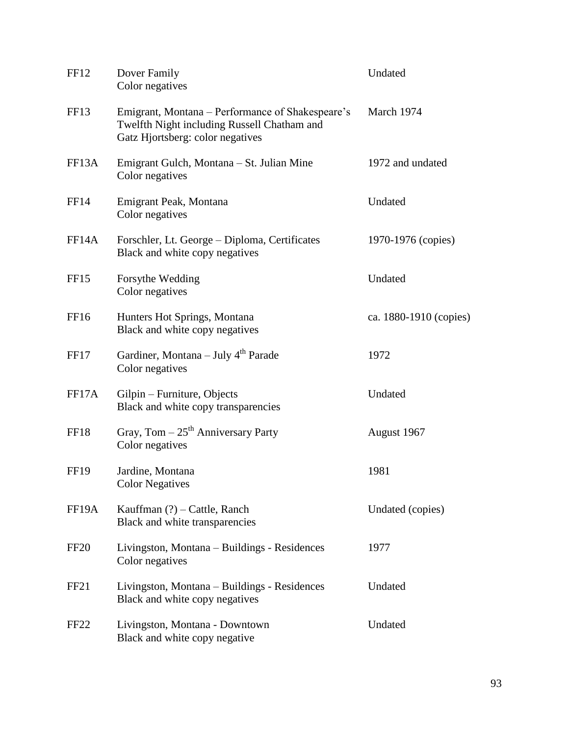| FF <sub>12</sub>   | Dover Family<br>Color negatives                                                                                                     | Undated                |
|--------------------|-------------------------------------------------------------------------------------------------------------------------------------|------------------------|
| FF13               | Emigrant, Montana – Performance of Shakespeare's<br>Twelfth Night including Russell Chatham and<br>Gatz Hjortsberg: color negatives | March 1974             |
| FF <sub>13</sub> A | Emigrant Gulch, Montana – St. Julian Mine<br>Color negatives                                                                        | 1972 and undated       |
| <b>FF14</b>        | Emigrant Peak, Montana<br>Color negatives                                                                                           | Undated                |
| FF <sub>14</sub> A | Forschler, Lt. George - Diploma, Certificates<br>Black and white copy negatives                                                     | 1970-1976 (copies)     |
| FF <sub>15</sub>   | Forsythe Wedding<br>Color negatives                                                                                                 | Undated                |
| FF <sub>16</sub>   | Hunters Hot Springs, Montana<br>Black and white copy negatives                                                                      | ca. 1880-1910 (copies) |
| FF17               | Gardiner, Montana – July 4 <sup>th</sup> Parade<br>Color negatives                                                                  | 1972                   |
| FF17A              | Gilpin – Furniture, Objects<br>Black and white copy transparencies                                                                  | Undated                |
| FF18               | Gray, Tom $-25$ <sup>th</sup> Anniversary Party<br>Color negatives                                                                  | August 1967            |
| <b>FF19</b>        | Jardine, Montana<br><b>Color Negatives</b>                                                                                          | 1981                   |
| FF <sub>19</sub> A | Kauffman $(?)$ – Cattle, Ranch<br>Black and white transparencies                                                                    | Undated (copies)       |
| <b>FF20</b>        | Livingston, Montana – Buildings - Residences<br>Color negatives                                                                     | 1977                   |
| FF <sub>21</sub>   | Livingston, Montana – Buildings - Residences<br>Black and white copy negatives                                                      | Undated                |
| FF <sub>22</sub>   | Livingston, Montana - Downtown<br>Black and white copy negative                                                                     | Undated                |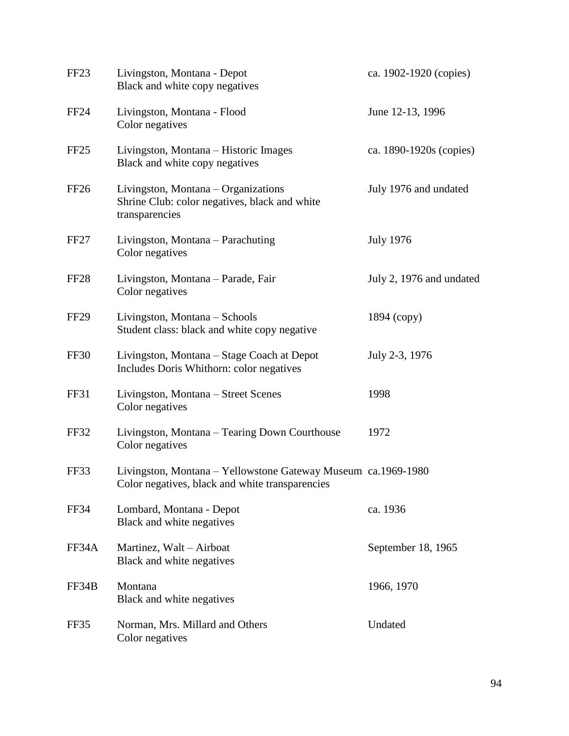| FF <sub>23</sub> | Livingston, Montana - Depot<br>Black and white copy negatives                                                    | ca. 1902-1920 (copies)   |
|------------------|------------------------------------------------------------------------------------------------------------------|--------------------------|
| <b>FF24</b>      | Livingston, Montana - Flood<br>Color negatives                                                                   | June 12-13, 1996         |
| FF <sub>25</sub> | Livingston, Montana – Historic Images<br>Black and white copy negatives                                          | ca. 1890-1920s (copies)  |
| <b>FF26</b>      | Livingston, Montana – Organizations<br>Shrine Club: color negatives, black and white<br>transparencies           | July 1976 and undated    |
| FF <sub>27</sub> | Livingston, Montana – Parachuting<br>Color negatives                                                             | <b>July 1976</b>         |
| FF <sub>28</sub> | Livingston, Montana - Parade, Fair<br>Color negatives                                                            | July 2, 1976 and undated |
| <b>FF29</b>      | Livingston, Montana – Schools<br>Student class: black and white copy negative                                    | 1894 (copy)              |
| <b>FF30</b>      | Livingston, Montana – Stage Coach at Depot<br>Includes Doris Whithorn: color negatives                           | July 2-3, 1976           |
| FF31             | Livingston, Montana - Street Scenes<br>Color negatives                                                           | 1998                     |
| FF32             | Livingston, Montana – Tearing Down Courthouse<br>Color negatives                                                 | 1972                     |
| FF33             | Livingston, Montana – Yellowstone Gateway Museum ca.1969-1980<br>Color negatives, black and white transparencies |                          |
| FF34             | Lombard, Montana - Depot<br>Black and white negatives                                                            | ca. 1936                 |
| FF34A            | Martinez, Walt – Airboat<br>Black and white negatives                                                            | September 18, 1965       |
| FF34B            | Montana<br>Black and white negatives                                                                             | 1966, 1970               |
| FF35             | Norman, Mrs. Millard and Others<br>Color negatives                                                               | Undated                  |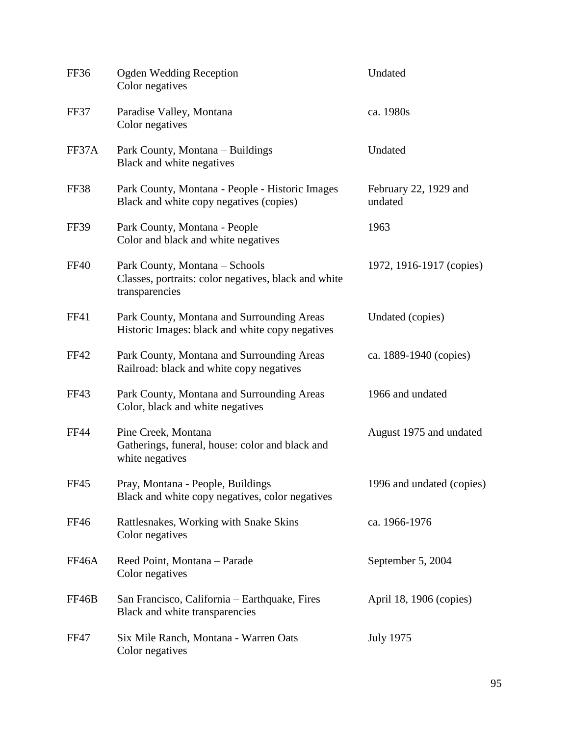| FF36        | <b>Ogden Wedding Reception</b><br>Color negatives                                                        | Undated                          |
|-------------|----------------------------------------------------------------------------------------------------------|----------------------------------|
| FF37        | Paradise Valley, Montana<br>Color negatives                                                              | ca. 1980s                        |
| FF37A       | Park County, Montana – Buildings<br>Black and white negatives                                            | Undated                          |
| FF38        | Park County, Montana - People - Historic Images<br>Black and white copy negatives (copies)               | February 22, 1929 and<br>undated |
| <b>FF39</b> | Park County, Montana - People<br>Color and black and white negatives                                     | 1963                             |
| <b>FF40</b> | Park County, Montana - Schools<br>Classes, portraits: color negatives, black and white<br>transparencies | 1972, 1916-1917 (copies)         |
| FF41        | Park County, Montana and Surrounding Areas<br>Historic Images: black and white copy negatives            | Undated (copies)                 |
| <b>FF42</b> | Park County, Montana and Surrounding Areas<br>Railroad: black and white copy negatives                   | ca. 1889-1940 (copies)           |
| FF43        | Park County, Montana and Surrounding Areas<br>Color, black and white negatives                           | 1966 and undated                 |
| <b>FF44</b> | Pine Creek, Montana<br>Gatherings, funeral, house: color and black and<br>white negatives                | August 1975 and undated          |
| FF45        | Pray, Montana - People, Buildings<br>Black and white copy negatives, color negatives                     | 1996 and undated (copies)        |
| <b>FF46</b> | Rattlesnakes, Working with Snake Skins<br>Color negatives                                                | ca. 1966-1976                    |
| FF46A       | Reed Point, Montana - Parade<br>Color negatives                                                          | September 5, 2004                |
| FF46B       | San Francisco, California – Earthquake, Fires<br>Black and white transparencies                          | April 18, 1906 (copies)          |
| FF47        | Six Mile Ranch, Montana - Warren Oats<br>Color negatives                                                 | <b>July 1975</b>                 |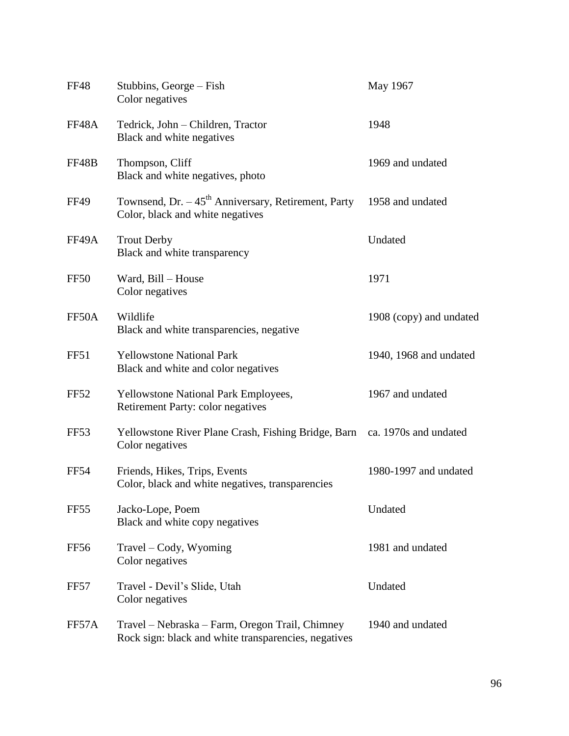| <b>FF48</b>      | Stubbins, George – Fish<br>Color negatives                                                              | May 1967                |
|------------------|---------------------------------------------------------------------------------------------------------|-------------------------|
| FF48A            | Tedrick, John - Children, Tractor<br>Black and white negatives                                          | 1948                    |
| FF48B            | Thompson, Cliff<br>Black and white negatives, photo                                                     | 1969 and undated        |
| <b>FF49</b>      | Townsend, Dr. $-45th$ Anniversary, Retirement, Party<br>Color, black and white negatives                | 1958 and undated        |
| FF49A            | <b>Trout Derby</b><br>Black and white transparency                                                      | Undated                 |
| FF50             | Ward, Bill - House<br>Color negatives                                                                   | 1971                    |
| FF50A            | Wildlife<br>Black and white transparencies, negative                                                    | 1908 (copy) and undated |
| FF51             | <b>Yellowstone National Park</b><br>Black and white and color negatives                                 | 1940, 1968 and undated  |
| FF <sub>52</sub> | <b>Yellowstone National Park Employees,</b><br>Retirement Party: color negatives                        | 1967 and undated        |
| FF <sub>53</sub> | Yellowstone River Plane Crash, Fishing Bridge, Barn<br>Color negatives                                  | ca. 1970s and undated   |
| <b>FF54</b>      | Friends, Hikes, Trips, Events<br>Color, black and white negatives, transparencies                       | 1980-1997 and undated   |
| FF <sub>55</sub> | Jacko-Lope, Poem<br>Black and white copy negatives                                                      | Undated                 |
| FF <sub>56</sub> | Travel – Cody, Wyoming<br>Color negatives                                                               | 1981 and undated        |
| FF57             | Travel - Devil's Slide, Utah<br>Color negatives                                                         | Undated                 |
| FF57A            | Travel – Nebraska – Farm, Oregon Trail, Chimney<br>Rock sign: black and white transparencies, negatives | 1940 and undated        |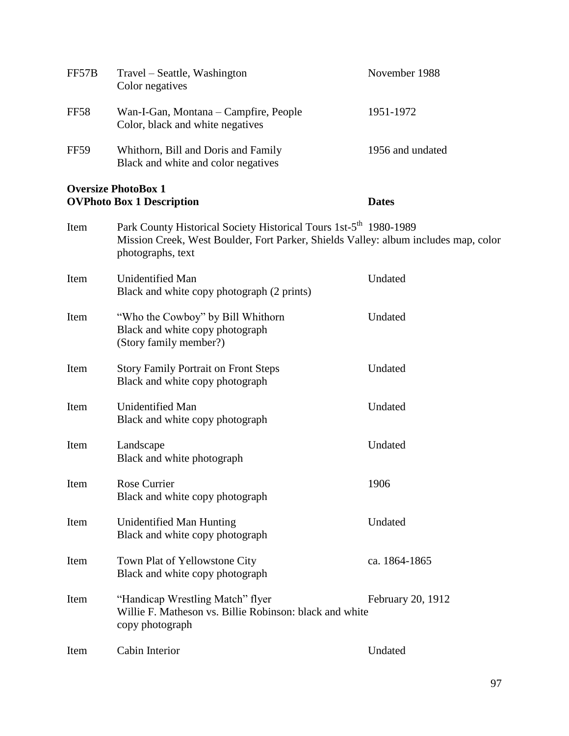| FF57B                                                          | Travel – Seattle, Washington<br>Color negatives                                                                                                                                           | November 1988     |
|----------------------------------------------------------------|-------------------------------------------------------------------------------------------------------------------------------------------------------------------------------------------|-------------------|
| <b>FF58</b>                                                    | Wan-I-Gan, Montana – Campfire, People<br>Color, black and white negatives                                                                                                                 | 1951-1972         |
| <b>FF59</b>                                                    | Whithorn, Bill and Doris and Family<br>Black and white and color negatives                                                                                                                | 1956 and undated  |
| <b>Oversize PhotoBox 1</b><br><b>OVPhoto Box 1 Description</b> |                                                                                                                                                                                           | <b>Dates</b>      |
| Item                                                           | Park County Historical Society Historical Tours 1st-5 <sup>th</sup> 1980-1989<br>Mission Creek, West Boulder, Fort Parker, Shields Valley: album includes map, color<br>photographs, text |                   |
| Item                                                           | <b>Unidentified Man</b><br>Black and white copy photograph (2 prints)                                                                                                                     | Undated           |
| Item                                                           | "Who the Cowboy" by Bill Whithorn<br>Black and white copy photograph<br>(Story family member?)                                                                                            | Undated           |
| Item                                                           | <b>Story Family Portrait on Front Steps</b><br>Black and white copy photograph                                                                                                            | Undated           |
| Item                                                           | Unidentified Man<br>Black and white copy photograph                                                                                                                                       | Undated           |
| Item                                                           | Landscape<br>Black and white photograph                                                                                                                                                   | Undated           |
| Item                                                           | Rose Currier<br>Black and white copy photograph                                                                                                                                           | 1906              |
| Item                                                           | Unidentified Man Hunting<br>Black and white copy photograph                                                                                                                               | Undated           |
| Item                                                           | Town Plat of Yellowstone City<br>Black and white copy photograph                                                                                                                          | ca. 1864-1865     |
| Item                                                           | "Handicap Wrestling Match" flyer<br>Willie F. Matheson vs. Billie Robinson: black and white<br>copy photograph                                                                            | February 20, 1912 |
| Item                                                           | Cabin Interior                                                                                                                                                                            | Undated           |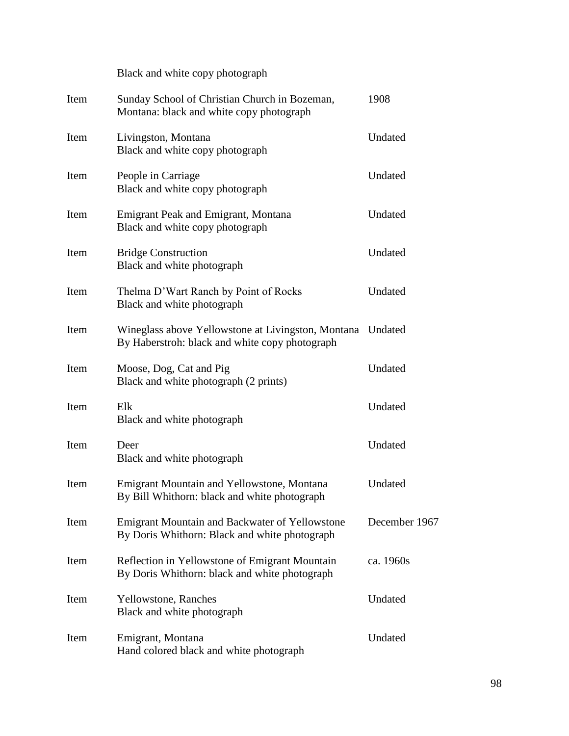|      | Black and white copy photograph                                                                              |               |
|------|--------------------------------------------------------------------------------------------------------------|---------------|
| Item | Sunday School of Christian Church in Bozeman,<br>Montana: black and white copy photograph                    | 1908          |
| Item | Livingston, Montana<br>Black and white copy photograph                                                       | Undated       |
| Item | People in Carriage<br>Black and white copy photograph                                                        | Undated       |
| Item | Emigrant Peak and Emigrant, Montana<br>Black and white copy photograph                                       | Undated       |
| Item | <b>Bridge Construction</b><br>Black and white photograph                                                     | Undated       |
| Item | Thelma D'Wart Ranch by Point of Rocks<br>Black and white photograph                                          | Undated       |
| Item | Wineglass above Yellowstone at Livingston, Montana Undated<br>By Haberstroh: black and white copy photograph |               |
| Item | Moose, Dog, Cat and Pig<br>Black and white photograph (2 prints)                                             | Undated       |
| Item | Elk<br>Black and white photograph                                                                            | Undated       |
| Item | Deer<br>Black and white photograph                                                                           | Undated       |
| Item | <b>Emigrant Mountain and Yellowstone, Montana</b><br>By Bill Whithorn: black and white photograph            | Undated       |
| Item | Emigrant Mountain and Backwater of Yellowstone<br>By Doris Whithorn: Black and white photograph              | December 1967 |
| Item | Reflection in Yellowstone of Emigrant Mountain<br>By Doris Whithorn: black and white photograph              | ca. 1960s     |
| Item | <b>Yellowstone</b> , Ranches<br>Black and white photograph                                                   | Undated       |
| Item | Emigrant, Montana<br>Hand colored black and white photograph                                                 | Undated       |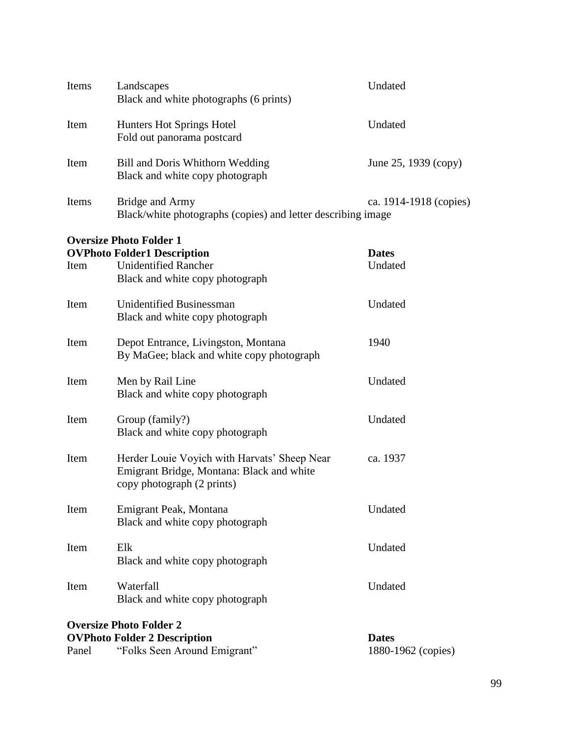| Items                          | Landscapes<br>Black and white photographs (6 prints)                            | Undated                            |  |  |
|--------------------------------|---------------------------------------------------------------------------------|------------------------------------|--|--|
| Item                           | Hunters Hot Springs Hotel<br>Fold out panorama postcard                         | Undated                            |  |  |
| Item                           | Bill and Doris Whithorn Wedding<br>Black and white copy photograph              | June 25, 1939 (copy)               |  |  |
| Items                          | Bridge and Army<br>Black/white photographs (copies) and letter describing image | ca. 1914-1918 (copies)             |  |  |
|                                | <b>Oversize Photo Folder 1</b>                                                  |                                    |  |  |
|                                | <b>OVPhoto Folder1 Description</b>                                              | <b>Dates</b>                       |  |  |
| Item                           | <b>Unidentified Rancher</b>                                                     | Undated                            |  |  |
|                                | Black and white copy photograph                                                 |                                    |  |  |
|                                |                                                                                 |                                    |  |  |
| Item                           | Unidentified Businessman<br>Black and white copy photograph                     | Undated                            |  |  |
|                                |                                                                                 |                                    |  |  |
| Item                           | Depot Entrance, Livingston, Montana                                             | 1940                               |  |  |
|                                | By MaGee; black and white copy photograph                                       |                                    |  |  |
|                                |                                                                                 |                                    |  |  |
| Item                           | Men by Rail Line                                                                | Undated                            |  |  |
|                                | Black and white copy photograph                                                 |                                    |  |  |
| Item                           | Group (family?)                                                                 | Undated                            |  |  |
|                                | Black and white copy photograph                                                 |                                    |  |  |
|                                |                                                                                 |                                    |  |  |
| Item                           | Herder Louie Voyich with Harvats' Sheep Near                                    | ca. 1937                           |  |  |
|                                | Emigrant Bridge, Montana: Black and white                                       |                                    |  |  |
|                                | copy photograph (2 prints)                                                      |                                    |  |  |
| Item                           | Emigrant Peak, Montana                                                          | Undated                            |  |  |
|                                | Black and white copy photograph                                                 |                                    |  |  |
|                                |                                                                                 |                                    |  |  |
| Item                           | Elk                                                                             | Undated                            |  |  |
|                                | Black and white copy photograph                                                 |                                    |  |  |
| Item                           | Waterfall                                                                       | Undated                            |  |  |
|                                | Black and white copy photograph                                                 |                                    |  |  |
|                                |                                                                                 |                                    |  |  |
| <b>Oversize Photo Folder 2</b> |                                                                                 |                                    |  |  |
| Panel                          | <b>OVPhoto Folder 2 Description</b><br>"Folks Seen Around Emigrant"             | <b>Dates</b><br>1880-1962 (copies) |  |  |
|                                |                                                                                 |                                    |  |  |